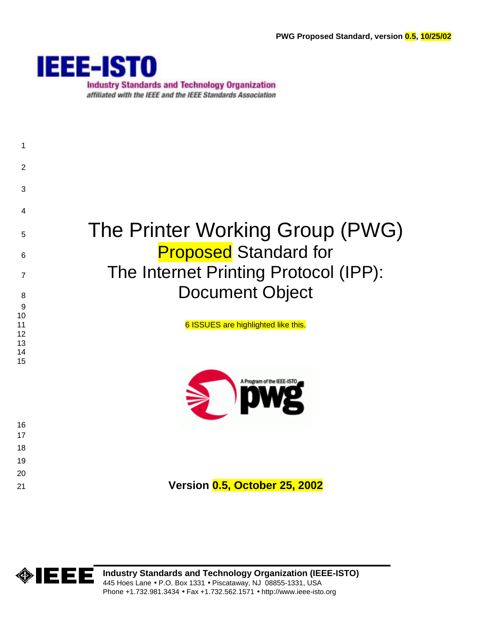

**Industry Standards and Technology Organization** affiliated with the IEEE and the IEEE Standards Association





**Industry Standards and Technology Organization (IEEE-ISTO)**  445 Hoes Lane • P.O. Box 1331 • Piscataway, NJ 08855-1331, USA Phone +1.732.981.3434 • Fax +1.732.562.1571 • http://www.ieee-isto.org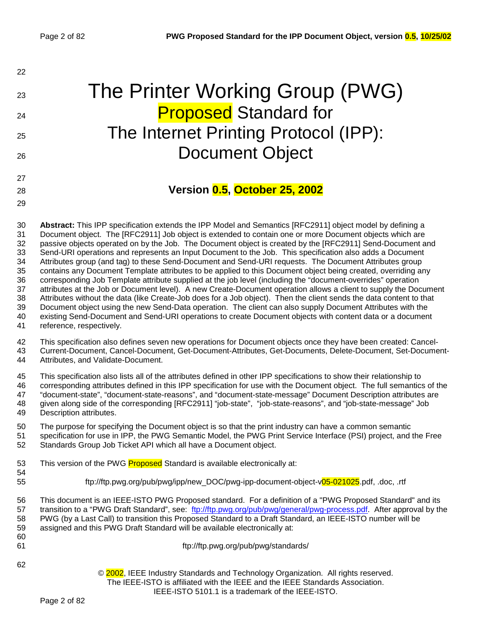| 22 |                                       |
|----|---------------------------------------|
| 23 | The Printer Working Group (PWG)       |
| 24 | <b>Proposed Standard for</b>          |
| 25 | The Internet Printing Protocol (IPP): |
| 26 | <b>Document Object</b>                |
| 27 |                                       |
| 28 | Version 0.5, October 25, 2002         |
| 29 |                                       |

30 **Abstract:** This IPP specification extends the IPP Model and Semantics [RFC2911] object model by defining a 31 Document object. The [RFC2911] Job object is extended to contain one or more Document objects which are 32 passive objects operated on by the Job. The Document object is created by the [RFC2911] Send-Document and 33 Send-URI operations and represents an Input Document to the Job. This specification also adds a Document 34 Attributes group (and tag) to these Send-Document and Send-URI requests. The Document Attributes group 35 contains any Document Template attributes to be applied to this Document object being created, overriding any 36 corresponding Job Template attribute supplied at the job level (including the "document-overrides" operation 37 attributes at the Job or Document level). A new Create-Document operation allows a client to supply the Document 38 Attributes without the data (like Create-Job does for a Job object). Then the client sends the data content to that 39 Document object using the new Send-Data operation. The client can also supply Document Attributes with the 40 existing Send-Document and Send-URI operations to create Document objects with content data or a document 41 reference, respectively.

42 This specification also defines seven new operations for Document objects once they have been created: Cancel-43 Current-Document, Cancel-Document, Get-Document-Attributes, Get-Documents, Delete-Document, Set-Document-

44 Attributes, and Validate-Document.

45 This specification also lists all of the attributes defined in other IPP specifications to show their relationship to 46 corresponding attributes defined in this IPP specification for use with the Document object. The full semantics of the 47 "document-state", "document-state-reasons", and "document-state-message" Document Description attributes are 48 given along side of the corresponding [RFC2911] "job-state", "job-state-reasons", and "job-state-message" Job 49 Description attributes.

50 The purpose for specifying the Document object is so that the print industry can have a common semantic 51 specification for use in IPP, the PWG Semantic Model, the PWG Print Service Interface (PSI) project, and the Free 52 Standards Group Job Ticket API which all have a Document object.

- 53 This version of the PWG **Proposed** Standard is available electronically at:
- 54

55 ftp://ftp.pwg.org/pub/pwg/ipp/new\_DOC/pwg-ipp-document-object-v05-021025.pdf, .doc, .rtf

56 This document is an IEEE-ISTO PWG Proposed standard. For a definition of a "PWG Proposed Standard" and its 57 transition to a "PWG Draft Standard", see: f[tp://ftp.pwg.org/pub/pwg/general/pwg-process.pdf.](ftp://ftp.pwg.org/pub/pwg/general/pwg-process.pdf) After approval by the 58 PWG (by a Last Call) to transition this Proposed Standard to a Draft Standard, an IEEE-ISTO number will be 59 assigned and this PWG Draft Standard will be available electronically at: 60

- 
- 62

61 ftp://ftp.pwg.org/pub/pwg/standards/

© 2002, IEEE Industry Standards and Technology Organization. All rights reserved. The IEEE-ISTO is affiliated with the IEEE and the IEEE Standards Association. IEEE-ISTO 5101.1 is a trademark of the IEEE-ISTO.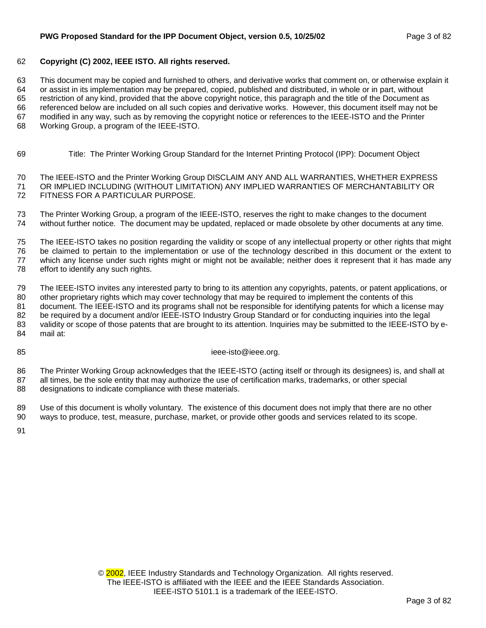### 62 **Copyright (C) 2002, IEEE ISTO. All rights reserved.**

63 This document may be copied and furnished to others, and derivative works that comment on, or otherwise explain it 64 or assist in its implementation may be prepared, copied, published and distributed, in whole or in part, without 65 restriction of any kind, provided that the above copyright notice, this paragraph and the title of the Document as 66 referenced below are included on all such copies and derivative works. However, this document itself may not be 67 modified in any way, such as by removing the copyright notice or references to the IEEE-ISTO and the Printer 68 Working Group, a program of the IEEE-ISTO.

69 Title: The Printer Working Group Standard for the Internet Printing Protocol (IPP): Document Object

70 The IEEE-ISTO and the Printer Working Group DISCLAIM ANY AND ALL WARRANTIES, WHETHER EXPRESS 71 OR IMPLIED INCLUDING (WITHOUT LIMITATION) ANY IMPLIED WARRANTIES OF MERCHANTABILITY OR 72 FITNESS FOR A PARTICULAR PURPOSE.

73 The Printer Working Group, a program of the IEEE-ISTO, reserves the right to make changes to the document 74 without further notice. The document may be updated, replaced or made obsolete by other documents at any time.

75 The IEEE-ISTO takes no position regarding the validity or scope of any intellectual property or other rights that might 76 be claimed to pertain to the implementation or use of the technology described in this document or the extent to 77 which any license under such rights might or might not be available; neither does it represent that it has made any 78 effort to identify any such rights.

79 The IEEE-ISTO invites any interested party to bring to its attention any copyrights, patents, or patent applications, or 80 other proprietary rights which may cover technology that may be required to implement the contents of this 81 document. The IEEE-ISTO and its programs shall not be responsible for identifying patents for which a license may 82 be required by a document and/or IEEE-ISTO Industry Group Standard or for conducting inquiries into the legal 83 validity or scope of those patents that are brought to its attention. Inquiries may be submitted to the IEEE-ISTO by e-84 mail at:

85 ieee-isto@ieee.org.

86 The Printer Working Group acknowledges that the IEEE-ISTO (acting itself or through its designees) is, and shall at 87 all times, be the sole entity that may authorize the use of certification marks, trademarks, or other special 88 designations to indicate compliance with these materials.

89 Use of this document is wholly voluntary. The existence of this document does not imply that there are no other 90 ways to produce, test, measure, purchase, market, or provide other goods and services related to its scope.

91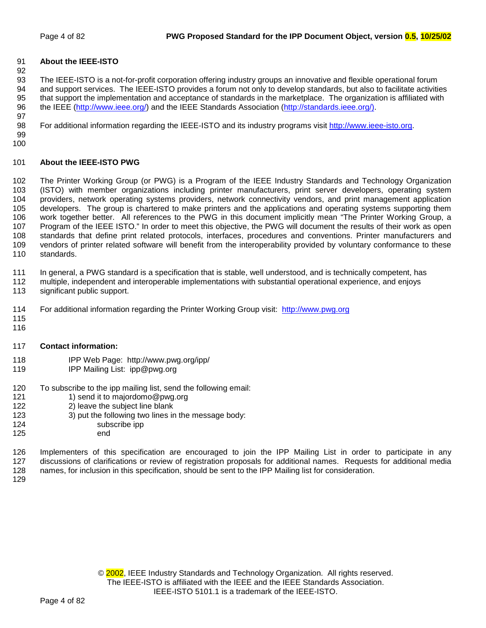## 91 **About the IEEE-ISTO**

93 The IEEE-ISTO is a not-for-profit corporation offering industry groups an innovative and flexible operational forum 94 and support services. The IEEE-ISTO provides a forum not only to develop standards, but also to facilitate activities 95 that support the implementation and acceptance of standards in the marketplace. The organization is affiliated with 96 the IEEE ([http://www.ieee.org/\)](http://www.ieee.org/) and the IEEE Standards Association (http://standards.ieee.org/). 97

98 For additional information regarding the IEEE-ISTO and its industry programs visit [http://www.ieee-isto.org.](http://www.ieee-isto.org/)

99 100

92

## 101 **About the IEEE-ISTO PWG**

102 The Printer Working Group (or PWG) is a Program of the IEEE Industry Standards and Technology Organization 103 (ISTO) with member organizations including printer manufacturers, print server developers, operating system 104 providers, network operating systems providers, network connectivity vendors, and print management application 105 developers. The group is chartered to make printers and the applications and operating systems supporting them 106 work together better. All references to the PWG in this document implicitly mean "The Printer Working Group, a 107 Program of the IEEE ISTO." In order to meet this objective, the PWG will document the results of their work as open 108 standards that define print related protocols, interfaces, procedures and conventions. Printer manufacturers and 109 vendors of printer related software will benefit from the interoperability provided by voluntary conformance to these 110 standards.

111 In general, a PWG standard is a specification that is stable, well understood, and is technically competent, has

- 112 multiple, independent and interoperable implementations with substantial operational experience, and enjoys
- 113 significant public support.
- 114 For additional information regarding the Printer Working Group visit: http://www.pwg.org
- 115 116

## 117 **Contact information:**

- 118 IPP Web Page: http://www.pwg.org/ipp/
- 119 **IPP Mailing List: ipp@pwg.org**
- 120 To subscribe to the ipp mailing list, send the following email:<br>121 13 send it to maiordomo@pwg.org
	- 1) send it to majordomo@pwg.org
- 122 2) leave the subject line blank
- 123 3) put the following two lines in the message body:<br>124 subscribe ipp
- subscribe ipp
- 125 end

126 Implementers of this specification are encouraged to join the IPP Mailing List in order to participate in any 127 discussions of clarifications or review of registration proposals for additional names. Requests for additional media 128 names, for inclusion in this specification, should be sent to the IPP Mailing list for consideration.

129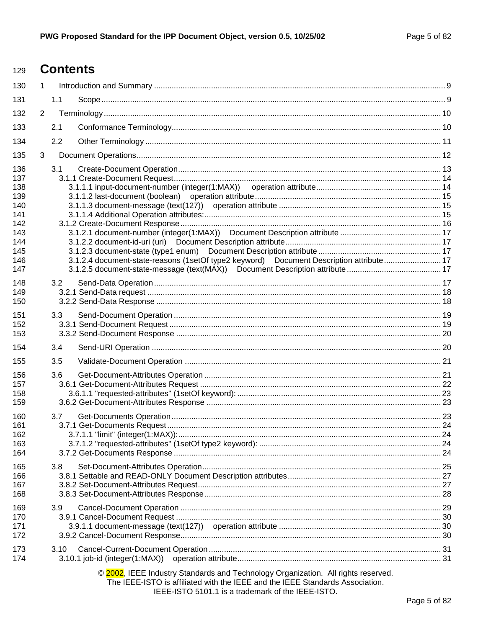#### **Contents** 129

| 130        | $\mathbf{1}$   |      |                                                                                                                                                                                                                         |  |
|------------|----------------|------|-------------------------------------------------------------------------------------------------------------------------------------------------------------------------------------------------------------------------|--|
| 131        |                | 1.1  |                                                                                                                                                                                                                         |  |
| 132        | $\overline{2}$ |      |                                                                                                                                                                                                                         |  |
| 133        |                | 2.1  |                                                                                                                                                                                                                         |  |
| 134        |                | 2.2  |                                                                                                                                                                                                                         |  |
| 135        | 3              |      |                                                                                                                                                                                                                         |  |
| 136        |                | 3.1  |                                                                                                                                                                                                                         |  |
| 137        |                |      |                                                                                                                                                                                                                         |  |
| 138        |                |      |                                                                                                                                                                                                                         |  |
| 139        |                |      |                                                                                                                                                                                                                         |  |
| 140        |                |      |                                                                                                                                                                                                                         |  |
| 141        |                |      |                                                                                                                                                                                                                         |  |
| 142<br>143 |                |      |                                                                                                                                                                                                                         |  |
| 144        |                |      |                                                                                                                                                                                                                         |  |
| 145        |                |      |                                                                                                                                                                                                                         |  |
| 146        |                |      | 3.1.2.4 document-state-reasons (1setOf type2 keyword) Document Description attribute 17                                                                                                                                 |  |
| 147        |                |      |                                                                                                                                                                                                                         |  |
| 148        |                | 3.2  |                                                                                                                                                                                                                         |  |
| 149        |                |      |                                                                                                                                                                                                                         |  |
| 150        |                |      |                                                                                                                                                                                                                         |  |
| 151        |                | 3.3  |                                                                                                                                                                                                                         |  |
| 152        |                |      |                                                                                                                                                                                                                         |  |
| 153        |                |      |                                                                                                                                                                                                                         |  |
| 154        |                | 3.4  |                                                                                                                                                                                                                         |  |
| 155        |                | 3.5  |                                                                                                                                                                                                                         |  |
| 156        |                | 3.6  |                                                                                                                                                                                                                         |  |
| 157        |                |      |                                                                                                                                                                                                                         |  |
| 158        |                |      |                                                                                                                                                                                                                         |  |
| 159        |                |      |                                                                                                                                                                                                                         |  |
| 160        |                | 3.7  |                                                                                                                                                                                                                         |  |
| 161        |                |      |                                                                                                                                                                                                                         |  |
| 162        |                |      |                                                                                                                                                                                                                         |  |
| 163        |                |      |                                                                                                                                                                                                                         |  |
| 164        |                |      |                                                                                                                                                                                                                         |  |
| 165        |                | 3.8  |                                                                                                                                                                                                                         |  |
| 166        |                |      |                                                                                                                                                                                                                         |  |
| 167        |                |      |                                                                                                                                                                                                                         |  |
| 168        |                |      |                                                                                                                                                                                                                         |  |
| 169        |                | 3.9  |                                                                                                                                                                                                                         |  |
| 170        |                |      |                                                                                                                                                                                                                         |  |
| 171        |                |      |                                                                                                                                                                                                                         |  |
| 172        |                |      |                                                                                                                                                                                                                         |  |
| 173        |                | 3.10 |                                                                                                                                                                                                                         |  |
| 174        |                |      | $3.10.1$ job-id (integer $(1:MAX)$ )                                                                                                                                                                                    |  |
|            |                |      | © 2002, IEEE Industry Standards and Technology Organization. All rights reserved.<br>The IEEE-ISTO is affiliated with the IEEE and the IEEE Standards Association.<br>IEEE-ISTO 5101.1 is a trademark of the IEEE-ISTO. |  |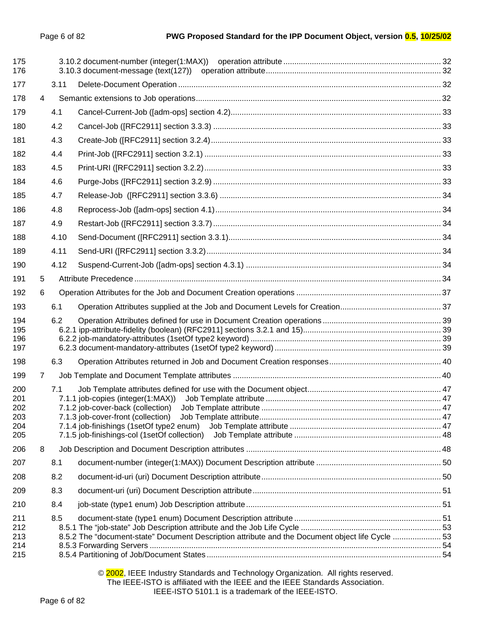| 175<br>176 |    |            |                                                                                                  |  |
|------------|----|------------|--------------------------------------------------------------------------------------------------|--|
| 177        |    | 3.11       |                                                                                                  |  |
| 178        | 4  |            |                                                                                                  |  |
| 179        |    | 4.1        |                                                                                                  |  |
| 180        |    | 4.2        |                                                                                                  |  |
| 181        |    | 4.3        |                                                                                                  |  |
| 182        |    | 4.4        |                                                                                                  |  |
| 183        |    | 4.5        |                                                                                                  |  |
| 184        |    | 4.6        |                                                                                                  |  |
| 185        |    | 4.7        |                                                                                                  |  |
| 186        |    | 4.8        |                                                                                                  |  |
| 187        |    | 4.9        |                                                                                                  |  |
| 188        |    | 4.10       |                                                                                                  |  |
| 189        |    | 4.11       |                                                                                                  |  |
| 190        |    | 4.12       |                                                                                                  |  |
| 191        | 5. |            |                                                                                                  |  |
| 192        | 6  |            |                                                                                                  |  |
| 193        |    | 6.1        |                                                                                                  |  |
| 194        |    | 6.2        |                                                                                                  |  |
| 195<br>196 |    |            |                                                                                                  |  |
| 197        |    |            |                                                                                                  |  |
| 198        |    | 6.3        |                                                                                                  |  |
| 199        | 7. |            |                                                                                                  |  |
| 200        |    | 7.1        |                                                                                                  |  |
| 201<br>202 |    |            |                                                                                                  |  |
| 203        |    |            |                                                                                                  |  |
| 204        |    |            | 7.1.4 job-finishings (1setOf type2 enum)                                                         |  |
| 205        |    |            |                                                                                                  |  |
| 206        | 8  |            |                                                                                                  |  |
| 207<br>208 |    | 8.1<br>8.2 |                                                                                                  |  |
|            |    | 8.3        |                                                                                                  |  |
| 209<br>210 |    | 8.4        |                                                                                                  |  |
|            |    |            |                                                                                                  |  |
| 211<br>212 |    | 8.5        |                                                                                                  |  |
| 213        |    |            | 8.5.2 The "document-state" Document Description attribute and the Document object life Cycle  53 |  |
| 214<br>215 |    |            |                                                                                                  |  |
|            |    |            |                                                                                                  |  |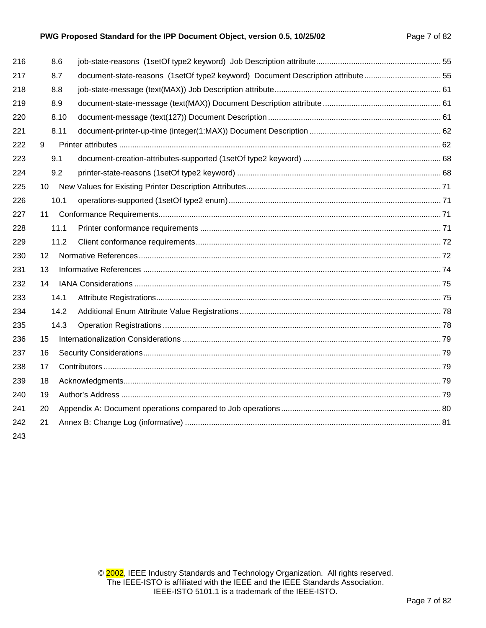## PWG Proposed Standard for the IPP Document Object, version 0.5, 10/25/02 Page 7 of 82

| 216 | 8.6  |                                                                                |  |
|-----|------|--------------------------------------------------------------------------------|--|
| 217 | 8.7  | document-state-reasons (1setOf type2 keyword) Document Description attribute55 |  |
| 218 | 8.8  |                                                                                |  |
| 219 | 8.9  |                                                                                |  |
| 220 | 8.10 |                                                                                |  |
| 221 | 8.11 |                                                                                |  |
| 222 | 9    |                                                                                |  |
| 223 | 9.1  |                                                                                |  |
| 224 | 9.2  |                                                                                |  |
| 225 | 10   |                                                                                |  |
| 226 | 10.1 |                                                                                |  |
| 227 | 11   |                                                                                |  |
| 228 | 11.1 |                                                                                |  |
| 229 | 11.2 |                                                                                |  |
| 230 | 12   |                                                                                |  |
| 231 | 13   |                                                                                |  |
| 232 | 14   |                                                                                |  |
| 233 | 14.1 |                                                                                |  |
| 234 | 14.2 |                                                                                |  |
| 235 | 14.3 |                                                                                |  |
| 236 | 15   |                                                                                |  |
| 237 | 16   |                                                                                |  |
| 238 | 17   |                                                                                |  |
| 239 | 18   |                                                                                |  |
| 240 | 19   |                                                                                |  |
| 241 | 20   |                                                                                |  |
| 242 | 21   |                                                                                |  |
| 010 |      |                                                                                |  |

243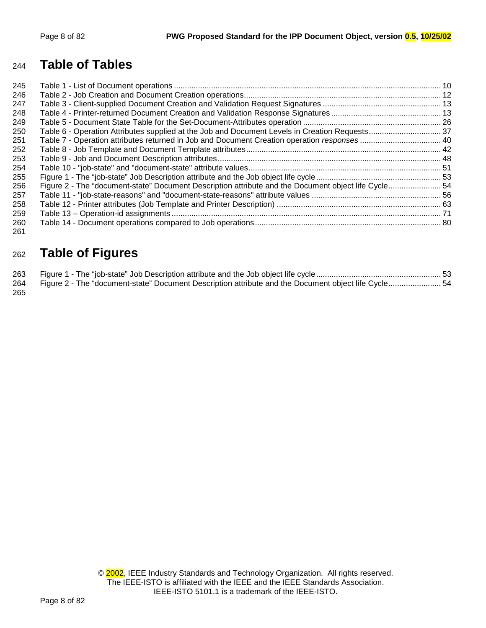# **Table of Tables**

| 245 |                                                                                                      |  |
|-----|------------------------------------------------------------------------------------------------------|--|
| 246 |                                                                                                      |  |
| 247 |                                                                                                      |  |
| 248 |                                                                                                      |  |
| 249 |                                                                                                      |  |
| 250 |                                                                                                      |  |
| 251 |                                                                                                      |  |
| 252 |                                                                                                      |  |
| 253 |                                                                                                      |  |
| 254 |                                                                                                      |  |
| 255 |                                                                                                      |  |
| 256 | Figure 2 - The "document-state" Document Description attribute and the Document object life Cycle 54 |  |
| 257 |                                                                                                      |  |
| 258 |                                                                                                      |  |
| 259 |                                                                                                      |  |
| 260 |                                                                                                      |  |
| 261 |                                                                                                      |  |

# **Table of Figures**

| 264 Figure 2 - The "document-state" Document Description attribute and the Document object life Cycle 54 |  |
|----------------------------------------------------------------------------------------------------------|--|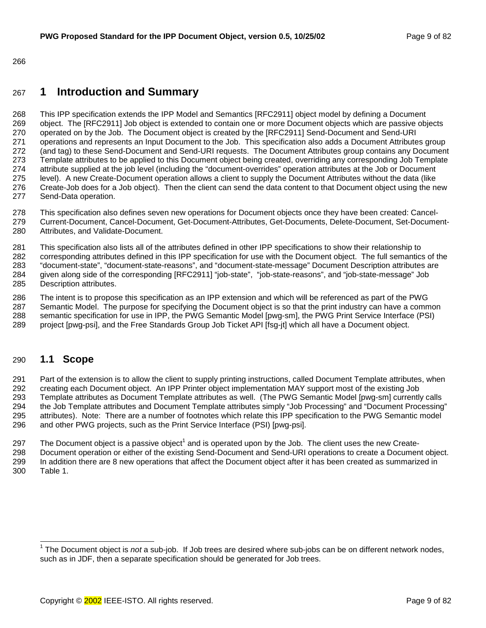<span id="page-8-0"></span>266

# 267 **1 Introduction and Summary**

268 This IPP specification extends the IPP Model and Semantics [RFC2911] object model by defining a Document 269 object. The [RFC2911] Job object is extended to contain one or more Document objects which are passive objects 270 operated on by the Job. The Document object is created by the [RFC2911] Send-Document and Send-URI 271 operations and represents an Input Document to the Job. This specification also adds a Document Attributes group 272 (and tag) to these Send-Document and Send-URI requests. The Document Attributes group contains any Document 273 Template attributes to be applied to this Document object being created, overriding any corresponding Job Template 274 attribute supplied at the job level (including the "document-overrides" operation attributes at the Job or Document 275 level). A new Create-Document operation allows a client to supply the Document Attributes without the data (like 276 Create-Job does for a Job object). Then the client can send the data content to that Document object using the new 277 Send-Data operation.

- 278 This specification also defines seven new operations for Document objects once they have been created: Cancel-279 Current-Document, Cancel-Document, Get-Document-Attributes, Get-Documents, Delete-Document, Set-Document-
- 280 Attributes, and Validate-Document.

281 This specification also lists all of the attributes defined in other IPP specifications to show their relationship to 282 corresponding attributes defined in this IPP specification for use with the Document object. The full semantics of the 283 "document-state", "document-state-reasons", and "document-state-message" Document Description attributes are 284 given along side of the corresponding [RFC2911] "job-state", "job-state-reasons", and "job-state-message" Job 285 Description attributes.

286 The intent is to propose this specification as an IPP extension and which will be referenced as part of the PWG 287 Semantic Model. The purpose for specifying the Document object is so that the print industry can have a common 288 semantic specification for use in IPP, the PWG Semantic Model [pwg-sm], the PWG Print Service Interface (PSI) 289 project [pwg-psi], and the Free Standards Group Job Ticket API [fsg-jt] which all have a Document object.

# 290 **1.1 Scope**

291 Part of the extension is to allow the client to supply printing instructions, called Document Template attributes, when 292 creating each Document object. An IPP Printer object implementation MAY support most of the existing Job 293 Template attributes as Document Template attributes as well. (The PWG Semantic Model [pwg-sm] currently calls 294 the Job Template attributes and Document Template attributes simply "Job Processing" and "Document Processing" 295 attributes). Note: There are a number of footnotes which relate this IPP specification to the PWG Semantic model 296 and other PWG projects, such as the Print Service Interface (PSI) [pwg-psi].

297 The Document object is a passive object<sup>1</sup> and is operated upon by the Job. The client uses the new Create-298 Document operation or either of the existing Send-Document and Send-URI operations to create a Document object. 299 In addition there are 8 new operations that affect the Document object after it has been created as summarized in 300 [Table 1.](#page-9-0) 

 1 The Document object is *not* a sub-job. If Job trees are desired where sub-jobs can be on different network nodes, such as in JDF, then a separate specification should be generated for Job trees.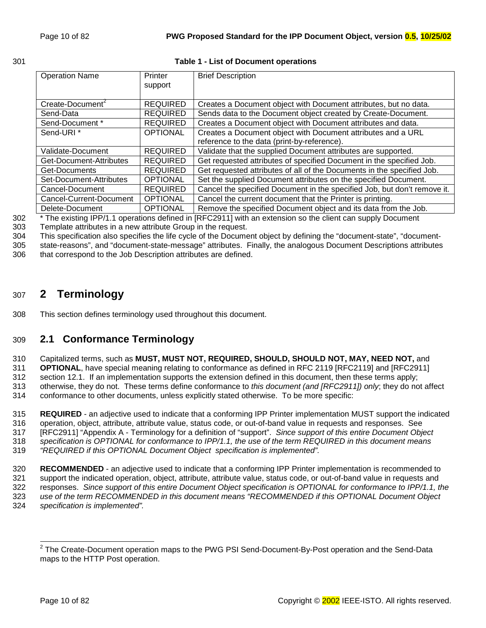## <span id="page-9-0"></span>301 **Table 1 - List of Document operations**

| <b>Operation Name</b>        | Printer<br>support | <b>Brief Description</b>                                                 |  |
|------------------------------|--------------------|--------------------------------------------------------------------------|--|
|                              |                    |                                                                          |  |
| Create-Document <sup>2</sup> | <b>REQUIRED</b>    | Creates a Document object with Document attributes, but no data.         |  |
| Send-Data                    | <b>REQUIRED</b>    | Sends data to the Document object created by Create-Document.            |  |
| Send-Document *              | <b>REQUIRED</b>    | Creates a Document object with Document attributes and data.             |  |
| Send-URI <sup>*</sup>        | <b>OPTIONAL</b>    | Creates a Document object with Document attributes and a URL             |  |
|                              |                    | reference to the data (print-by-reference).                              |  |
| Validate-Document            | <b>REQUIRED</b>    | Validate that the supplied Document attributes are supported.            |  |
| Get-Document-Attributes      | <b>REQUIRED</b>    | Get requested attributes of specified Document in the specified Job.     |  |
| Get-Documents                | <b>REQUIRED</b>    | Get requested attributes of all of the Documents in the specified Job.   |  |
| Set-Document-Attributes      | <b>OPTIONAL</b>    | Set the supplied Document attributes on the specified Document.          |  |
| Cancel-Document              | <b>REQUIRED</b>    | Cancel the specified Document in the specified Job, but don't remove it. |  |
| Cancel-Current-Document      | <b>OPTIONAL</b>    | Cancel the current document that the Printer is printing.                |  |
| Delete-Document              | <b>OPTIONAL</b>    | Remove the specified Document object and its data from the Job.          |  |

<sup>302</sup> <sup>\*</sup> The existing IPP/1.1 operations defined in [RFC2911] with an extension so the client can supply Document

303 Template attributes in a new attribute Group in the request.

304 This specification also specifies the life cycle of the Document object by defining the "document-state", "document-305 state-reasons", and "document-state-message" attributes. Finally, the analogous Document Descriptions attributes

306 that correspond to the Job Description attributes are defined.

# 307 **2 Terminology**

308 This section defines terminology used throughout this document.

# 309 **2.1 Conformance Terminology**

310 Capitalized terms, such as **MUST, MUST NOT, REQUIRED, SHOULD, SHOULD NOT, MAY, NEED NOT,** and

311 **OPTIONAL**, have special meaning relating to conformance as defined in RFC 2119 [RFC2119] and [RFC2911] 312 section 12.1. If an implementation supports the extension defined in this document, then these terms apply;

313 otherwise, they do not. These terms define conformance to *this document (and [RFC2911]) only*; they do not affect

314 conformance to other documents, unless explicitly stated otherwise. To be more specific:

315 **REQUIRED** - an adjective used to indicate that a conforming IPP Printer implementation MUST support the indicated 316 operation, object, attribute, attribute value, status code, or out-of-band value in requests and responses. See 317 [RFC2911] "Appendix A - Terminology for a definition of "support". *Since support of this entire Document Object*  318 *specification is OPTIONAL for conformance to IPP/1.1, the use of the term REQUIRED in this document means* 

319 *"REQUIRED if this OPTIONAL Document Object specification is implemented".*

320 **RECOMMENDED** - an adjective used to indicate that a conforming IPP Printer implementation is recommended to 321 support the indicated operation, object, attribute, attribute value, status code, or out-of-band value in requests and 322 responses. *Since support of this entire Document Object specification is OPTIONAL for conformance to IPP/1.1, the*  323 *use of the term RECOMMENDED in this document means "RECOMMENDED if this OPTIONAL Document Object*  324 *specification is implemented".*

 2 The Create-Document operation maps to the PWG PSI Send-Document-By-Post operation and the Send-Data maps to the HTTP Post operation.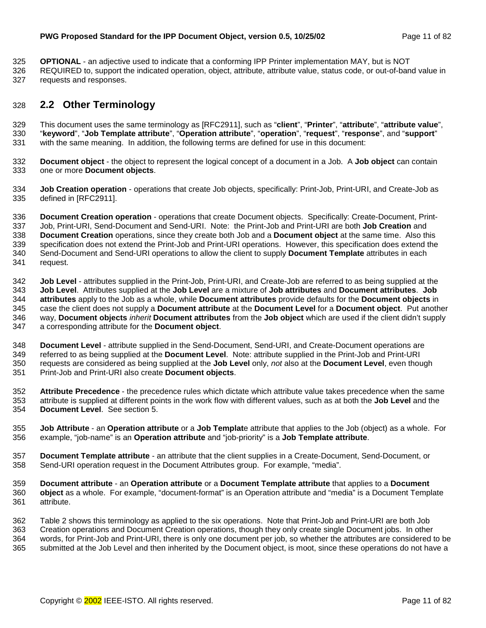<span id="page-10-0"></span>325 **OPTIONAL** - an adjective used to indicate that a conforming IPP Printer implementation MAY, but is NOT

326 REQUIRED to, support the indicated operation, object, attribute, attribute value, status code, or out-of-band value in 327 requests and responses.

# 328 **2.2 Other Terminology**

329 This document uses the same terminology as [RFC2911], such as "**client**", "**Printer**", "**attribute**", "**attribute value**", 330 "**keyword**", "**Job Template attribute**", "**Operation attribute**", "**operation**", "**request**", "**response**", and "**support**" 331 with the same meaning. In addition, the following terms are defined for use in this document:

332 **Document object** - the object to represent the logical concept of a document in a Job. A **Job object** can contain 333 one or more **Document objects**.

334 **Job Creation operation** - operations that create Job objects, specifically: Print-Job, Print-URI, and Create-Job as 335 defined in [RFC2911].

336 **Document Creation operation** - operations that create Document objects. Specifically: Create-Document, Print-337 Job, Print-URI, Send-Document and Send-URI. Note: the Print-Job and Print-URI are both **Job Creation** and 338 **Document Creation** operations, since they create both Job and a **Document object** at the same time. Also this 339 specification does not extend the Print-Job and Print-URI operations. However, this specification does extend the 340 Send-Document and Send-URI operations to allow the client to supply **Document Template** attributes in each 341 request.

342 **Job Level** - attributes supplied in the Print-Job, Print-URI, and Create-Job are referred to as being supplied at the 343 **Job Level**. Attributes supplied at the **Job Level** are a mixture of **Job attributes** and **Document attributes**. **Job**  344 **attributes** apply to the Job as a whole, while **Document attributes** provide defaults for the **Document objects** in 345 case the client does not supply a **Document attribute** at the **Document Level** for a **Document object**. Put another 346 way, **Document objects** *inherit* **Document attributes** from the **Job object** which are used if the client didn't supply 347 a corresponding attribute for the **Document object**.

348 **Document Level** - attribute supplied in the Send-Document, Send-URI, and Create-Document operations are 349 referred to as being supplied at the **Document Level**. Note: attribute supplied in the Print-Job and Print-URI 350 requests are considered as being supplied at the **Job Level** only, *not* also at the **Document Level**, even though 351 Print-Job and Print-URI also create **Document objects**.

352 **Attribute Precedence** - the precedence rules which dictate which attribute value takes precedence when the same 353 attribute is supplied at different points in the work flow with different values, such as at both the **Job Level** and the 354 **Document Level**. See section [5.](#page-33-0)

355 **Job Attribute** - an **Operation attribute** or a **Job Templat**e attribute that applies to the Job (object) as a whole. For 356 example, "job-name" is an **Operation attribute** and "job-priority" is a **Job Template attribute**.

357 **Document Template attribute** - an attribute that the client supplies in a Create-Document, Send-Document, or 358 Send-URI operation request in the Document Attributes group. For example, "media".

359 **Document attribute** - an **Operation attribute** or a **Document Template attribute** that applies to a **Document**  360 **object** as a whole. For example, "document-format" is an Operation attribute and "media" is a Document Template 361 attribute.

362 [Table 2 s](#page-11-0)hows this terminology as applied to the six operations. Note that Print-Job and Print-URI are both Job 363 Creation operations and Document Creation operations, though they only create single Document jobs. In other 364 words, for Print-Job and Print-URI, there is only one document per job, so whether the attributes are considered to be 365 submitted at the Job Level and then inherited by the Document object, is moot, since these operations do not have a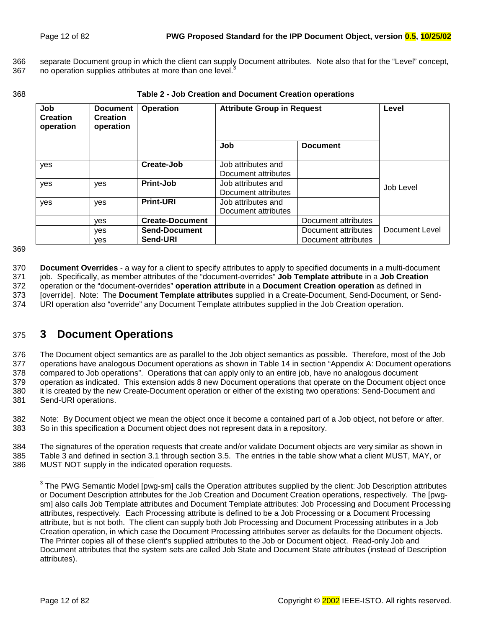<span id="page-11-0"></span>366 separate Document group in which the client can supply Document attributes. Note also that for the "Level" concept, 367 no operation supplies attributes at more than one level.<sup>3</sup>

#### 368 **Table 2 - Job Creation and Document Creation operations**

| Job<br><b>Creation</b><br>operation | <b>Document</b><br><b>Creation</b><br>operation | Operation              | <b>Attribute Group in Request</b>         | Level               |                |
|-------------------------------------|-------------------------------------------------|------------------------|-------------------------------------------|---------------------|----------------|
|                                     |                                                 |                        | Job                                       | <b>Document</b>     |                |
| yes                                 |                                                 | Create-Job             | Job attributes and<br>Document attributes |                     |                |
| yes                                 | yes                                             | <b>Print-Job</b>       | Job attributes and<br>Document attributes |                     | Job Level      |
| yes                                 | yes                                             | <b>Print-URI</b>       | Job attributes and<br>Document attributes |                     |                |
|                                     | ves                                             | <b>Create-Document</b> |                                           | Document attributes |                |
|                                     | ves                                             | <b>Send-Document</b>   |                                           | Document attributes | Document Level |
|                                     | ves                                             | Send-URI               |                                           | Document attributes |                |

369

370 **Document Overrides** - a way for a client to specify attributes to apply to specified documents in a multi-document 371 job. Specifically, as member attributes of the "document-overrides" **Job Template attribute** in a **Job Creation** 372 operation or the "document-overrides" **operation attribute** in a **Document Creation operation** as defined in 373 [override]. Note: The **Document Template attributes** supplied in a Create-Document, Send-Document, or Send-374 URI operation also "override" any Document Template attributes supplied in the Job Creation operation.

# 375 **3 Document Operations**

376 The Document object semantics are as parallel to the Job object semantics as possible. Therefore, most of the Job 377 operations have analogous Document operations as shown in [Table 14 i](#page-79-0)n section "A[ppendix A: Document operations](#page-79-0)  378 [compared to Job operations".](#page-79-0) Operations that can apply only to an entire job, have no analogous document 379 operation as indicated. This extension adds 8 new Document operations that operate on the Document object once 380 it is created by the new Create-Document operation or either of the existing two operations: Send-Document and 381 Send-URI operations.

382 Note: By Document object we mean the object once it become a contained part of a Job object, not before or after. 383 So in this specification a Document object does not represent data in a repository.

384 The signatures of the operation requests that create and/or validate Document objects are very similar as shown in 385 [Table 3 a](#page-12-0)nd defined in section 3[.1 t](#page-12-0)hrough section 3[.5.](#page-20-0) The entries in the table show what a client MUST, MAY, or 386 MUST NOT supply in the indicated operation requests.

 $\overline{a}$ 

 $3$  The PWG Semantic Model [pwg-sm] calls the Operation attributes supplied by the client: Job Description attributes or Document Description attributes for the Job Creation and Document Creation operations, respectively. The [pwgsm] also calls Job Template attributes and Document Template attributes: Job Processing and Document Processing attributes, respectively. Each Processing attribute is defined to be a Job Processing or a Document Processing attribute, but is not both. The client can supply both Job Processing and Document Processing attributes in a Job Creation operation, in which case the Document Processing attributes server as defaults for the Document objects. The Printer copies all of these client's supplied attributes to the Job or Document object. Read-only Job and Document attributes that the system sets are called Job State and Document State attributes (instead of Description attributes).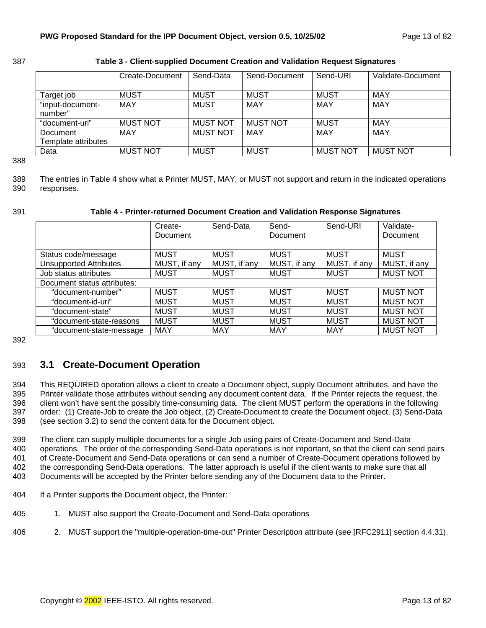<span id="page-12-0"></span>

| 387 | Table 3 - Client-supplied Document Creation and Validation Request Signatures |
|-----|-------------------------------------------------------------------------------|
|     |                                                                               |

|                             | Create-Document | Send-Data       | Send-Document   | Send-URI        | Validate-Document |
|-----------------------------|-----------------|-----------------|-----------------|-----------------|-------------------|
| Target job                  | MUST            | <b>MUST</b>     | <b>MUST</b>     | <b>MUST</b>     | MAY               |
| "input-document-<br>number" | MAY             | <b>MUST</b>     | <b>MAY</b>      | MAY             | MAY               |
| "document-uri"              | <b>MUST NOT</b> | <b>MUST NOT</b> | <b>MUST NOT</b> | <b>MUST</b>     | MAY               |
| Document                    | MAY             | <b>MUST NOT</b> | <b>MAY</b>      | <b>MAY</b>      | MAY               |
| Template attributes         |                 |                 |                 |                 |                   |
| Data                        | <b>MUST NOT</b> | <b>MUST</b>     | <b>MUST</b>     | <b>MUST NOT</b> | <b>MUST NOT</b>   |

388

389 The entries in Table 4 show what a Printer MUST, MAY, or MUST not support and return in the indicated operations 390 responses.

### 391 **Table 4 - Printer-returned Document Creation and Validation Response Signatures**

|                               | Create-<br><b>Document</b> | Send-Data    | Send-<br>Document | Send-URI     | Validate-<br>Document |
|-------------------------------|----------------------------|--------------|-------------------|--------------|-----------------------|
| Status code/message           | <b>MUST</b>                | <b>MUST</b>  | <b>MUST</b>       | <b>MUST</b>  | <b>MUST</b>           |
| <b>Unsupported Attributes</b> | MUST, if any               | MUST, if any | MUST, if any      | MUST, if any | MUST, if any          |
| Job status attributes         | <b>MUST</b>                | <b>MUST</b>  | <b>MUST</b>       | <b>MUST</b>  | <b>MUST NOT</b>       |
| Document status attributes:   |                            |              |                   |              |                       |
| "document-number"             | <b>MUST</b>                | <b>MUST</b>  | <b>MUST</b>       | <b>MUST</b>  | <b>MUST NOT</b>       |
| "document-id-uri"             | <b>MUST</b>                | <b>MUST</b>  | <b>MUST</b>       | <b>MUST</b>  | <b>MUST NOT</b>       |
| "document-state"              | <b>MUST</b>                | <b>MUST</b>  | <b>MUST</b>       | <b>MUST</b>  | <b>MUST NOT</b>       |
| "document-state-reasons       | <b>MUST</b>                | <b>MUST</b>  | <b>MUST</b>       | <b>MUST</b>  | <b>MUST NOT</b>       |
| "document-state-message       | <b>MAY</b>                 | MAY          | MAY               | <b>MAY</b>   | <b>MUST NOT</b>       |

392

# 393 **3.1 Create-Document Operation**

394 This REQUIRED operation allows a client to create a Document object, supply Document attributes, and have the 395 Printer validate those attributes without sending any document content data. If the Printer rejects the request, the 396 client won't have sent the possibly time-consuming data. The client MUST perform the operations in the following 397 order: (1) Create-Job to create the Job object, (2) Create-Document to create the Document object, (3) Send-Data 398 (see section 3[.2\)](#page-16-0) to send the content data for the Document object.

399 The client can supply multiple documents for a single Job using pairs of Create-Document and Send-Data 400 operations. The order of the corresponding Send-Data operations is not important, so that the client can send pairs 401 of Create-Document and Send-Data operations or can send a number of Create-Document operations followed by 402 the corresponding Send-Data operations. The latter approach is useful if the client wants to make sure that all 403 Documents will be accepted by the Printer before sending any of the Document data to the Printer.

- 404 If a Printer supports the Document object, the Printer:
- 405 1. MUST also support the Create-Document and Send-Data operations
- 406 2. MUST support the "multiple-operation-time-out" Printer Description attribute (see [RFC2911] section 4.4.31).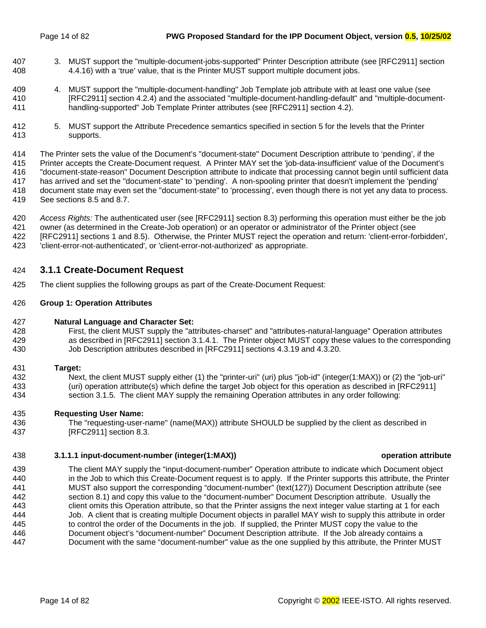- <span id="page-13-0"></span>407 3. MUST support the "multiple-document-jobs-supported" Printer Description attribute (see [RFC2911] section 408 4.4.16) with a 'true' value, that is the Printer MUST support multiple document jobs.
- 409 4. MUST support the "multiple-document-handling" Job Template job attribute with at least one value (see 410 [RFC2911] section 4.2.4) and the associated "multiple-document-handling-default" and "multiple-document-411 handling-supported" Job Template Printer attributes (see [RFC2911] section 4.2).
- 412 5. MUST support the Attribute Precedence semantics specified in section [5 f](#page-33-0)or the levels that the Printer 413 supports.

414 The Printer sets the value of the Document's "document-state" Document Description attribute to 'pending', if the 415 Printer accepts the Create-Document request. A Printer MAY set the 'job-data-insufficient' value of the Document's 416 "document-state-reason" Document Description attribute to indicate that processing cannot begin until sufficient data 417 has arrived and set the "document-state" to 'pending'. A non-spooling printer that doesn't implement the 'pending' 418 document state may even set the "document-state" to 'processing', even though there is not yet any data to process. 419 See sections [8.5 a](#page-50-0)nd [8.7.](#page-54-0) 

420 *Access Rights:* The authenticated user (see [RFC2911] section 8.3) performing this operation must either be the job 421 owner (as determined in the Create-Job operation) or an operator or administrator of the Printer object (see 422 [RFC2911] sections 1 and 8.5). Otherwise, the Printer MUST reject the operation and return: 'client-error-forbidden', 423 'client-error-not-authenticated', or 'client-error-not-authorized' as appropriate.

# 424 **3.1.1 Create-Document Request**

425 The client supplies the following groups as part of the Create-Document Request:

## 426 **Group 1: Operation Attributes**

- 427 **Natural Language and Character Set:**
- 428 First, the client MUST supply the "attributes-charset" and "attributes-natural-language" Operation attributes 429 as described in [RFC2911] section 3.1.4.1. The Printer object MUST copy these values to the corresponding 430 Job Description attributes described in [RFC2911] sections 4.3.19 and 4.3.20.
- 431 **Target:**
- 432 Next, the client MUST supply either (1) the "printer-uri" (uri) plus "job-id" (integer(1:MAX)) or (2) the "job-uri" 433 (uri) operation attribute(s) which define the target Job object for this operation as described in [RFC2911] 434 section 3.1.5. The client MAY supply the remaining Operation attributes in any order following:
- 435 **Requesting User Name:**
- 436 The "requesting-user-name" (name(MAX)) attribute SHOULD be supplied by the client as described in 437 [RFC2911] section 8.3.

## 438 **3.1.1.1 input-document-number (integer(1:MAX)) operation attribute**

439 The client MAY supply the "input-document-number" Operation attribute to indicate which Document object 440 in the Job to which this Create-Document request is to apply. If the Printer supports this attribute, the Printer 441 MUST also support the corresponding "document-number" (text(127)) Document Description attribute (see 442 section 8.[1\)](#page-49-0) and copy this value to the "document-number" Document Description attribute. Usually the 443 client omits this Operation attribute, so that the Printer assigns the next integer value starting at 1 for each 444 Job. A client that is creating multiple Document objects in parallel MAY wish to supply this attribute in order 445 to control the order of the Documents in the job. If supplied, the Printer MUST copy the value to the 446 Document object's "document-number" Document Description attribute. If the Job already contains a 447 Document with the same "document-number" value as the one supplied by this attribute, the Printer MUST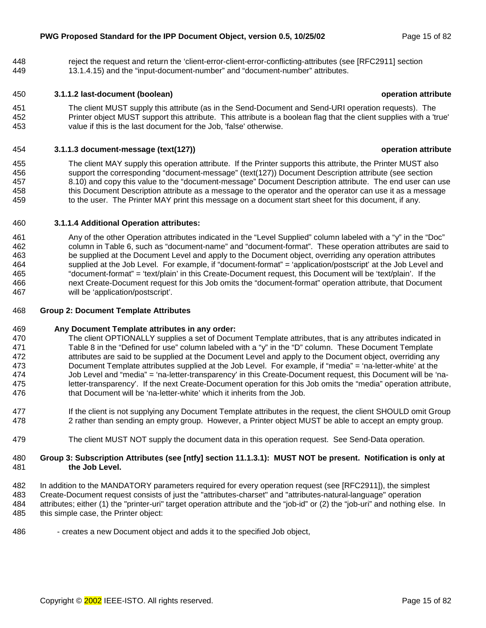<span id="page-14-0"></span>448 reject the request and return the 'client-error-client-error-conflicting-attributes (see [RFC2911] section 449 13.1.4.15) and the "input-document-number" and "document-number" attributes.

## 450 **3.1.1.2 last-document (boolean) operation attribute**

451 The client MUST supply this attribute (as in the Send-Document and Send-URI operation requests). The 452 Printer object MUST support this attribute. This attribute is a boolean flag that the client supplies with a 'true' 453 value if this is the last document for the Job, 'false' otherwise.

#### 454 **3.1.1.3 document-message (text(127)) operation attribute**

455 The client MAY supply this operation attribute. If the Printer supports this attribute, the Printer MUST also 456 support the corresponding "document-message" (text(127)) Document Description attribute (see section 457 [8.10\)](#page-60-0) and copy this value to the "document-message" Document Description attribute. The end user can use 458 this Document Description attribute as a message to the operator and the operator can use it as a message 459 to the user. The Printer MAY print this message on a document start sheet for this document, if any.

### 460 **3.1.1.4 Additional Operation attributes:**

461 Any of the other Operation attributes indicated in the "Level Supplied" column labeled with a "y" in the "Doc" 462 column in [Table 6,](#page-36-0) such as "document-name" and "document-format". These operation attributes are said to 463 be supplied at the Document Level and apply to the Document object, overriding any operation attributes 464 supplied at the Job Level. For example, if "document-format" = 'application/postscript' at the Job Level and 465 "document-format" = 'text/plain' in this Create-Document request, this Document will be 'text/plain'. If the 466 next Create-Document request for this Job omits the "document-format" operation attribute, that Document 467 will be 'application/postscript'.

#### 468 **Group 2: Document Template Attributes**

#### 469 **Any Document Template attributes in any order:**

- 470 The client OPTIONALLY supplies a set of Document Template attributes, that is any attributes indicated in 471 [Table 8 i](#page-41-0)n the "Defined for use" column labeled with a "y" in the "D" column. These Document Template 472 attributes are said to be supplied at the Document Level and apply to the Document object, overriding any 473 Document Template attributes supplied at the Job Level. For example, if "media" = 'na-letter-white' at the 474 Job Level and "media" = 'na-letter-transparency' in this Create-Document request, this Document will be 'na-475 letter-transparency'. If the next Create-Document operation for this Job omits the "media" operation attribute, 476 that Document will be 'na-letter-white' which it inherits from the Job.
- 477 If the client is not supplying any Document Template attributes in the request, the client SHOULD omit Group 478 2 rather than sending an empty group. However, a Printer object MUST be able to accept an empty group.
- 479 The client MUST NOT supply the document data in this operation request. See Send-Data operation.

#### 480 **Group 3: Subscription Attributes (see [ntfy] section 11.1.3.1): MUST NOT be present. Notification is only at**  481 **the Job Level.**

- 482 In addition to the MANDATORY parameters required for every operation request (see [RFC2911]), the simplest 483 Create-Document request consists of just the "attributes-charset" and "attributes-natural-language" operation 484 attributes; either (1) the "printer-uri" target operation attribute and the "job-id" or (2) the "job-uri" and nothing else. In 485 this simple case, the Printer object:
- 486 creates a new Document object and adds it to the specified Job object,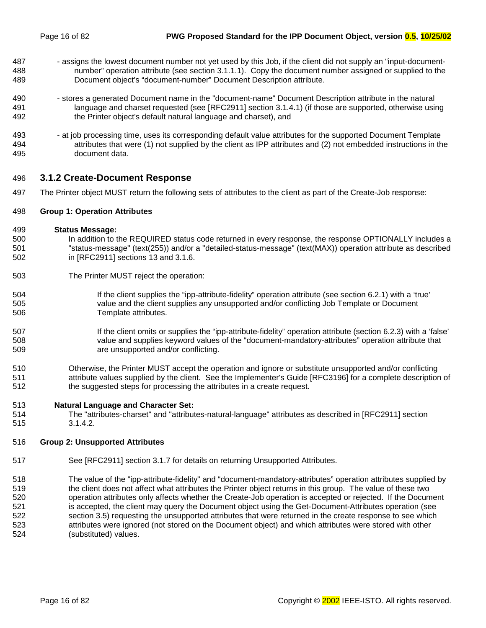- <span id="page-15-0"></span>487 - assigns the lowest document number not yet used by this Job, if the client did not supply an "input-document-488 number" operation attribute (see section 3[.1.1.1\).](#page-13-0) Copy the document number assigned or supplied to the 489 Document object's "document-number" Document Description attribute.
- 490 stores a generated Document name in the "document-name" Document Description attribute in the natural 491 language and charset requested (see [RFC2911] section 3.1.4.1) (if those are supported, otherwise using 492 the Printer object's default natural language and charset), and
- 493 at job processing time, uses its corresponding default value attributes for the supported Document Template 494 attributes that were (1) not supplied by the client as IPP attributes and (2) not embedded instructions in the 495 document data.

## 496 **3.1.2 Create-Document Response**

497 The Printer object MUST return the following sets of attributes to the client as part of the Create-Job response:

#### 498 **Group 1: Operation Attributes**

- 499 **Status Message:**
- 500 In addition to the REQUIRED status code returned in every response, the response OPTIONALLY includes a 501 "status-message" (text(255)) and/or a "detailed-status-message" (text(MAX)) operation attribute as described 502 in [RFC2911] sections 13 and 3.1.6.
- 503 The Printer MUST reject the operation:
- 504 If the client supplies the "ipp-attribute-fidelity" operation attribute (see section [6.2.1\) w](#page-38-0)ith a 'true' 505 value and the client supplies any unsupported and/or conflicting Job Template or Document 506 Template attributes.
- 507 **If the client omits or supplies the "ipp-attribute-fidelity" operation attribute (section 6[.2.3\) w](#page-38-0)ith a 'false'** 508 value and supplies keyword values of the "document-mandatory-attributes" operation attribute that 509 are unsupported and/or conflicting.
- 510 Otherwise, the Printer MUST accept the operation and ignore or substitute unsupported and/or conflicting 511 attribute values supplied by the client. See the Implementer's Guide [RFC3196] for a complete description of 512 the suggested steps for processing the attributes in a create request.

#### 513 **Natural Language and Character Set:**

514 The "attributes-charset" and "attributes-natural-language" attributes as described in [RFC2911] section 515 3.1.4.2.

## 516 **Group 2: Unsupported Attributes**

- 517 See [RFC2911] section 3.1.7 for details on returning Unsupported Attributes.
- 518 The value of the "ipp-attribute-fidelity" and "document-mandatory-attributes" operation attributes supplied by 519 the client does not affect what attributes the Printer object returns in this group. The value of these two 520 operation attributes only affects whether the Create-Job operation is accepted or rejected. If the Document 521 is accepted, the client may query the Document object using the Get-Document-Attributes operation (see 522 section 3.[5\)](#page-20-0) requesting the unsupported attributes that were returned in the create response to see which 523 attributes were ignored (not stored on the Document object) and which attributes were stored with other 524 (substituted) values.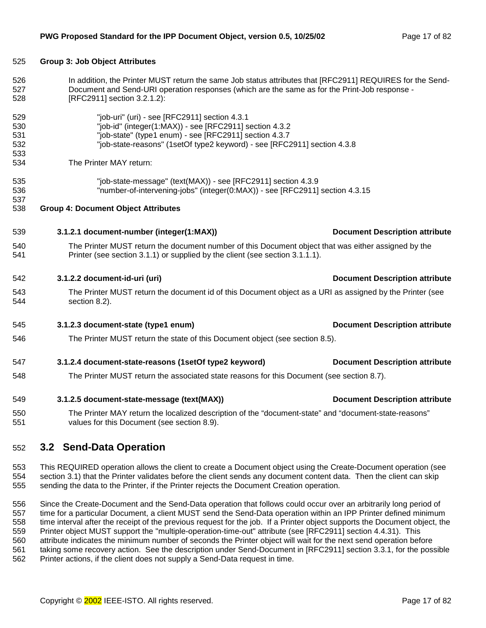| 526        | In addition, the Printer MUST return the same Job status attributes that [RFC2911] REQUIRES for the Send-                                            |                                       |  |  |  |  |
|------------|------------------------------------------------------------------------------------------------------------------------------------------------------|---------------------------------------|--|--|--|--|
| 527<br>528 | Document and Send-URI operation responses (which are the same as for the Print-Job response -<br>[RFC2911] section 3.2.1.2):                         |                                       |  |  |  |  |
| 529        | "job-uri" (uri) - see [RFC2911] section 4.3.1                                                                                                        |                                       |  |  |  |  |
| 530        | "job-id" (integer(1:MAX)) - see [RFC2911] section 4.3.2                                                                                              |                                       |  |  |  |  |
| 531        | "job-state" (type1 enum) - see [RFC2911] section 4.3.7                                                                                               |                                       |  |  |  |  |
| 532        | "job-state-reasons" (1setOf type2 keyword) - see [RFC2911] section 4.3.8                                                                             |                                       |  |  |  |  |
| 533        |                                                                                                                                                      |                                       |  |  |  |  |
| 534        | The Printer MAY return:                                                                                                                              |                                       |  |  |  |  |
| 535        | "job-state-message" (text(MAX)) - see [RFC2911] section 4.3.9                                                                                        |                                       |  |  |  |  |
| 536        | "number-of-intervening-jobs" (integer(0:MAX)) - see [RFC2911] section 4.3.15                                                                         |                                       |  |  |  |  |
| 537        |                                                                                                                                                      |                                       |  |  |  |  |
| 538        | <b>Group 4: Document Object Attributes</b>                                                                                                           |                                       |  |  |  |  |
| 539        | 3.1.2.1 document-number (integer(1:MAX))                                                                                                             | <b>Document Description attribute</b> |  |  |  |  |
| 540        | The Printer MUST return the document number of this Document object that was either assigned by the                                                  |                                       |  |  |  |  |
| 541        | Printer (see section 3.1.1) or supplied by the client (see section 3.1.1.1).                                                                         |                                       |  |  |  |  |
| 542        | 3.1.2.2 document-id-uri (uri)                                                                                                                        | <b>Document Description attribute</b> |  |  |  |  |
| 543<br>544 | The Printer MUST return the document id of this Document object as a URI as assigned by the Printer (see<br>section 8.2).                            |                                       |  |  |  |  |
| 545        | 3.1.2.3 document-state (type1 enum)                                                                                                                  | <b>Document Description attribute</b> |  |  |  |  |
| 546        | The Printer MUST return the state of this Document object (see section 8.5).                                                                         |                                       |  |  |  |  |
| 547        | 3.1.2.4 document-state-reasons (1setOf type2 keyword)                                                                                                | <b>Document Description attribute</b> |  |  |  |  |
| 548        | The Printer MUST return the associated state reasons for this Document (see section 8.7).                                                            |                                       |  |  |  |  |
| 549        | 3.1.2.5 document-state-message (text(MAX))                                                                                                           | <b>Document Description attribute</b> |  |  |  |  |
| 550<br>551 | The Printer MAY return the localized description of the "document-state" and "document-state-reasons"<br>values for this Document (see section 8.9). |                                       |  |  |  |  |
|            |                                                                                                                                                      |                                       |  |  |  |  |

# 552 **3.2 Send-Data Operation**

<span id="page-16-0"></span>525 **Group 3: Job Object Attributes** 

553 This REQUIRED operation allows the client to create a Document object using the Create-Document operation (see 554 section 3.[1\)](#page-12-0) that the Printer validates before the client sends any document content data. Then the client can skip 555 sending the data to the Printer, if the Printer rejects the Document Creation operation.

556 Since the Create-Document and the Send-Data operation that follows could occur over an arbitrarily long period of 557 time for a particular Document, a client MUST send the Send-Data operation within an IPP Printer defined minimum 558 time interval after the receipt of the previous request for the job. If a Printer object supports the Document object, the 559 Printer object MUST support the "multiple-operation-time-out" attribute (see [RFC2911] section 4.4.31). This 560 attribute indicates the minimum number of seconds the Printer object will wait for the next send operation before 561 taking some recovery action. See the description under Send-Document in [RFC2911] section 3.3.1, for the possible 562 Printer actions, if the client does not supply a Send-Data request in time.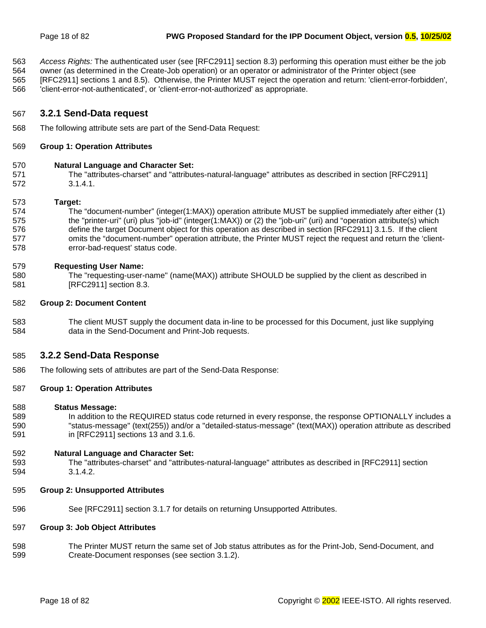<span id="page-17-0"></span>563 *Access Rights:* The authenticated user (see [RFC2911] section 8.3) performing this operation must either be the job

564 owner (as determined in the Create-Job operation) or an operator or administrator of the Printer object (see 565 [RFC2911] sections 1 and 8.5). Otherwise, the Printer MUST reject the operation and return: 'client-error-forbidden',

566 'client-error-not-authenticated', or 'client-error-not-authorized' as appropriate.

## 567 **3.2.1 Send-Data request**

568 The following attribute sets are part of the Send-Data Request:

#### 569 **Group 1: Operation Attributes**

#### 570 **Natural Language and Character Set:**

571 The "attributes-charset" and "attributes-natural-language" attributes as described in section [RFC2911] 572 3.1.4.1.

#### 573 **Target:**

574 The "document-number" (integer(1:MAX)) operation attribute MUST be supplied immediately after either (1) 575 the "printer-uri" (uri) plus "job-id" (integer(1:MAX)) or (2) the "job-uri" (uri) and "operation attribute(s) which 576 define the target Document object for this operation as described in section [RFC2911] 3.1.5. If the client 577 omits the "document-number" operation attribute, the Printer MUST reject the request and return the 'client-578 error-bad-request' status code.

#### 579 **Requesting User Name:**

580 The "requesting-user-name" (name(MAX)) attribute SHOULD be supplied by the client as described in 581 [RFC2911] section 8.3.

#### 582 **Group 2: Document Content**

583 The client MUST supply the document data in-line to be processed for this Document, just like supplying 584 data in the Send-Document and Print-Job requests.

## 585 **3.2.2 Send-Data Response**

586 The following sets of attributes are part of the Send-Data Response:

#### 587 **Group 1: Operation Attributes**

#### 588 **Status Message:**

589 In addition to the REQUIRED status code returned in every response, the response OPTIONALLY includes a 590 "status-message" (text(255)) and/or a "detailed-status-message" (text(MAX)) operation attribute as described 591 in [RFC2911] sections 13 and 3.1.6.

#### 592 **Natural Language and Character Set:**

- 593 The "attributes-charset" and "attributes-natural-language" attributes as described in [RFC2911] section 594 3.1.4.2.
- 595 **Group 2: Unsupported Attributes**
- 596 See [RFC2911] section 3.1.7 for details on returning Unsupported Attributes.

#### 597 **Group 3: Job Object Attributes**

598 The Printer MUST return the same set of Job status attributes as for the Print-Job, Send-Document, and 599 Create-Document responses (see section 3[.1.2\).](#page-15-0)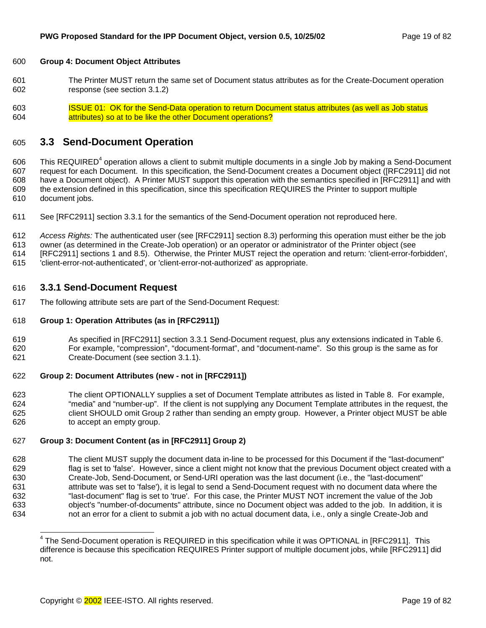#### <span id="page-18-0"></span>600 **Group 4: Document Object Attributes**

- 601 The Printer MUST return the same set of Document status attributes as for the Create-Document operation 602 response (see section 3[.1.2\)](#page-15-0)
- 603 ISSUE 01: OK for the Send-Data operation to return Document status attributes (as well as Job status 604 attributes) so at to be like the other Document operations?

# 605 **3.3 Send-Document Operation**

606 This REQUIRED<sup>4</sup> operation allows a client to submit multiple documents in a single Job by making a Send-Document 607 request for each Document. In this specification, the Send-Document creates a Document object ([RFC2911] did not 608 have a Document object). A Printer MUST support this operation with the semantics specified in [RFC2911] and with 609 the extension defined in this specification, since this specification REQUIRES the Printer to support multiple 610 document jobs.

611 See [RFC2911] section 3.3.1 for the semantics of the Send-Document operation not reproduced here.

612 *Access Rights:* The authenticated user (see [RFC2911] section 8.3) performing this operation must either be the job

613 owner (as determined in the Create-Job operation) or an operator or administrator of the Printer object (see

614 [RFC2911] sections 1 and 8.5). Otherwise, the Printer MUST reject the operation and return: 'client-error-forbidden',

615 'client-error-not-authenticated', or 'client-error-not-authorized' as appropriate.

## 616 **3.3.1 Send-Document Request**

617 The following attribute sets are part of the Send-Document Request:

#### 618 **Group 1: Operation Attributes (as in [RFC2911])**

619 As specified in [RFC2911] section 3.3.1 Send-Document request, plus any extensions indicated in [Table 6.](#page-36-0) 620 For example, "compression", "document-format", and "document-name". So this group is the same as for 621 Create-Document (see section [3.1.1\).](#page-13-0) 

## 622 **Group 2: Document Attributes (new - not in [RFC2911])**

623 The client OPTIONALLY supplies a set of Document Template attributes as listed in T[able 8.](#page-41-0) For example, 624 "media" and "number-up". If the client is not supplying any Document Template attributes in the request, the 625 client SHOULD omit Group 2 rather than sending an empty group. However, a Printer object MUST be able 626 to accept an empty group.

#### 627 **Group 3: Document Content (as in [RFC2911] Group 2)**

628 The client MUST supply the document data in-line to be processed for this Document if the "last-document" 629 flag is set to 'false'. However, since a client might not know that the previous Document object created with a 630 Create-Job, Send-Document, or Send-URI operation was the last document (i.e., the "last-document" 631 attribute was set to 'false'), it is legal to send a Send-Document request with no document data where the 632 "last-document" flag is set to 'true'. For this case, the Printer MUST NOT increment the value of the Job 633 object's "number-of-documents" attribute, since no Document object was added to the job. In addition, it is 634 not an error for a client to submit a job with no actual document data, i.e., only a single Create-Job and

l <sup>4</sup> The Send-Document operation is REQUIRED in this specification while it was OPTIONAL in [RFC2911]. This difference is because this specification REQUIRES Printer support of multiple document jobs, while [RFC2911] did not.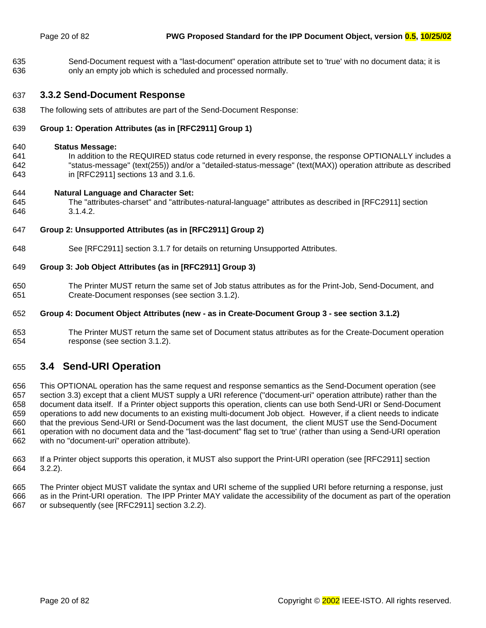<span id="page-19-0"></span>635 Send-Document request with a "last-document" operation attribute set to 'true' with no document data; it is 636 only an empty job which is scheduled and processed normally.

## 637 **3.3.2 Send-Document Response**

638 The following sets of attributes are part of the Send-Document Response:

## 639 **Group 1: Operation Attributes (as in [RFC2911] Group 1)**

#### 640 **Status Message:**

641 In addition to the REQUIRED status code returned in every response, the response OPTIONALLY includes a 642 "status-message" (text(255)) and/or a "detailed-status-message" (text(MAX)) operation attribute as described 643 in [RFC2911] sections 13 and 3.1.6.

#### 644 **Natural Language and Character Set:**

645 The "attributes-charset" and "attributes-natural-language" attributes as described in [RFC2911] section 646 3.1.4.2.

### 647 **Group 2: Unsupported Attributes (as in [RFC2911] Group 2)**

648 See [RFC2911] section 3.1.7 for details on returning Unsupported Attributes.

### 649 **Group 3: Job Object Attributes (as in [RFC2911] Group 3)**

650 The Printer MUST return the same set of Job status attributes as for the Print-Job, Send-Document, and 651 Create-Document responses (see section 3[.1.2\).](#page-15-0) 

#### 652 **Group 4: Document Object Attributes (new - as in Create-Document Group 3 - see section [3.1.2\)](#page-15-0)**

653 The Printer MUST return the same set of Document status attributes as for the Create-Document operation 654 response (see section 3[.1.2\)](#page-15-0).

# 655 **3.4 Send-URI Operation**

656 This OPTIONAL operation has the same request and response semantics as the Send-Document operation (see 657 section 3.[3\)](#page-18-0) except that a client MUST supply a URI reference ("document-uri" operation attribute) rather than the 658 document data itself. If a Printer object supports this operation, clients can use both Send-URI or Send-Document 659 operations to add new documents to an existing multi-document Job object. However, if a client needs to indicate 660 that the previous Send-URI or Send-Document was the last document, the client MUST use the Send-Document 661 operation with no document data and the "last-document" flag set to 'true' (rather than using a Send-URI operation 662 with no "document-uri" operation attribute).

- 663 If a Printer object supports this operation, it MUST also support the Print-URI operation (see [RFC2911] section 664 3.2.2).
- 665 The Printer object MUST validate the syntax and URI scheme of the supplied URI before returning a response, just 666 as in the Print-URI operation. The IPP Printer MAY validate the accessibility of the document as part of the operation 667 or subsequently (see [RFC2911] section 3.2.2).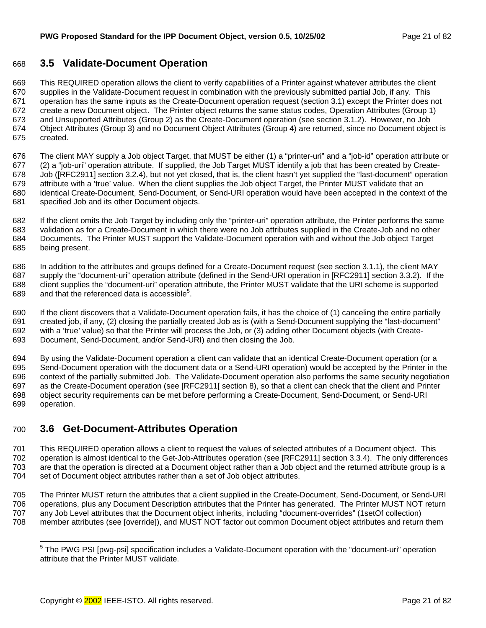# <span id="page-20-0"></span>668 **3.5 Validate-Document Operation**

669 This REQUIRED operation allows the client to verify capabilities of a Printer against whatever attributes the client 670 supplies in the Validate-Document request in combination with the previously submitted partial Job, if any. This 671 operation has the same inputs as the Create-Document operation request (section 3[.1\)](#page-12-0) except the Printer does not 672 create a new Document object. The Printer object returns the same status codes, Operation Attributes (Group 1) 673 and Unsupported Attributes (Group 2) as the Create-Document operation (see section [3.1.2\).](#page-15-0) However, no Job 674 Object Attributes (Group 3) and no Document Object Attributes (Group 4) are returned, since no Document object is 675 created.

676 The client MAY supply a Job object Target, that MUST be either (1) a "printer-uri" and a "job-id" operation attribute or 677 (2) a "job-uri" operation attribute. If supplied, the Job Target MUST identify a job that has been created by Create-678 Job ([RFC2911] section 3.2.4), but not yet closed, that is, the client hasn't yet supplied the "last-document" operation 679 attribute with a 'true' value. When the client supplies the Job object Target, the Printer MUST validate that an 680 identical Create-Document, Send-Document, or Send-URI operation would have been accepted in the context of the 681 specified Job and its other Document objects.

682 If the client omits the Job Target by including only the "printer-uri" operation attribute, the Printer performs the same 683 validation as for a Create-Document in which there were no Job attributes supplied in the Create-Job and no other 684 Documents. The Printer MUST support the Validate-Document operation with and without the Job object Target 685 being present.

686 In addition to the attributes and groups defined for a Create-Document request (see section [3.1.1\),](#page-13-0) the client MAY 687 supply the "document-uri" operation attribute (defined in the Send-URI operation in [RFC2911] section 3.3.2). If the 688 client supplies the "document-uri" operation attribute, the Printer MUST validate that the URI scheme is supported 689 . and that the referenced data is accessible<sup>5</sup>.

690 If the client discovers that a Validate-Document operation fails, it has the choice of (1) canceling the entire partially 691 created job, if any, (2) closing the partially created Job as is (with a Send-Document supplying the "last-document" 692 with a 'true' value) so that the Printer will process the Job, or (3) adding other Document objects (with Create-693 Document, Send-Document, and/or Send-URI) and then closing the Job.

694 By using the Validate-Document operation a client can validate that an identical Create-Document operation (or a 695 Send-Document operation with the document data or a Send-URI operation) would be accepted by the Printer in the 696 context of the partially submitted Job. The Validate-Document operation also performs the same security negotiation 697 as the Create-Document operation (see [RFC2911[ section 8), so that a client can check that the client and Printer 698 object security requirements can be met before performing a Create-Document, Send-Document, or Send-URI 699 operation.

# 700 **3.6 Get-Document-Attributes Operation**

701 This REQUIRED operation allows a client to request the values of selected attributes of a Document object. This 702 operation is almost identical to the Get-Job-Attributes operation (see [RFC2911] section 3.3.4). The only differences 703 are that the operation is directed at a Document object rather than a Job object and the returned attribute group is a 704 set of Document object attributes rather than a set of Job object attributes.

705 The Printer MUST return the attributes that a client supplied in the Create-Document, Send-Document, or Send-URI 706 operations, plus any Document Description attributes that the Printer has generated. The Printer MUST NOT return 707 any Job Level attributes that the Document object inherits, including "document-overrides" (1setOf collection) 708 member attributes (see [override]), and MUST NOT factor out common Document object attributes and return them

<sup>————————————————————&</sup>lt;br><sup>5</sup> The PWG PSI [pwg-psi] specification includes a Validate-Document operation with the "document-uri" operation attribute that the Printer MUST validate.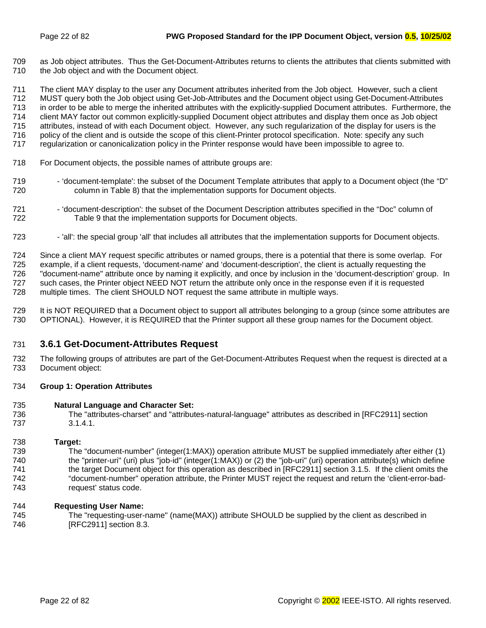<span id="page-21-0"></span>709 as Job object attributes. Thus the Get-Document-Attributes returns to clients the attributes that clients submitted with 710 the Job object and with the Document object.

711 The client MAY display to the user any Document attributes inherited from the Job object. However, such a client 712 MUST query both the Job object using Get-Job-Attributes and the Document object using Get-Document-Attributes 713 in order to be able to merge the inherited attributes with the explicitly-supplied Document attributes. Furthermore, the 714 client MAY factor out common explicitly-supplied Document object attributes and display them once as Job object 715 attributes, instead of with each Document object. However, any such regularization of the display for users is the 716 policy of the client and is outside the scope of this client-Printer protocol specification. Note: specify any such 717 regularization or canonicalization policy in the Printer response would have been impossible to agree to.

- 718 For Document objects, the possible names of attribute groups are:
- 719 'document-template': the subset of the Document Template attributes that apply to a Document object (the "D" 720 column in [Table 8\)](#page-41-0) that the implementation supports for Document objects.
- 721 'document-description': the subset of the Document Description attributes specified in the "Doc" column of 722 [Table 9 t](#page-47-0)hat the implementation supports for Document objects.
- 723 'all': the special group 'all' that includes all attributes that the implementation supports for Document objects.

724 Since a client MAY request specific attributes or named groups, there is a potential that there is some overlap. For 725 example, if a client requests, 'document-name' and 'document-description', the client is actually requesting the 726 "document-name" attribute once by naming it explicitly, and once by inclusion in the 'document-description' group. In 727 such cases, the Printer object NEED NOT return the attribute only once in the response even if it is requested 728 multiple times. The client SHOULD NOT request the same attribute in multiple ways.

729 It is NOT REQUIRED that a Document object to support all attributes belonging to a group (since some attributes are 730 OPTIONAL). However, it is REQUIRED that the Printer support all these group names for the Document object.

## 731 **3.6.1 Get-Document-Attributes Request**

732 The following groups of attributes are part of the Get-Document-Attributes Request when the request is directed at a 733 Document object:

#### 734 **Group 1: Operation Attributes**

#### 735 **Natural Language and Character Set:**

736 The "attributes-charset" and "attributes-natural-language" attributes as described in [RFC2911] section 737 3.1.4.1.

#### 738 **Target:**

739 The "document-number" (integer(1:MAX)) operation attribute MUST be supplied immediately after either (1) 740 the "printer-uri" (uri) plus "job-id" (integer(1:MAX)) or (2) the "job-uri" (uri) operation attribute(s) which define 741 the target Document object for this operation as described in [RFC2911] section 3.1.5. If the client omits the 742 "document-number" operation attribute, the Printer MUST reject the request and return the 'client-error-bad-743 request' status code.

#### 744 **Requesting User Name:**

745 The "requesting-user-name" (name(MAX)) attribute SHOULD be supplied by the client as described in 746 [RFC2911] section 8.3.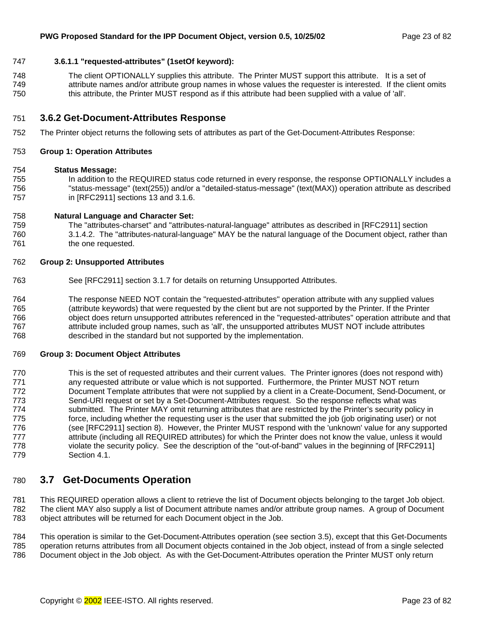### <span id="page-22-0"></span>747 **3.6.1.1 "requested-attributes" (1setOf keyword):**

748 The client OPTIONALLY supplies this attribute. The Printer MUST support this attribute. It is a set of 749 attribute names and/or attribute group names in whose values the requester is interested. If the client omits 750 this attribute, the Printer MUST respond as if this attribute had been supplied with a value of 'all'.

#### 751 **3.6.2 Get-Document-Attributes Response**

752 The Printer object returns the following sets of attributes as part of the Get-Document-Attributes Response:

#### 753 **Group 1: Operation Attributes**

#### 754 **Status Message:**

755 In addition to the REQUIRED status code returned in every response, the response OPTIONALLY includes a 756 "status-message" (text(255)) and/or a "detailed-status-message" (text(MAX)) operation attribute as described 757 in [RFC2911] sections 13 and 3.1.6.

#### 758 **Natural Language and Character Set:**

759 The "attributes-charset" and "attributes-natural-language" attributes as described in [RFC2911] section 760 3.1.4.2. The "attributes-natural-language" MAY be the natural language of the Document object, rather than 761 the one requested.

#### 762 **Group 2: Unsupported Attributes**

- 763 See [RFC2911] section 3.1.7 for details on returning Unsupported Attributes.
- 764 The response NEED NOT contain the "requested-attributes" operation attribute with any supplied values 765 (attribute keywords) that were requested by the client but are not supported by the Printer. If the Printer 766 object does return unsupported attributes referenced in the "requested-attributes" operation attribute and that 767 attribute included group names, such as 'all', the unsupported attributes MUST NOT include attributes 768 described in the standard but not supported by the implementation.

#### 769 **Group 3: Document Object Attributes**

770 This is the set of requested attributes and their current values. The Printer ignores (does not respond with) 771 any requested attribute or value which is not supported. Furthermore, the Printer MUST NOT return 772 Document Template attributes that were not supplied by a client in a Create-Document, Send-Document, or 773 Send-URI request or set by a Set-Document-Attributes request. So the response reflects what was 774 submitted. The Printer MAY omit returning attributes that are restricted by the Printer's security policy in 775 force, including whether the requesting user is the user that submitted the job (job originating user) or not 776 (see [RFC2911] section 8). However, the Printer MUST respond with the 'unknown' value for any supported 777 attribute (including all REQUIRED attributes) for which the Printer does not know the value, unless it would 778 violate the security policy. See the description of the "out-of-band" values in the beginning of [RFC2911] 779 Section 4.1.

# 780 **3.7 Get-Documents Operation**

781 This REQUIRED operation allows a client to retrieve the list of Document objects belonging to the target Job object. 782 The client MAY also supply a list of Document attribute names and/or attribute group names. A group of Document 783 object attributes will be returned for each Document object in the Job.

784 This operation is similar to the Get-Document-Attributes operation (see section [3.5\),](#page-20-0) except that this Get-Documents 785 operation returns attributes from all Document objects contained in the Job object, instead of from a single selected 786 Document object in the Job object. As with the Get-Document-Attributes operation the Printer MUST only return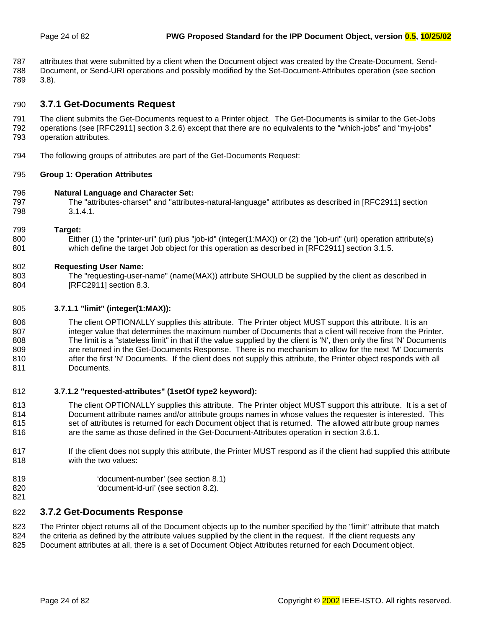<span id="page-23-0"></span>787 attributes that were submitted by a client when the Document object was created by the Create-Document, Send-788 Document, or Send-URI operations and possibly modified by the Set-Document-Attributes operation (see section 789 [3.8\)](#page-24-0).

# 790 **3.7.1 Get-Documents Request**

791 The client submits the Get-Documents request to a Printer object. The Get-Documents is similar to the Get-Jobs 792 operations (see [RFC2911] section 3.2.6) except that there are no equivalents to the "which-jobs" and "my-jobs" 793 operation attributes.

794 The following groups of attributes are part of the Get-Documents Request:

### 795 **Group 1: Operation Attributes**

- 796 **Natural Language and Character Set:**
- 797 The "attributes-charset" and "attributes-natural-language" attributes as described in [RFC2911] section 798 3.1.4.1.

#### 799 **Target:**

800 Either (1) the "printer-uri" (uri) plus "job-id" (integer(1:MAX)) or (2) the "job-uri" (uri) operation attribute(s) 801 which define the target Job object for this operation as described in [RFC2911] section 3.1.5.

### 802 **Requesting User Name:**

803 The "requesting-user-name" (name(MAX)) attribute SHOULD be supplied by the client as described in 804 **IRFC29111** section 8.3.

#### 805 **3.7.1.1 "limit" (integer(1:MAX)):**

806 The client OPTIONALLY supplies this attribute. The Printer object MUST support this attribute. It is an 807 integer value that determines the maximum number of Documents that a client will receive from the Printer. 808 The limit is a "stateless limit" in that if the value supplied by the client is 'N', then only the first 'N' Documents 809 are returned in the Get-Documents Response. There is no mechanism to allow for the next 'M' Documents 810 after the first 'N' Documents. If the client does not supply this attribute, the Printer object responds with all 811 Documents.

#### 812 **3.7.1.2 "requested-attributes" (1setOf type2 keyword):**

- 813 The client OPTIONALLY supplies this attribute. The Printer object MUST support this attribute. It is a set of 814 Document attribute names and/or attribute groups names in whose values the requester is interested. This 815 set of attributes is returned for each Document object that is returned. The allowed attribute group names 816 are the same as those defined in the Get-Document-Attributes operation in section 3[.6.1.](#page-21-0)
- 817 If the client does not supply this attribute, the Printer MUST respond as if the client had supplied this attribute 818 with the two values:
- 819 'document-number' (see section 8[.1\)](#page-49-0)
- 820 'document-id-uri' (see section [8.2\).](#page-49-0)
- 821

# 822 **3.7.2 Get-Documents Response**

823 The Printer object returns all of the Document objects up to the number specified by the "limit" attribute that match

- 824 the criteria as defined by the attribute values supplied by the client in the request. If the client requests any
- 825 Document attributes at all, there is a set of Document Object Attributes returned for each Document object.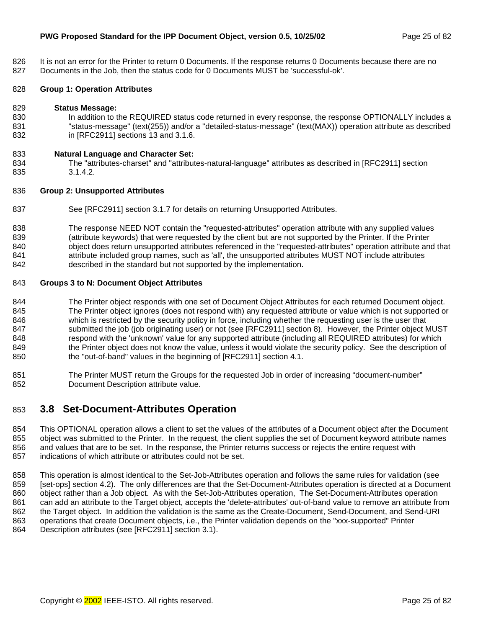<span id="page-24-0"></span>826 It is not an error for the Printer to return 0 Documents. If the response returns 0 Documents because there are no 827 Documents in the Job, then the status code for 0 Documents MUST be 'successful-ok'.

### 828 **Group 1: Operation Attributes**

#### 829 **Status Message:**

830 In addition to the REQUIRED status code returned in every response, the response OPTIONALLY includes a 831 "status-message" (text(255)) and/or a "detailed-status-message" (text(MAX)) operation attribute as described 832 in [RFC2911] sections 13 and 3.1.6.

#### 833 **Natural Language and Character Set:**

834 The "attributes-charset" and "attributes-natural-language" attributes as described in [RFC2911] section 835 3.1.4.2.

#### 836 **Group 2: Unsupported Attributes**

837 See [RFC2911] section 3.1.7 for details on returning Unsupported Attributes.

838 The response NEED NOT contain the "requested-attributes" operation attribute with any supplied values 839 (attribute keywords) that were requested by the client but are not supported by the Printer. If the Printer 840 object does return unsupported attributes referenced in the "requested-attributes" operation attribute and that 841 attribute included group names, such as 'all', the unsupported attributes MUST NOT include attributes 842 described in the standard but not supported by the implementation.

#### 843 **Groups 3 to N: Document Object Attributes**

844 The Printer object responds with one set of Document Object Attributes for each returned Document object. 845 The Printer object ignores (does not respond with) any requested attribute or value which is not supported or 846 which is restricted by the security policy in force, including whether the requesting user is the user that 847 submitted the job (job originating user) or not (see [RFC2911] section 8). However, the Printer object MUST 848 respond with the 'unknown' value for any supported attribute (including all REQUIRED attributes) for which 849 the Printer object does not know the value, unless it would violate the security policy. See the description of 850 the "out-of-band" values in the beginning of [RFC2911] section 4.1.

851 The Printer MUST return the Groups for the requested Job in order of increasing "document-number" 852 Document Description attribute value.

# 853 **3.8 Set-Document-Attributes Operation**

854 This OPTIONAL operation allows a client to set the values of the attributes of a Document object after the Document 855 object was submitted to the Printer. In the request, the client supplies the set of Document keyword attribute names 856 and values that are to be set. In the response, the Printer returns success or rejects the entire request with 857 indications of which attribute or attributes could not be set.

858 This operation is almost identical to the Set-Job-Attributes operation and follows the same rules for validation (see 859 [set-ops] section 4.2). The only differences are that the Set-Document-Attributes operation is directed at a Document 860 object rather than a Job object. As with the Set-Job-Attributes operation, The Set-Document-Attributes operation 861 can add an attribute to the Target object, accepts the 'delete-attributes' out-of-band value to remove an attribute from 862 the Target object. In addition the validation is the same as the Create-Document, Send-Document, and Send-URI 863 operations that create Document objects, i.e., the Printer validation depends on the "xxx-supported" Printer 864 Description attributes (see [RFC2911] section 3.1).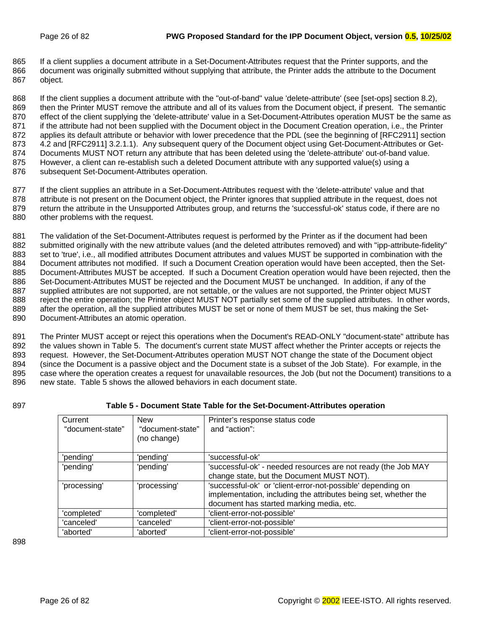<span id="page-25-0"></span>865 If a client supplies a document attribute in a Set-Document-Attributes request that the Printer supports, and the 866 document was originally submitted without supplying that attribute, the Printer adds the attribute to the Document 867 object.

868 If the client supplies a document attribute with the "out-of-band" value 'delete-attribute' (see [set-ops] section 8.2), 869 then the Printer MUST remove the attribute and all of its values from the Document object, if present. The semantic 870 effect of the client supplying the 'delete-attribute' value in a Set-Document-Attributes operation MUST be the same as 871 if the attribute had not been supplied with the Document object in the Document Creation operation, i.e., the Printer 872 applies its default attribute or behavior with lower precedence that the PDL (see the beginning of [RFC2911] section 873 4.2 and [RFC2911] 3.2.1.1). Any subsequent query of the Document object using Get-Document-Attributes or Get-874 Documents MUST NOT return any attribute that has been deleted using the 'delete-attribute' out-of-band value. 875 However, a client can re-establish such a deleted Document attribute with any supported value(s) using a 876 subsequent Set-Document-Attributes operation.

877 If the client supplies an attribute in a Set-Document-Attributes request with the 'delete-attribute' value and that 878 attribute is not present on the Document object, the Printer ignores that supplied attribute in the request, does not 879 return the attribute in the Unsupported Attributes group, and returns the 'successful-ok' status code, if there are no 880 other problems with the request.

881 The validation of the Set-Document-Attributes request is performed by the Printer as if the document had been 882 submitted originally with the new attribute values (and the deleted attributes removed) and with "ipp-attribute-fidelity" 883 set to 'true', i.e., all modified attributes Document attributes and values MUST be supported in combination with the 884 Document attributes not modified. If such a Document Creation operation would have been accepted, then the Set-885 Document-Attributes MUST be accepted. If such a Document Creation operation would have been rejected, then the 886 Set-Document-Attributes MUST be rejected and the Document MUST be unchanged. In addition, if any of the 887 supplied attributes are not supported, are not settable, or the values are not supported, the Printer object MUST 888 reject the entire operation; the Printer object MUST NOT partially set some of the supplied attributes. In other words, 889 after the operation, all the supplied attributes MUST be set or none of them MUST be set, thus making the Set-890 Document-Attributes an atomic operation.

891 The Printer MUST accept or reject this operations when the Document's READ-ONLY "document-state" attribute has 892 the values shown in Table 5. The document's current state MUST affect whether the Printer accepts or rejects the 893 request. However, the Set-Document-Attributes operation MUST NOT change the state of the Document object 894 (since the Document is a passive object and the Document state is a subset of the Job State). For example, in the 895 case where the operation creates a request for unavailable resources, the Job (but not the Document) transitions to a 896 new state. Table 5 shows the allowed behaviors in each document state.

## 897 **Table 5 - Document State Table for the Set-Document-Attributes operation**

| Current          | <b>New</b>       | Printer's response status code                                  |
|------------------|------------------|-----------------------------------------------------------------|
| "document-state" | "document-state" | and "action":                                                   |
|                  | (no change)      |                                                                 |
|                  |                  |                                                                 |
| 'pending'        | 'pending'        | 'successful-ok'                                                 |
| 'pending'        | 'pending'        | 'successful-ok' - needed resources are not ready (the Job MAY   |
|                  |                  | change state, but the Document MUST NOT).                       |
| 'processing'     | 'processing'     | 'successful-ok' or 'client-error-not-possible' depending on     |
|                  |                  | implementation, including the attributes being set, whether the |
|                  |                  | document has started marking media, etc.                        |
| 'completed'      | 'completed'      | 'client-error-not-possible'                                     |
| 'canceled'       | 'canceled'       | 'client-error-not-possible'                                     |
| 'aborted'        | 'aborted'        | 'client-error-not-possible'                                     |

898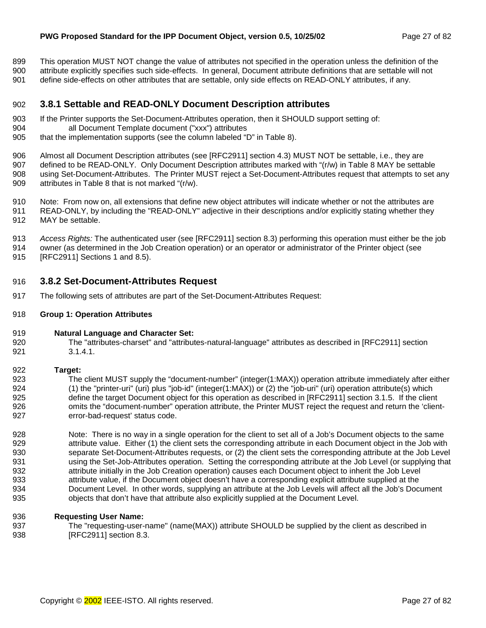<span id="page-26-0"></span>899 This operation MUST NOT change the value of attributes not specified in the operation unless the definition of the 900 attribute explicitly specifies such side-effects. In general, Document attribute definitions that are settable will not 901 define side-effects on other attributes that are settable, only side effects on READ-ONLY attributes, if any.

# 902 **3.8.1 Settable and READ-ONLY Document Description attributes**

- 903 If the Printer supports the Set-Document-Attributes operation, then it SHOULD support setting of:
- 904 all Document Template document ("xxx") attributes
- 905 that the implementation supports (see the column labeled "D" in [Table 8\)](#page-41-0).

906 Almost all Document Description attributes (see [RFC2911] section 4.3) MUST NOT be settable, i.e., they are 907 defined to be READ-ONLY. Only Document Description attributes marked with "(r/w) in T[able 8 M](#page-41-0)AY be settable 908 using Set-Document-Attributes. The Printer MUST reject a Set-Document-Attributes request that attempts to set any 909 attributes in [Table 8 th](#page-41-0)at is not marked "(r/w).

910 Note: From now on, all extensions that define new object attributes will indicate whether or not the attributes are 911 READ-ONLY, by including the "READ-ONLY" adjective in their descriptions and/or explicitly stating whether they 912 MAY be settable.

913 *Access Rights:* The authenticated user (see [RFC2911] section 8.3) performing this operation must either be the job

914 owner (as determined in the Job Creation operation) or an operator or administrator of the Printer object (see 915 [RFC2911] Sections 1 and 8.5).

# 916 **3.8.2 Set-Document-Attributes Request**

- 917 The following sets of attributes are part of the Set-Document-Attributes Request:
- 918 **Group 1: Operation Attributes**
- 919 **Natural Language and Character Set:**
- 920 The "attributes-charset" and "attributes-natural-language" attributes as described in [RFC2911] section 921 3.1.4.1.

#### 922 **Target:**

923 The client MUST supply the "document-number" (integer(1:MAX)) operation attribute immediately after either 924 (1) the "printer-uri" (uri) plus "job-id" (integer(1:MAX)) or (2) the "job-uri" (uri) operation attribute(s) which 925 define the target Document object for this operation as described in [RFC2911] section 3.1.5. If the client 926 omits the "document-number" operation attribute, the Printer MUST reject the request and return the 'client-927 error-bad-request' status code.

928 Note: There is no way in a single operation for the client to set all of a Job's Document objects to the same 929 attribute value. Either (1) the client sets the corresponding attribute in each Document object in the Job with 930 separate Set-Document-Attributes requests, or (2) the client sets the corresponding attribute at the Job Level 931 using the Set-Job-Attributes operation. Setting the corresponding attribute at the Job Level (or supplying that 932 attribute initially in the Job Creation operation) causes each Document object to inherit the Job Level 933 attribute value, if the Document object doesn't have a corresponding explicit attribute supplied at the 934 Document Level. In other words, supplying an attribute at the Job Levels will affect all the Job's Document 935 objects that don't have that attribute also explicitly supplied at the Document Level.

#### 936 **Requesting User Name:**

937 The "requesting-user-name" (name(MAX)) attribute SHOULD be supplied by the client as described in 938 [RFC2911] section 8.3.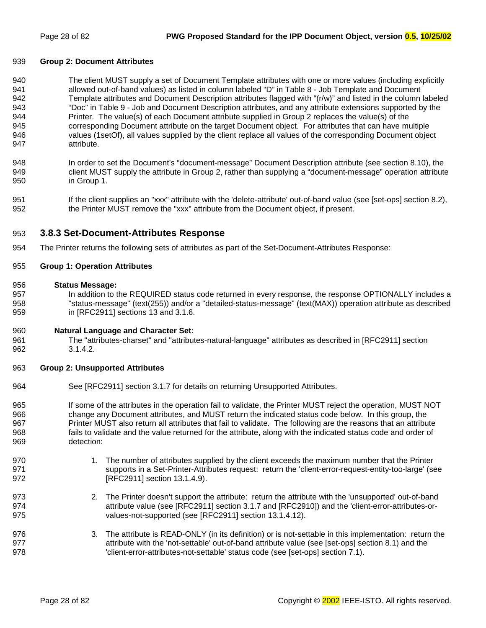#### <span id="page-27-0"></span>939 **Group 2: Document Attributes**

940 The client MUST supply a set of Document Template attributes with one or more values (including explicitly 941 allowed out-of-band values) as listed in column labeled "D" in Table 8 - Job Template and Document 942 [Template attributes a](#page-41-0)nd Document Description attributes flagged with "(r/w)" and listed in the column labeled 943 "Doc" in [Table 9 - Job and Document Description attributes, a](#page-47-0)nd any attribute extensions supported by the 944 Printer. The value(s) of each Document attribute supplied in Group 2 replaces the value(s) of the 945 corresponding Document attribute on the target Document object. For attributes that can have multiple 946 values (1setOf), all values supplied by the client replace all values of the corresponding Document object 947 attribute.

- 948 In order to set the Document's "document-message" Document Description attribute (see section 8.[10\),](#page-60-0) the 949 client MUST supply the attribute in Group 2, rather than supplying a "document-message" operation attribute 950 in Group 1.
- 951 If the client supplies an "xxx" attribute with the 'delete-attribute' out-of-band value (see [set-ops] section 8.2), 952 the Printer MUST remove the "xxx" attribute from the Document object, if present.

### 953 **3.8.3 Set-Document-Attributes Response**

954 The Printer returns the following sets of attributes as part of the Set-Document-Attributes Response:

#### 955 **Group 1: Operation Attributes**

#### 956 **Status Message:**

- 957 In addition to the REQUIRED status code returned in every response, the response OPTIONALLY includes a 958 "status-message" (text(255)) and/or a "detailed-status-message" (text(MAX)) operation attribute as described 959 in [RFC2911] sections 13 and 3.1.6.
- 960 **Natural Language and Character Set:**
- 961 The "attributes-charset" and "attributes-natural-language" attributes as described in [RFC2911] section 962 3.1.4.2.

#### 963 **Group 2: Unsupported Attributes**

- 964 See [RFC2911] section 3.1.7 for details on returning Unsupported Attributes.
- 965 If some of the attributes in the operation fail to validate, the Printer MUST reject the operation, MUST NOT 966 change any Document attributes, and MUST return the indicated status code below. In this group, the 967 Printer MUST also return all attributes that fail to validate. The following are the reasons that an attribute 968 fails to validate and the value returned for the attribute, along with the indicated status code and order of 969 detection:
- 970 1. The number of attributes supplied by the client exceeds the maximum number that the Printer 971 supports in a Set-Printer-Attributes request: return the 'client-error-request-entity-too-large' (see 972 [RFC2911] section 13.1.4.9).
- 973 2. The Printer doesn't support the attribute: return the attribute with the 'unsupported' out-of-band 974 attribute value (see [RFC2911] section 3.1.7 and [RFC2910]) and the 'client-error-attributes-or-975 values-not-supported (see [RFC2911] section 13.1.4.12).
- 976 3. The attribute is READ-ONLY (in its definition) or is not-settable in this implementation: return the 977 977 attribute with the 'not-settable' out-of-band attribute value (see [set-ops] section 8.1) and the 978 'client-error-attributes-not-settable' status code (see [set-ops] section 7.1).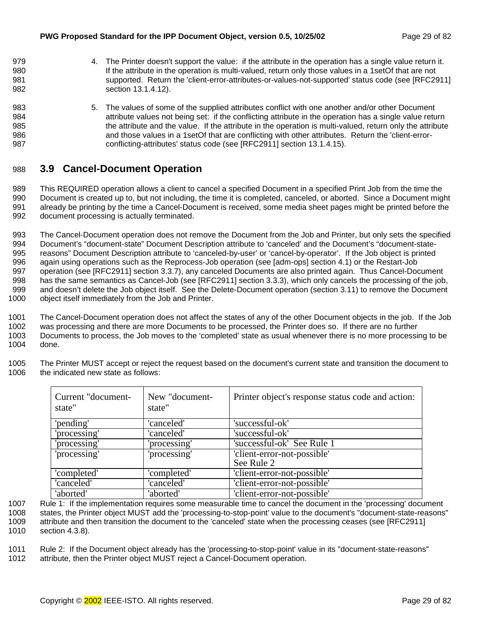<span id="page-28-0"></span>979 4. The Printer doesn't support the value: if the attribute in the operation has a single value return it. 980 If the attribute in the operation is multi-valued, return only those values in a 1setOf that are not 981 supported. Return the 'client-error-attributes-or-values-not-supported' status code (see [RFC2911] 982 section 13.1.4.12). 983 5. The values of some of the supplied attributes conflict with one another and/or other Document 984 attribute values not being set: if the conflicting attribute in the operation has a single value return 985 the attribute and the value. If the attribute in the operation is multi-valued, return only the attribute 986 and those values in a 1setOf that are conflicting with other attributes. Return the 'client-error-987 conflicting-attributes' status code (see [RFC2911] section 13.1.4.15).

# 988 **3.9 Cancel-Document Operation**

989 This REQUIRED operation allows a client to cancel a specified Document in a specified Print Job from the time the 990 Document is created up to, but not including, the time it is completed, canceled, or aborted. Since a Document might 991 already be printing by the time a Cancel-Document is received, some media sheet pages might be printed before the 992 document processing is actually terminated.

993 The Cancel-Document operation does not remove the Document from the Job and Printer, but only sets the specified 994 Document's "document-state" Document Description attribute to 'canceled' and the Document's "document-state-995 reasons" Document Description attribute to 'canceled-by-user' or 'cancel-by-operator'. If the Job object is printed 996 again using operations such as the Reprocess-Job operation (see [adm-ops] section 4.1) or the Restart-Job 997 operation (see [RFC2911] section 3.3.7), any canceled Documents are also printed again. Thus Cancel-Document 998 has the same semantics as Cancel-Job (see [RFC2911] section 3.3.3), which only cancels the processing of the job, 999 and doesn't delete the Job object itself. See the Delete-Document operation (section [3.11\) t](#page-31-0)o remove the Document 1000 object itself immediately from the Job and Printer.

1001 The Cancel-Document operation does not affect the states of any of the other Document objects in the job. If the Job 1002 was processing and there are more Documents to be processed, the Printer does so. If there are no further 1003 Documents to process, the Job moves to the 'completed' state as usual whenever there is no more processing to be 1004 done. done.

1005 The Printer MUST accept or reject the request based on the document's current state and transition the document to 1006 the indicated new state as follows:

| Current "document-<br>state" | New "document-<br>state" | Printer object's response status code and action: |
|------------------------------|--------------------------|---------------------------------------------------|
| 'pending'                    | 'canceled'               | 'successful-ok'                                   |
| 'processing'                 | 'canceled'               | 'successful-ok'                                   |
| 'processing'                 | 'processing'             | 'successful-ok' See Rule 1                        |
| 'processing'                 | 'processing'             | 'client-error-not-possible'                       |
|                              |                          | See Rule 2                                        |
| 'completed'                  | 'completed'              | 'client-error-not-possible'                       |
| 'canceled'                   | 'canceled'               | 'client-error-not-possible'                       |
| 'aborted'                    | 'aborted'                | 'client-error-not-possible'                       |

1007 Rule 1: If the implementation requires some measurable time to cancel the document in the 'processing' document 1008 states, the Printer object MUST add the 'processing-to-stop-point' value to the document's "document-state-reasons" 1009 attribute and then transition the document to the 'canceled' state when the processing ceases (see [RFC2911] 1010 section 4.3.8).

1011 Rule 2: If the Document object already has the 'processing-to-stop-point' value in its "document-state-reasons"

1012 attribute, then the Printer object MUST reject a Cancel-Document operation.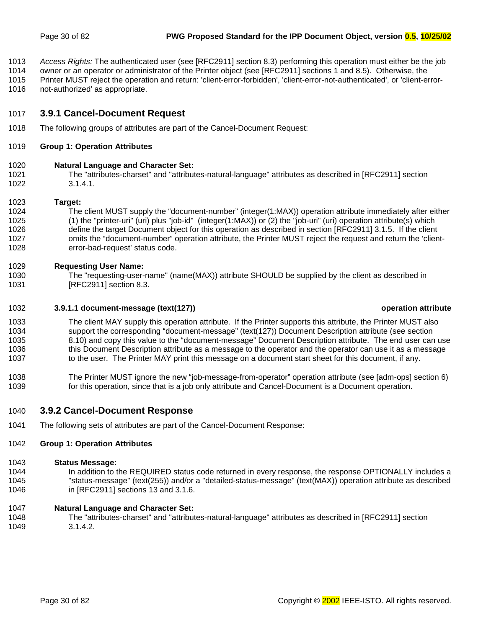- <span id="page-29-0"></span>1013 *Access Rights:* The authenticated user (see [RFC2911] section 8.3) performing this operation must either be the job
- 1014 owner or an operator or administrator of the Printer object (see [RFC2911] sections 1 and 8.5). Otherwise, the
- 1015 Printer MUST reject the operation and return: 'client-error-forbidden', 'client-error-not-authenticated', or 'client-error-
- 1016 not-authorized' as appropriate.

# 1017 **3.9.1 Cancel-Document Request**

1018 The following groups of attributes are part of the Cancel-Document Request:

## 1019 **Group 1: Operation Attributes**

## 1020 **Natural Language and Character Set:**

1021 The "attributes-charset" and "attributes-natural-language" attributes as described in [RFC2911] section 1022 3.1.4.1.

#### 1023 **Target:**

1024 The client MUST supply the "document-number" (integer(1:MAX)) operation attribute immediately after either 1025 (1) the "printer-uri" (uri) plus "job-id" (integer(1:MAX)) or (2) the "job-uri" (uri) operation attribute(s) which 1026 define the target Document object for this operation as described in section [RFC2911] 3.1.5. If the client 1027 omits the "document-number" operation attribute, the Printer MUST reject the request and return the 'client-1028 error-bad-request' status code.

## 1029 **Requesting User Name:**

1030 The "requesting-user-name" (name(MAX)) attribute SHOULD be supplied by the client as described in 1031 [RFC2911] section 8.3.

## 1032 **3.9.1.1 document-message (text(127)) operation attribute**

- 1033 The client MAY supply this operation attribute. If the Printer supports this attribute, the Printer MUST also 1034 support the corresponding "document-message" (text(127)) Document Description attribute (see section 1035 [8.10\)](#page-60-0) and copy this value to the "document-message" Document Description attribute. The end user can use 1036 this Document Description attribute as a message to the operator and the operator can use it as a message 1037 to the user. The Printer MAY print this message on a document start sheet for this document, if any.
- 1038 The Printer MUST ignore the new "job-message-from-operator" operation attribute (see [adm-ops] section 6) 1039 for this operation, since that is a job only attribute and Cancel-Document is a Document operation.

# 1040 **3.9.2 Cancel-Document Response**

1041 The following sets of attributes are part of the Cancel-Document Response:

## 1042 **Group 1: Operation Attributes**

#### 1043 **Status Message:**

1044 In addition to the REQUIRED status code returned in every response, the response OPTIONALLY includes a 1045 "status-message" (text(255)) and/or a "detailed-status-message" (text(MAX)) operation attribute as described 1046 in [RFC2911] sections 13 and 3.1.6.

## 1047 **Natural Language and Character Set:**

1048 The "attributes-charset" and "attributes-natural-language" attributes as described in [RFC2911] section 1049 3.1.4.2.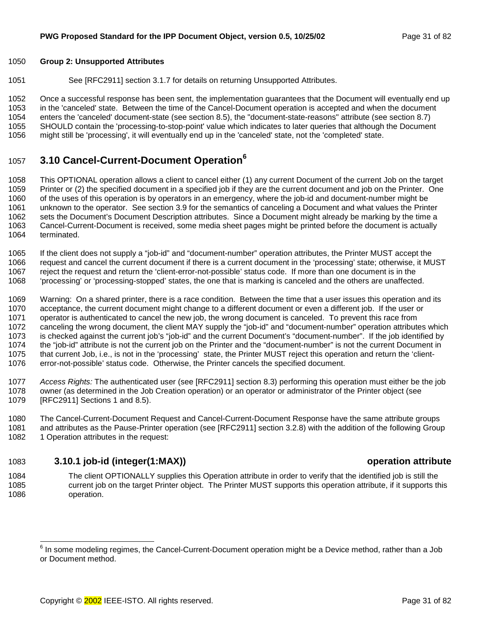### <span id="page-30-0"></span>1050 **Group 2: Unsupported Attributes**

1051 See [RFC2911] section 3.1.7 for details on returning Unsupported Attributes.

1052 Once a successful response has been sent, the implementation guarantees that the Document will eventually end up 1053 in the 'canceled' state. Between the time of the Cancel-Document operation is accepted and when the document 1054 enters the 'canceled' document-state (see section 8.[5\),](#page-50-0) the "document-state-reasons" attribute (see section 8[.7\)](#page-54-0) 1055 SHOULD contain the 'processing-to-stop-point' value which indicates to later queries that although the Document 1056 might still be 'processing', it will eventually end up in the 'canceled' state, not the 'completed' state.

# **3.10 Cancel-Current-Document Operation<sup>6</sup>** <sup>1057</sup>

1058 This OPTIONAL operation allows a client to cancel either (1) any current Document of the current Job on the target 1059 Printer or (2) the specified document in a specified job if they are the current document and job on the Printer. One 1060 of the uses of this operation is by operators in an emergency, where the job-id and document-number might be 1061 unknown to the operator. See section 3.[9 f](#page-28-0)or the semantics of canceling a Document and what values the Printer 1062 sets the Document's Document Description attributes. Since a Document might already be marking by the time a 1063 Cancel-Current-Document is received, some media sheet pages might be printed before the document is actually 1064 terminated.

- 1065 If the client does not supply a "job-id" and "document-number" operation attributes, the Printer MUST accept the
- 1066 request and cancel the current document if there is a current document in the 'processing' state; otherwise, it MUST
- 1067 reject the request and return the 'client-error-not-possible' status code. If more than one document is in the
- 1068 'processing' or 'processing-stopped' states, the one that is marking is canceled and the others are unaffected.

1069 Warning: On a shared printer, there is a race condition. Between the time that a user issues this operation and its 1070 acceptance, the current document might change to a different document or even a different job. If the user or 1071 operator is authenticated to cancel the new job, the wrong document is canceled. To prevent this race from 1072 canceling the wrong document, the client MAY supply the "job-id" and "document-number" operation attributes which 1073 is checked against the current job's "job-id" and the current Document's "document-number". If the job identified by 1074 the "job-id" attribute is not the current job on the Printer and the "document-number" is not the current Document in 1075 that current Job, i.e., is not in the 'processing' state, the Printer MUST reject this operation and return the 'client-1076 error-not-possible' status code. Otherwise, the Printer cancels the specified document.

1077 *Access Rights:* The authenticated user (see [RFC2911] section 8.3) performing this operation must either be the job 1078 owner (as determined in the Job Creation operation) or an operator or administrator of the Printer object (see 1079 [RFC2911] Sections 1 and 8.5).

1080 The Cancel-Current-Document Request and Cancel-Current-Document Response have the same attribute groups 1081 and attributes as the Pause-Printer operation (see [RFC2911] section 3.2.8) with the addition of the following Group 1082 1 Operation attributes in the request:

# 1083 **3.10.1 job-id (integer(1:MAX)) operation attribute**

1084 The client OPTIONALLY supplies this Operation attribute in order to verify that the identified job is still the 1085 current job on the target Printer object. The Printer MUST supports this operation attribute, if it supports this 1086 operation.

 6 In some modeling regimes, the Cancel-Current-Document operation might be a Device method, rather than a Job or Document method.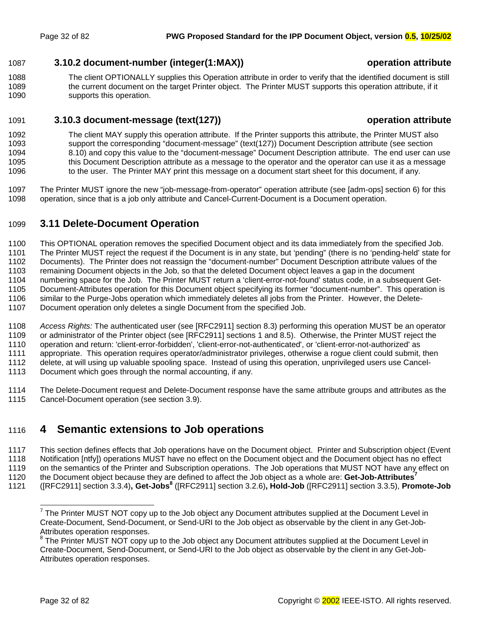## <span id="page-31-0"></span>1087 **3.10.2 document-number (integer(1:MAX)) operation attribute**

1088 The client OPTIONALLY supplies this Operation attribute in order to verify that the identified document is still 1089 the current document on the target Printer object. The Printer MUST supports this operation attribute, if it 1090 supports this operation.

# 1091 **3.10.3 document-message (text(127)) operation attribute**

- 1092 The client MAY supply this operation attribute. If the Printer supports this attribute, the Printer MUST also 1093 support the corresponding "document-message" (text(127)) Document Description attribute (see section 1094 [8.10\)](#page-60-0) and copy this value to the "document-message" Document Description attribute. The end user can use 1095 this Document Description attribute as a message to the operator and the operator can use it as a message 1096 to the user. The Printer MAY print this message on a document start sheet for this document, if any.
- 1097 The Printer MUST ignore the new "job-message-from-operator" operation attribute (see [adm-ops] section 6) for this 1098 operation, since that is a job only attribute and Cancel-Current-Document is a Document operation.

# 1099 **3.11 Delete-Document Operation**

1100 This OPTIONAL operation removes the specified Document object and its data immediately from the specified Job.

1101 The Printer MUST reject the request if the Document is in any state, but 'pending" (there is no 'pending-held' state for 1102 Documents). The Printer does not reassign the "document-number" Document Description attribute values of the

1103 remaining Document objects in the Job, so that the deleted Document object leaves a gap in the document

1104 numbering space for the Job. The Printer MUST return a 'client-error-not-found' status code, in a subsequent Get-

1105 Document-Attributes operation for this Document object specifying its former "document-number". This operation is

1106 similar to the Purge-Jobs operation which immediately deletes all jobs from the Printer. However, the Delete-1107 Document operation only deletes a single Document from the specified Job.

- 1108 *Access Rights:* The authenticated user (see [RFC2911] section 8.3) performing this operation MUST be an operator 1109 or administrator of the Printer object (see [RFC2911] sections 1 and 8.5). Otherwise, the Printer MUST reject the 1110 operation and return: 'client-error-forbidden', 'client-error-not-authenticated', or 'client-error-not-authorized' as 1111 appropriate. This operation requires operator/administrator privileges, otherwise a rogue client could submit, then 1112 delete, at will using up valuable spooling space. Instead of using this operation, unprivileged users use Cancel-1113 Document which goes through the normal accounting, if any.
- 1114 The Delete-Document request and Delete-Document response have the same attribute groups and attributes as the 1115 Cancel-Document operation (see section [3.9\).](#page-28-0)

# 1116 **4 Semantic extensions to Job operations**

1117 This section defines effects that Job operations have on the Document object. Printer and Subscription object (Event 1118 Notification [ntfy]) operations MUST have no effect on the Document object and the Document object has no effect 1119 on the semantics of the Printer and Subscription operations. The Job operations that MUST NOT have any effect on

the Document object because they are defined to affect the Job object as a whole are: **Get-Job-Attributes<sup>7</sup>** 1120

([RFC2911] section 3.3.4)**, Get-Jobs8** 1121 ([RFC2911] section 3.2.6)**, Hold-Job** ([RFC2911] section 3.3.5), **Promote-Job**

THE PRINTER MUST NOT copy up to the Job object any Document attributes supplied at the Document Level in Create-Document, Send-Document, or Send-URI to the Job object as observable by the client in any Get-Job-Attributes operation responses.

 $8$  The Printer MUST NOT copy up to the Job object any Document attributes supplied at the Document Level in Create-Document, Send-Document, or Send-URI to the Job object as observable by the client in any Get-Job-Attributes operation responses.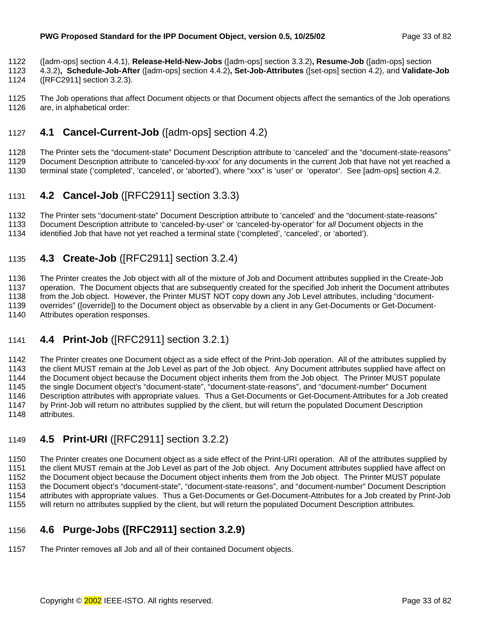- <span id="page-32-0"></span>1122 ([adm-ops] section 4.4.1), **Release-Held-New-Jobs** ([adm-ops] section 3.3.2)**, Resume-Job** ([adm-ops] section
- 1123 4.3.2)**, Schedule-Job-After** ([adm-ops] section 4.4.2)**, Set-Job-Attributes** ([set-ops] section 4.2), and **Validate-Job**  1124 ([RFC2911] section 3.2.3).
- 1125 The Job operations that affect Document objects or that Document objects affect the semantics of the Job operations 1126 are, in alphabetical order:

# 1127 **4.1 Cancel-Current-Job** ([adm-ops] section 4.2)

- 1128 The Printer sets the "document-state" Document Description attribute to 'canceled' and the "document-state-reasons"
- 1129 Document Description attribute to 'canceled-by-xxx' for any documents in the current Job that have not yet reached a
- 1130 terminal state ('completed', 'canceled', or 'aborted'), where "xxx" is 'user' or 'operator'. See [adm-ops] section 4.2.

# 1131 **4.2 Cancel-Job** ([RFC2911] section 3.3.3)

1132 The Printer sets "document-state" Document Description attribute to 'canceled' and the "document-state-reasons"

1133 Document Description attribute to 'canceled-by-user' or 'canceled-by-operator' for *all* Document objects in the

1134 identified Job that have not yet reached a terminal state ('completed', 'canceled', or 'aborted').

# 1135 **4.3 Create-Job** ([RFC2911] section 3.2.4)

1136 The Printer creates the Job object with all of the mixture of Job and Document attributes supplied in the Create-Job 1137 operation. The Document objects that are subsequently created for the specified Job inherit the Document attributes 1138 from the Job object. However, the Printer MUST NOT copy down any Job Level attributes, including "document-1139 overrides" ([override]) to the Document object as observable by a client in any Get-Documents or Get-Document-1140 Attributes operation responses.

# 1141 **4.4 Print-Job** ([RFC2911] section 3.2.1)

1142 The Printer creates one Document object as a side effect of the Print-Job operation. All of the attributes supplied by 1143 the client MUST remain at the Job Level as part of the Job object. Any Document attributes supplied have affect on 1144 the Document object because the Document object inherits them from the Job object. The Printer MUST populate 1145 the single Document object's "document-state", "document-state-reasons", and "document-number" Document 1146 Description attributes with appropriate values. Thus a Get-Documents or Get-Document-Attributes for a Job created<br>1147 by Print-Job will return no attributes supplied by the client, but will return the populated Docum by Print-Job will return no attributes supplied by the client, but will return the populated Document Description 1148 attributes.

# 1149 **4.5 Print-URI** ([RFC2911] section 3.2.2)

1150 The Printer creates one Document object as a side effect of the Print-URI operation. All of the attributes supplied by 1151 the client MUST remain at the Job Level as part of the Job object. Any Document attributes supplied have affect on 1152 the Document object because the Document object inherits them from the Job object. The Printer MUST populate 1153 the Document object's "document-state", "document-state-reasons", and "document-number" Document Description 1154 attributes with appropriate values. Thus a Get-Documents or Get-Document-Attributes for a Job created by Print-Job 1155 will return no attributes supplied by the client, but will return the populated Document Description attributes.

# 1156 **4.6 Purge-Jobs ([RFC2911] section 3.2.9)**

1157 The Printer removes all Job and all of their contained Document objects.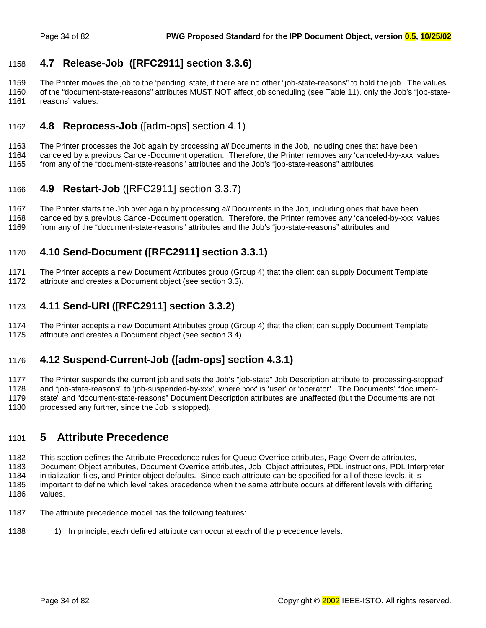# <span id="page-33-0"></span>1158 **4.7 Release-Job ([RFC2911] section 3.3.6)**

1159 The Printer moves the job to the 'pending' state, if there are no other "job-state-reasons" to hold the job. The values 1160 of the "document-state-reasons" attributes MUST NOT affect job scheduling (see T[able 11\),](#page-55-0) only the Job's "job-state-1161 reasons" values.

# 1162 **4.8 Reprocess-Job** ([adm-ops] section 4.1)

1163 The Printer processes the Job again by processing *all* Documents in the Job, including ones that have been 1164 canceled by a previous Cancel-Document operation. Therefore, the Printer removes any 'canceled-by-xxx' values

1165 from any of the "document-state-reasons" attributes and the Job's "job-state-reasons" attributes.

# 1166 **4.9 Restart-Job** ([RFC2911] section 3.3.7)

1167 The Printer starts the Job over again by processing *all* Documents in the Job, including ones that have been 1168 canceled by a previous Cancel-Document operation. Therefore, the Printer removes any 'canceled-by-xxx' values

1169 from any of the "document-state-reasons" attributes and the Job's "job-state-reasons" attributes and

# 1170 **4.10 Send-Document ([RFC2911] section 3.3.1)**

1171 The Printer accepts a new Document Attributes group (Group 4) that the client can supply Document Template

1172 attribute and creates a Document object (see section 3[.3\)](#page-18-0).

# 1173 **4.11 Send-URI ([RFC2911] section 3.3.2)**

1174 The Printer accepts a new Document Attributes group (Group 4) that the client can supply Document Template 1175 attribute and creates a Document object (see section 3[.4\)](#page-19-0).

# 1176 **4.12 Suspend-Current-Job ([adm-ops] section 4.3.1)**

1177 The Printer suspends the current job and sets the Job's "job-state" Job Description attribute to 'processing-stopped' 1178 and "job-state-reasons" to 'job-suspended-by-xxx', where 'xxx' is 'user' or 'operator'. The Documents' "document-1179 state" and "document-state-reasons" Document Description attributes are unaffected (but the Documents are not 1180 processed any further, since the Job is stopped).

# 1181 **5 Attribute Precedence**

1182 This section defines the Attribute Precedence rules for Queue Override attributes, Page Override attributes, 1183 Document Object attributes, Document Override attributes, Job Object attributes, PDL instructions, PDL Interpreter 1184 initialization files, and Printer object defaults. Since each attribute can be specified for all of these levels, it is 1185 important to define which level takes precedence when the same attribute occurs at different levels with differing 1186 values.

- 1187 The attribute precedence model has the following features:
- 1188 10 In principle, each defined attribute can occur at each of the precedence levels.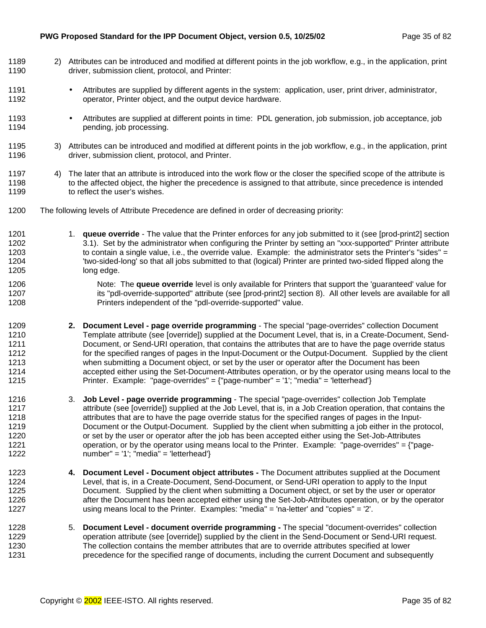#### **PWG Proposed Standard for the IPP Document Object, version 0.5, 10/25/02** Page 35 of 82

1189 2) Attributes can be introduced and modified at different points in the job workflow, e.g., in the application, print

1190 driver, submission client, protocol, and Printer: 1191 • Attributes are supplied by different agents in the system: application, user, print driver, administrator, 1192 operator, Printer object, and the output device hardware. 1193 • Attributes are supplied at different points in time: PDL generation, job submission, job acceptance, job 1194 **pending, job processing.** 1195 3) Attributes can be introduced and modified at different points in the job workflow, e.g., in the application, print 1196 driver, submission client, protocol, and Printer. 1197 4) The later that an attribute is introduced into the work flow or the closer the specified scope of the attribute is 1198 to the affected object, the higher the precedence is assigned to that attribute, since precedence is intended 1199 to reflect the user's wishes. 1200 The following levels of Attribute Precedence are defined in order of decreasing priority: 1201 1. **queue override** - The value that the Printer enforces for any job submitted to it (see [prod-print2] section 1202 3.1). Set by the administrator when configuring the Printer by setting an "xxx-supported" Printer attribute 1203 to contain a single value, i.e., the override value. Example: the administrator sets the Printer's "sides" = 1204 'two-sided-long' so that all jobs submitted to that (logical) Printer are printed two-sided flipped along the 1205 long edge. 1206 **Note: The queue override** level is only available for Printers that support the 'guaranteed' value for 1207 its "pdl-override-supported" attribute (see [prod-print2] section 8). All other levels are available for all 1208 Printers independent of the "pdl-override-supported" value. 1209 **2. Document Level - page override programming** - The special "page-overrides" collection Document 1210 Template attribute (see [override]) supplied at the Document Level, that is, in a Create-Document, Send-1211 Document, or Send-URI operation, that contains the attributes that are to have the page override status 1212 for the specified ranges of pages in the Input-Document or the Output-Document. Supplied by the client 1213 when submitting a Document object, or set by the user or operator after the Document has been 1214 accepted either using the Set-Document-Attributes operation, or by the operator using means local to the 1215 Printer. Example: "page-overrides" = {"page-number" = '1'; "media" = 'letterhead'} 1216 3. **Job Level - page override programming** - The special "page-overrides" collection Job Template 1217 **attribute (see [override]) supplied at the Job Level, that is, in a Job Creation operation, that contains the** 1218 attributes that are to have the page override status for the specified ranges of pages in the Input-1219 Document or the Output-Document. Supplied by the client when submitting a job either in the protocol, 1220 or set by the user or operator after the job has been accepted either using the Set-Job-Attributes 1221 operation, or by the operator using means local to the Printer. Example: "page-overrides" = {"page-1222 number" = '1'; "media" = 'letterhead'} 1223 **4. Document Level - Document object attributes -** The Document attributes supplied at the Document 1224 Level, that is, in a Create-Document, Send-Document, or Send-URI operation to apply to the Input 1225 Document. Supplied by the client when submitting a Document object, or set by the user or operator 1226 after the Document has been accepted either using the Set-Job-Attributes operation, or by the operator 1227 using means local to the Printer. Examples: "media" = 'na-letter' and "copies" = '2'. 1228 5. **Document Level - document override programming -** The special "document-overrides" collection 1229 operation attribute (see [override]) supplied by the client in the Send-Document or Send-URI request. 1230 The collection contains the member attributes that are to override attributes specified at lower 1231 precedence for the specified range of documents, including the current Document and subsequently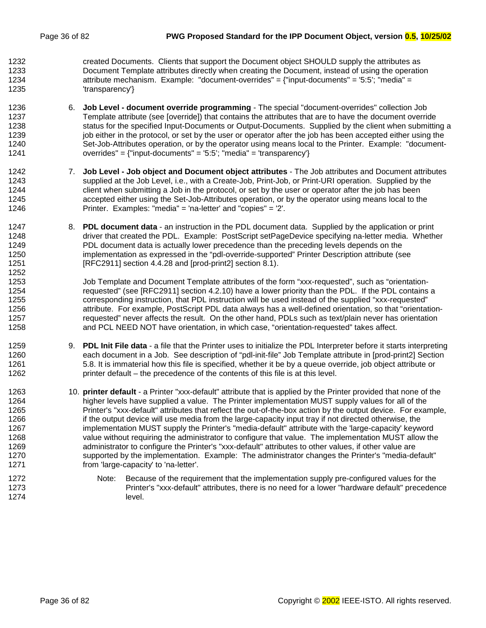1252

1232 created Documents. Clients that support the Document object SHOULD supply the attributes as 1233 Document Template attributes directly when creating the Document, instead of using the operation 1234 attribute mechanism. Example: "document-overrides" = {"input-documents" = '5:5'; "media" = 1235 'transparency'}

- 1236 6. **Job Level document override programming** The special "document-overrides" collection Job 1237 Template attribute (see [override]) that contains the attributes that are to have the document override 1238 status for the specified Input-Documents or Output-Documents. Supplied by the client when submitting a 1239 job either in the protocol, or set by the user or operator after the job has been accepted either using the 1240 Set-Job-Attributes operation, or by the operator using means local to the Printer. Example: "document-1241 overrides" = {"input-documents" = '5:5'; "media" = 'transparency'}
- 1242 7. **Job Level Job object and Document object attributes** The Job attributes and Document attributes 1243 supplied at the Job Level, i.e., with a Create-Job, Print-Job, or Print-URI operation. Supplied by the 1244 client when submitting a Job in the protocol, or set by the user or operator after the job has been 1245 accepted either using the Set-Job-Attributes operation, or by the operator using means local to the 1246 Printer. Examples: "media" = 'na-letter' and "copies" = '2'.
- 1247 8. **PDL document data**  an instruction in the PDL document data. Supplied by the application or print 1248 driver that created the PDL. Example: PostScript setPageDevice specifying na-letter media. Whether 1249 PDL document data is actually lower precedence than the preceding levels depends on the 1250 implementation as expressed in the "pdl-override-supported" Printer Description attribute (see 1251 [RFC2911] section 4.4.28 and [prod-print2] section 8.1).

1253 Job Template and Document Template attributes of the form "xxx-requested", such as "orientation-1254 requested" (see [RFC2911] section 4.2.10) have a lower priority than the PDL. If the PDL contains a 1255 corresponding instruction, that PDL instruction will be used instead of the supplied "xxx-requested" 1256 **attribute.** For example, PostScript PDL data always has a well-defined orientation, so that "orientation-1257 requested" never affects the result. On the other hand, PDLs such as text/plain never has orientation 1258 and PCL NEED NOT have orientation, in which case, "orientation-requested" takes affect.

- 1259 9. **PDL Init File data**  a file that the Printer uses to initialize the PDL Interpreter before it starts interpreting 1260 each document in a Job. See description of "pdl-init-file" Job Template attribute in [prod-print2] Section 1261 5.8. It is immaterial how this file is specified, whether it be by a queue override, job object attribute or 1262 printer default – the precedence of the contents of this file is at this level.
- 1263 10. **printer default**  a Printer "xxx-default" attribute that is applied by the Printer provided that none of the 1264 higher levels have supplied a value. The Printer implementation MUST supply values for all of the 1265 Printer's "xxx-default" attributes that reflect the out-of-the-box action by the output device. For example, 1266 if the output device will use media from the large-capacity input tray if not directed otherwise, the 1267 implementation MUST supply the Printer's "media-default" attribute with the 'large-capacity' keyword 1268 value without requiring the administrator to configure that value. The implementation MUST allow the 1269 administrator to configure the Printer's "xxx-default" attributes to other values, if other value are 1270 supported by the implementation. Example: The administrator changes the Printer's "media-default" 1271 from 'large-capacity' to 'na-letter'.
- 1272 Note: Because of the requirement that the implementation supply pre-configured values for the 1273 Printer's "xxx-default" attributes, there is no need for a lower "hardware default" precedence 1274 level.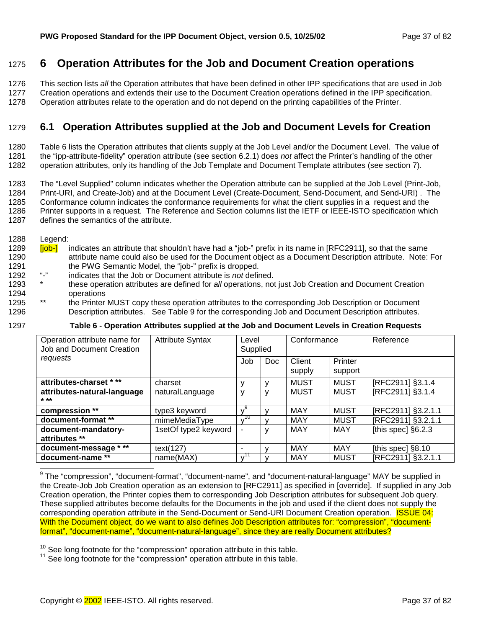## <span id="page-36-0"></span>1275 **6 Operation Attributes for the Job and Document Creation operations**

1276 This section lists *all* the Operation attributes that have been defined in other IPP specifications that are used in Job

1277 Creation operations and extends their use to the Document Creation operations defined in the IPP specification.

1278 Operation attributes relate to the operation and do not depend on the printing capabilities of the Printer.

## 1279 **6.1 Operation Attributes supplied at the Job and Document Levels for Creation**

1280 Table 6 lists the Operation attributes that clients supply at the Job Level and/or the Document Level. The value of 1281 the "ipp-attribute-fidelity" operation attribute (see section 6.[2.1\)](#page-38-0) does *not* affect the Printer's handling of the other 1282 operation attributes, only its handling of the Job Template and Document Template attributes (see section 7[\)](#page-39-0).

1283 The "Level Supplied" column indicates whether the Operation attribute can be supplied at the Job Level (Print-Job, 1284 Print-URI, and Create-Job) and at the Document Level (Create-Document, Send-Document, and Send-URI) . The 1285 Conformance column indicates the conformance requirements for what the client supplies in a request and the 1286 Printer supports in a request. The Reference and Section columns list the IETF or IEEE-ISTO specification which 1287 defines the semantics of the attribute.

1288 Legend:

- 1289 **[job-]** indicates an attribute that shouldn't have had a "job-" prefix in its name in [RFC2911], so that the same 1290 attribute name could also be used for the Document object as a Document Description attribute. Note: For 1291 the PWG Semantic Model, the "job-" prefix is dropped.<br>1293 the indicates that the Joh ar Dearment of tribute is not defined.
- 1292 "-" indicates that the Job or Document attribute is *not* defined.
- 1293 \* these operation attributes are defined for *all* operations, not just Job Creation and Document Creation 1294 operations<br>1295 \*\* the Printer
- 1295 **\*\*** the Printer MUST copy these operation attributes to the corresponding Job Description or Document 1296 Description attributes. See [Table 9](#page-47-0) for the corresponding Job and Document Description attributes.

1297 **Table 6 - Operation Attributes supplied at the Job and Document Levels in Creation Requests** 

| Operation attribute name for<br>Job and Document Creation | <b>Attribute Syntax</b> | Level<br>Supplied |            | Conformance      |                    | Reference            |
|-----------------------------------------------------------|-------------------------|-------------------|------------|------------------|--------------------|----------------------|
| requests                                                  |                         | Job               | <b>Doc</b> | Client<br>supply | Printer<br>support |                      |
| attributes-charset ***                                    | charset                 |                   |            | <b>MUST</b>      | <b>MUST</b>        | [RFC2911] §3.1.4     |
| attributes-natural-language<br>$* * *$                    | naturalLanguage         | ٧                 | ٧          | <b>MUST</b>      | <b>MUST</b>        | [RFC2911] §3.1.4     |
| compression **                                            | type3 keyword           |                   |            | <b>MAY</b>       | MUST               | [RFC2911] §3.2.1.1   |
| document-format **                                        | mimeMediaType           | 10                |            | <b>MAY</b>       | <b>MUST</b>        | [RFC2911] §3.2.1.1   |
| document-mandatory-<br>attributes **                      | 1setOf type2 keyword    |                   |            | MAY              | MAY                | [this spec] $§6.2.3$ |
| document-message * **                                     | text(127)               | ۰                 |            | <b>MAY</b>       | MAY                | [this spec] $§8.10$  |
| document-name **                                          | name(MAX)               |                   |            | MAY              | <b>MUST</b>        | [RFC2911] §3.2.1.1   |

 9 The "compression", "document-format", "document-name", and "document-natural-language" MAY be supplied in the Create-Job Job Creation operation as an extension to [RFC2911] as specified in [override]. If supplied in any Job Creation operation, the Printer copies them to corresponding Job Description attributes for subsequent Job query. These supplied attributes become defaults for the Documents in the job and used if the client does not supply the corresponding operation attribute in the Send-Document or Send-URI Document Creation operation. **ISSUE 04:** With the Document object, do we want to also defines Job Description attributes for: "compression", "documentformat", "document-name", "document-natural-language", since they are really Document attributes?

 $10^{10}$  See long footnote for the "compression" operation attribute in this table.  $11$  See long footnote for the "compression" operation attribute in this table.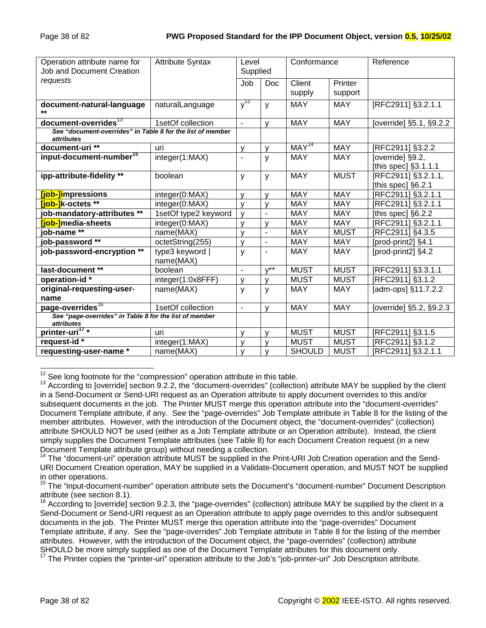| Operation attribute name for<br><b>Job and Document Creation</b>                | <b>Attribute Syntax</b>      | Level<br>Supplied        |                  | Conformance       |                    | Reference                                 |
|---------------------------------------------------------------------------------|------------------------------|--------------------------|------------------|-------------------|--------------------|-------------------------------------------|
| requests                                                                        |                              | Job                      | Doc              | Client<br>supply  | Printer<br>support |                                           |
|                                                                                 |                              |                          |                  |                   |                    |                                           |
| document-natural-language<br>$**$                                               | naturalLanguage              | $y^{12}$                 | y                | <b>MAY</b>        | <b>MAY</b>         | [RFC2911] §3.2.1.1                        |
| document-overrides <sup>13</sup>                                                | 1setOf collection            | $\blacksquare$           | $\mathsf{v}$     | <b>MAY</b>        | <b>MAY</b>         | [override] §5.1, §9.2.2                   |
| See "document-overrides" in Table 8 for the list of member<br><i>attributes</i> |                              |                          |                  |                   |                    |                                           |
| document-uri **                                                                 | uri                          | ٧                        | v                | MAY <sup>14</sup> | <b>MAY</b>         | [RFC2911] §3.2.2                          |
| input-document-number <sup>15</sup>                                             | integer(1:MAX)               |                          | y                | <b>MAY</b>        | <b>MAY</b>         | [override] §9.2,<br>[this spec] §3.1.1.1  |
| ipp-attribute-fidelity **                                                       | boolean                      | y                        | y                | <b>MAY</b>        | <b>MUST</b>        | [RFC2911] §3.2.1.1,<br>[this spec] §6.2.1 |
| [job-]impressions                                                               | integer(0:MAX)               | $\mathsf{V}$             | v                | <b>MAY</b>        | <b>MAY</b>         | [RFC2911] §3.2.1.1                        |
| <b>Tiob-1</b> k-octets **                                                       | integer(0:MAX)               | v                        | y                | <b>MAY</b>        | <b>MAY</b>         | [RFC2911] §3.2.1.1                        |
| job-mandatory-attributes **                                                     | 1setOf type2 keyword         | v                        |                  | <b>MAY</b>        | <b>MAY</b>         | [this spec] §6.2.2                        |
| [job-]media-sheets                                                              | integer(0:MAX)               | $\mathsf{v}$             | $\mathsf{V}$     | <b>MAY</b>        | <b>MAY</b>         | [RFC2911] §3.2.1.1                        |
| job-name <sup>**</sup>                                                          | name(MAX)                    | $\mathsf{V}$             | $\blacksquare$   | <b>MAY</b>        | <b>MUST</b>        | [RFC2911] §4.3.5                          |
| job-password **                                                                 | octetString(255)             | v                        | $\blacksquare$   | <b>MAY</b>        | <b>MAY</b>         | [prod-print2] §4.1                        |
| job-password-encryption **                                                      | type3 keyword  <br>name(MAX) | У                        | Ĭ.               | <b>MAY</b>        | <b>MAY</b>         | [prod-print2] §4.2                        |
| last-document **                                                                | boolean                      | $\overline{\phantom{0}}$ | $V^{\star\star}$ | <b>MUST</b>       | <b>MUST</b>        | [RFC2911] §3.3.1.1                        |
| operation-id*                                                                   | integer(1:0x8FFF)            | v                        | $\mathsf{v}$     | <b>MUST</b>       | <b>MUST</b>        | [RFC2911] §3.1.2                          |
| original-requesting-user-<br>name                                               | name(MAX)                    | y                        | y                | <b>MAY</b>        | <b>MAY</b>         | [adm-ops] §11.7.2.2                       |
| page-overrides <sup>16</sup>                                                    | 1setOf collection            | $\overline{\phantom{a}}$ | v                | <b>MAY</b>        | <b>MAY</b>         | [override] §5.2, §9.2.3                   |
| See "page-overrides" in Table 8 for the list of member<br>attributes            |                              |                          |                  |                   |                    |                                           |
| printer-uri <sup>17</sup> *                                                     | uri                          | V                        | v                | <b>MUST</b>       | <b>MUST</b>        | [RFC2911] §3.1.5                          |
| request-id *                                                                    | integer(1:MAX)               | ٧                        | ٧                | <b>MUST</b>       | <b>MUST</b>        | [RFC2911] §3.1.2                          |
| requesting-user-name *                                                          | name(MAX)                    | v                        | $\mathsf{V}$     | <b>SHOULD</b>     | <b>MUST</b>        | [RFC2911] §3.2.1.1                        |

<sup>12</sup> See long footnote for the "compression" operation attribute in this table.

<sup>14</sup> The "document-uri" operation attribute MUST be supplied in the Print-URI Job Creation operation and the Send-URI Document Creation operation, MAY be supplied in a Validate-Document operation, and MUST NOT be supplied in other operations.

<sup>15</sup> The "input-document-number" operation attribute sets the Document's "document-number" Document Description attribute (see section 8.1).

<sup>&</sup>lt;sup>13</sup> According to [override] section 9.2.2, the "document-overrides" (collection) attribute MAY be supplied by the client in a Send-Document or Send-URI request as an Operation attribute to apply document overrides to this and/or subsequent documents in the job. The Printer MUST merge this operation attribute into the "document-overrides" Document Template attribute, if any. See the "page-overrides" Job Template attribute in Table 8 for the listing of the member attributes. However, with the introduction of the Document object, the "document-overrides" (collection) attribute SHOULD NOT be used (either as a Job Template attribute or an Operation attribute). Instead, the client simply supplies the Document Template attributes (see Table 8) for each Document Creation request (in a new Document Template attribute group) without needing a collection.

<sup>&</sup>lt;sup>16</sup> According to [override] section 9.2.3, the "page-overrides" (collection) attribute MAY be supplied by the client in a Send-Document or Send-URI request as an Operation attribute to apply page overrides to this and/or subsequent documents in the job. The Printer MUST merge this operation attribute into the "page-overrides" Document Template attribute, if any. See the "page-overrides" Job Template attribute in Table 8 for the listing of the member attributes. However, with the introduction of the Document object, the "page-overrides" (collection) attribute SHOULD be more simply supplied as one of the Document Template attributes for this document only.

<sup>&</sup>lt;sup>17</sup> The Printer copies the "printer-uri" operation attribute to the Job's "job-printer-uri" Job Description attribute.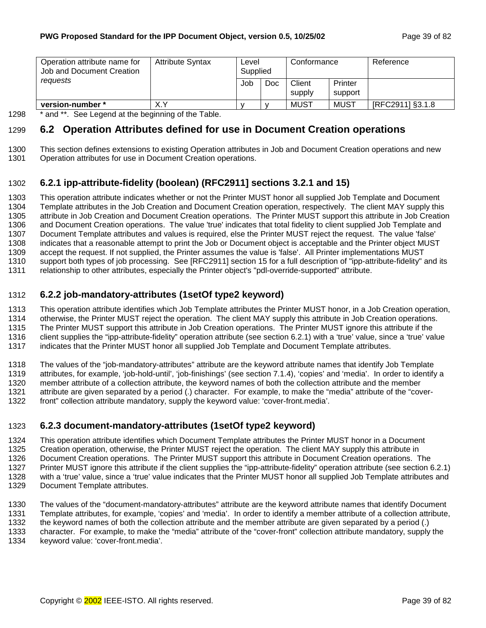<span id="page-38-0"></span>

| Operation attribute name for<br>Job and Document Creation | <b>Attribute Syntax</b> | Level<br>Supplied |     | Conformance      |                    | Reference        |
|-----------------------------------------------------------|-------------------------|-------------------|-----|------------------|--------------------|------------------|
| reauests                                                  |                         | Job               | Doc | Client<br>supply | Printer<br>support |                  |
| version-number *                                          | X.Y                     |                   |     | <b>MUST</b>      | MUST               | [RFC2911] §3.1.8 |

1298 \* and \*\*. See Legend at the beginning of the Table.

## 1299 **6.2 Operation Attributes defined for use in Document Creation operations**

- 1300 This section defines extensions to existing Operation attributes in Job and Document Creation operations and new
- 1301 Operation attributes for use in Document Creation operations.

## 1302 **6.2.1 ipp-attribute-fidelity (boolean) (RFC2911] sections 3.2.1 and 15)**

1303 This operation attribute indicates whether or not the Printer MUST honor all supplied Job Template and Document 1304 Template attributes in the Job Creation and Document Creation operation, respectively. The client MAY supply this 1305 attribute in Job Creation and Document Creation operations. The Printer MUST support this attribute in Job Creation 1306 and Document Creation operations. The value 'true' indicates that total fidelity to client supplied Job Template and 1307 Document Template attributes and values is required, else the Printer MUST reject the request. The value 'false' 1308 indicates that a reasonable attempt to print the Job or Document object is acceptable and the Printer object MUST 1309 accept the request. If not supplied, the Printer assumes the value is 'false'. All Printer implementations MUST 1310 support both types of job processing. See [RFC2911] section 15 for a full description of "ipp-attribute-fidelity" and its 1311 relationship to other attributes, especially the Printer object's "pdl-override-supported" attribute.

### 1312 **6.2.2 job-mandatory-attributes (1setOf type2 keyword)**

1313 This operation attribute identifies which Job Template attributes the Printer MUST honor, in a Job Creation operation, 1314 otherwise, the Printer MUST reject the operation. The client MAY supply this attribute in Job Creation operations. 1315 The Printer MUST support this attribute in Job Creation operations. The Printer MUST ignore this attribute if the 1316 client supplies the "ipp-attribute-fidelity" operation attribute (see section 6.2.1) with a 'true' value, since a 'true' value

1317 indicates that the Printer MUST honor all supplied Job Template and Document Template attributes.

1318 The values of the "job-mandatory-attributes" attribute are the keyword attribute names that identify Job Template 1319 attributes, for example, 'job-hold-until', 'job-finishings' (see section 7.[1.4\)](#page-46-0), 'copies' and 'media'. In order to identify a 1320 member attribute of a collection attribute, the keyword names of both the collection attribute and the member 1321 attribute are given separated by a period (.) character. For example, to make the "media" attribute of the "cover-1322 front" collection attribute mandatory, supply the keyword value: 'cover-front.media'.

## 1323 **6.2.3 document-mandatory-attributes (1setOf type2 keyword)**

1324 This operation attribute identifies which Document Template attributes the Printer MUST honor in a Document

1325 Creation operation, otherwise, the Printer MUST reject the operation. The client MAY supply this attribute in

1326 Document Creation operations. The Printer MUST support this attribute in Document Creation operations. The 1327 Printer MUST ignore this attribute if the client supplies the "ipp-attribute-fidelity" operation attribute (see section 6.2.1) 1328 with a 'true' value, since a 'true' value indicates that the Printer MUST honor all supplied Job Template attributes and

1329 Document Template attributes.

1330 The values of the "document-mandatory-attributes" attribute are the keyword attribute names that identify Document 1331 Template attributes, for example, 'copies' and 'media'. In order to identify a member attribute of a collection attribute,

1332 the keyword names of both the collection attribute and the member attribute are given separated by a period (.)

1333 character. For example, to make the "media" attribute of the "cover-front" collection attribute mandatory, supply the

1334 keyword value: 'cover-front.media'.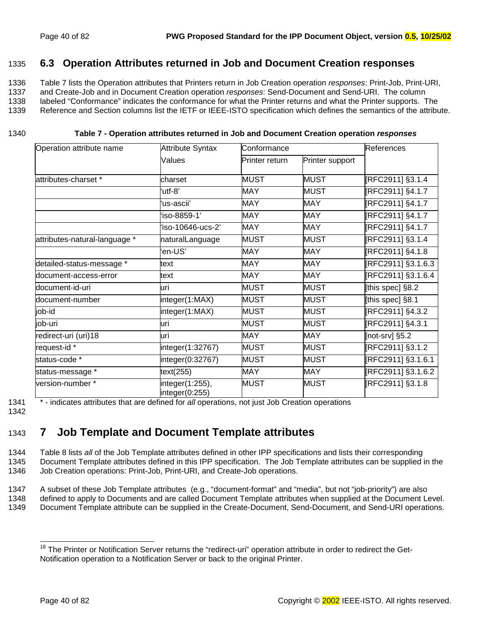### <span id="page-39-0"></span>1335 **6.3 Operation Attributes returned in Job and Document Creation responses**

1336 Table 7 lists the Operation attributes that Printers return in Job Creation operation *responses*: Print-Job, Print-URI, 1337 and Create-Job and in Document Creation operation *responses*: Send-Document and Send-URI. The column 1338 labeled "Conformance" indicates the conformance for what the Printer returns and what the Printer supports. The 1339 Reference and Section columns list the IETF or IEEE-ISTO specification which defines the semantics of the attribute.

#### 1340 **Table 7 - Operation attributes returned in Job and Document Creation operation** *responses*

| Operation attribute name            | <b>Attribute Syntax</b>           | Conformance    |                 | References         |
|-------------------------------------|-----------------------------------|----------------|-----------------|--------------------|
|                                     | Values                            | Printer return | Printer support |                    |
| attributes-charset *                | charset                           | <b>MUST</b>    | <b>MUST</b>     | [RFC2911] §3.1.4   |
|                                     | 'utf-8"                           | <b>MAY</b>     | <b>MUST</b>     | [RFC2911] §4.1.7   |
|                                     | ʻus-ascii'                        | <b>MAY</b>     | <b>MAY</b>      | [RFC2911] §4.1.7   |
|                                     | 'iso-8859-1'                      | <b>MAY</b>     | <b>MAY</b>      | [RFC2911] §4.1.7   |
|                                     | 'iso-10646-ucs-2'                 | <b>MAY</b>     | <b>MAY</b>      | [RFC2911] §4.1.7   |
| attributes-natural-language *       | naturalLanguage                   | <b>MUST</b>    | <b>MUST</b>     | [RFC2911] §3.1.4   |
|                                     | 'en-US'                           | <b>MAY</b>     | <b>MAY</b>      | [RFC2911] §4.1.8   |
| detailed-status-message *           | text                              | <b>MAY</b>     | <b>MAY</b>      | [RFC2911] §3.1.6.3 |
| document-access-error               | text                              | <b>MAY</b>     | <b>MAY</b>      | [RFC2911] §3.1.6.4 |
| document-id-uri                     | uri                               | <b>MUST</b>    | <b>MUST</b>     | [this spec] §8.2   |
| document-number                     | integer(1:MAX)                    | <b>MUST</b>    | <b>MUST</b>     | [this spec] §8.1   |
| job-id                              | integer(1:MAX)                    | <b>MUST</b>    | <b>MUST</b>     | [RFC2911] §4.3.2   |
| job-uri                             | uri                               | <b>MUST</b>    | <b>MUST</b>     | [RFC2911] §4.3.1   |
| redirect-uri (uri)18                | uri                               | <b>MAY</b>     | <b>MAY</b>      | [not-srv] §5.2     |
| request-id $\overline{\phantom{a}}$ | integer(1:32767)                  | <b>MUST</b>    | <b>MUST</b>     | [RFC2911] §3.1.2   |
| status-code *                       | integer(0:32767)                  | <b>MUST</b>    | <b>MUST</b>     | [RFC2911] §3.1.6.1 |
| status-message *                    | text(255)                         | <b>MAY</b>     | <b>MAY</b>      | [RFC2911] §3.1.6.2 |
| version-number *                    | integer(1:255),<br>integer(0:255) | <b>MUST</b>    | <b>MUST</b>     | [RFC2911] §3.1.8   |

1341 \* - indicates attributes that are defined for *all* operations, not just Job Creation operations

1342

# 1343 **7 Job Template and Document Template attributes**

1344 [Table 8 l](#page-41-0)ists *all* of the Job Template attributes defined in other IPP specifications and lists their corresponding 1345 Document Template attributes defined in this IPP specification. The Job Template attributes can be supplied in the 1346 Job Creation operations: Print-Job, Print-URI, and Create-Job operations.

1347 A subset of these Job Template attributes (e.g., "document-format" and "media", but not "job-priority") are also 1348 defined to apply to Documents and are called Document Template attributes when supplied at the Document Level.

1349 Document Template attribute can be supplied in the Create-Document, Send-Document, and Send-URI operations.

l

<sup>&</sup>lt;sup>18</sup> The Printer or Notification Server returns the "redirect-uri" operation attribute in order to redirect the Get-Notification operation to a Notification Server or back to the original Printer.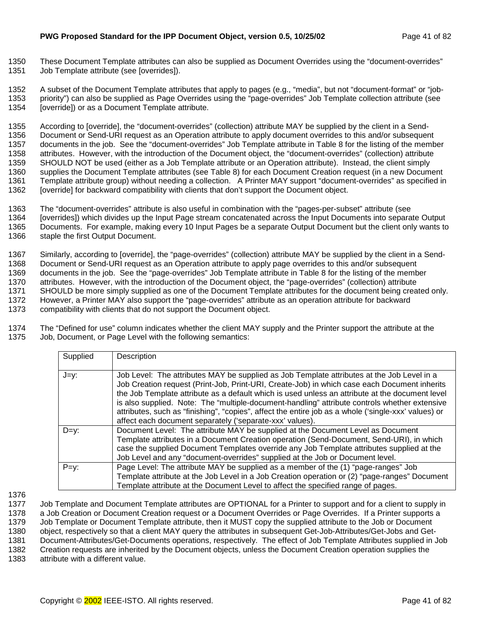1350 These Document Template attributes can also be supplied as Document Overrides using the "document-overrides" 1351 Job Template attribute (see [overrides]).

1352 A subset of the Document Template attributes that apply to pages (e.g., "media", but not "document-format" or "job-1353 priority") can also be supplied as Page Overrides using the "page-overrides" Job Template collection attribute (see 1354 [override]) or as a Document Template attribute.

1355 According to [override], the "document-overrides" (collection) attribute MAY be supplied by the client in a Send-1356 Document or Send-URI request as an Operation attribute to apply document overrides to this and/or subsequent 1357 documents in the job. See the "document-overrides" Job Template attribute in [Table 8](#page-41-0) for the listing of the member 1358 attributes. However, with the introduction of the Document object, the "document-overrides" (collection) attribute 1359 SHOULD NOT be used (either as a Job Template attribute or an Operation attribute). Instead, the client simply 1360 supplies the Document Template attributes (see T[able 8\)](#page-41-0) for each Document Creation request (in a new Document 1361 Template attribute group) without needing a collection. A Printer MAY support "document-overrides" as specified in 1362 [override] for backward compatibility with clients that don't support the Document object.

1363 The "document-overrides" attribute is also useful in combination with the "pages-per-subset" attribute (see 1364 [overrides]) which divides up the Input Page stream concatenated across the Input Documents into separate Output 1365 Documents. For example, making every 10 Input Pages be a separate Output Document but the client only wants to 1366 staple the first Output Document.

1367 Similarly, according to [override], the "page-overrides" (collection) attribute MAY be supplied by the client in a Send-1368 Document or Send-URI request as an Operation attribute to apply page overrides to this and/or subsequent 1369 documents in the job. See the "page-overrides" Job Template attribute in [Table 8](#page-41-0) for the listing of the member 1370 attributes. However, with the introduction of the Document object, the "page-overrides" (collection) attribute 1371 SHOULD be more simply supplied as one of the Document Template attributes for the document being created only. 1372 However, a Printer MAY also support the "page-overrides" attribute as an operation attribute for backward 1373 compatibility with clients that do not support the Document object.

1374 The "Defined for use" column indicates whether the client MAY supply and the Printer support the attribute at the 1375 Job, Document, or Page Level with the following semantics:

| Supplied | Description                                                                                                                                                                                                                                                                                                                                                                                                                                                                                                                                                        |
|----------|--------------------------------------------------------------------------------------------------------------------------------------------------------------------------------------------------------------------------------------------------------------------------------------------------------------------------------------------------------------------------------------------------------------------------------------------------------------------------------------------------------------------------------------------------------------------|
| J=y:     | Job Level: The attributes MAY be supplied as Job Template attributes at the Job Level in a<br>Job Creation request (Print-Job, Print-URI, Create-Job) in which case each Document inherits<br>the Job Template attribute as a default which is used unless an attribute at the document level<br>is also supplied. Note: The "multiple-document-handling" attribute controls whether extensive<br>attributes, such as "finishing", "copies", affect the entire job as a whole ('single-xxx' values) or<br>affect each document separately ('separate-xxx' values). |
| $D=y$ :  | Document Level: The attribute MAY be supplied at the Document Level as Document<br>Template attributes in a Document Creation operation (Send-Document, Send-URI), in which<br>case the supplied Document Templates override any Job Template attributes supplied at the<br>Job Level and any "document-overrides" supplied at the Job or Document level.                                                                                                                                                                                                          |
| $P=y$ :  | Page Level: The attribute MAY be supplied as a member of the (1) "page-ranges" Job<br>Template attribute at the Job Level in a Job Creation operation or (2) "page-ranges" Document<br>Template attribute at the Document Level to affect the specified range of pages.                                                                                                                                                                                                                                                                                            |

1376

1377 Job Template and Document Template attributes are OPTIONAL for a Printer to support and for a client to supply in 1378 a Job Creation or Document Creation request or a Document Overrides or Page Overrides. If a Printer supports a 1379 Job Template or Document Template attribute, then it MUST copy the supplied attribute to the Job or Document 1380 object, respectively so that a client MAY query the attributes in subsequent Get-Job-Attributes/Get-Jobs and Get-

1381 Document-Attributes/Get-Documents operations, respectively. The effect of Job Template Attributes supplied in Job<br>1382 Creation requests are inherited by the Document obiects, unless the Document Creation operation su Creation requests are inherited by the Document objects, unless the Document Creation operation supplies the

1383 attribute with a different value.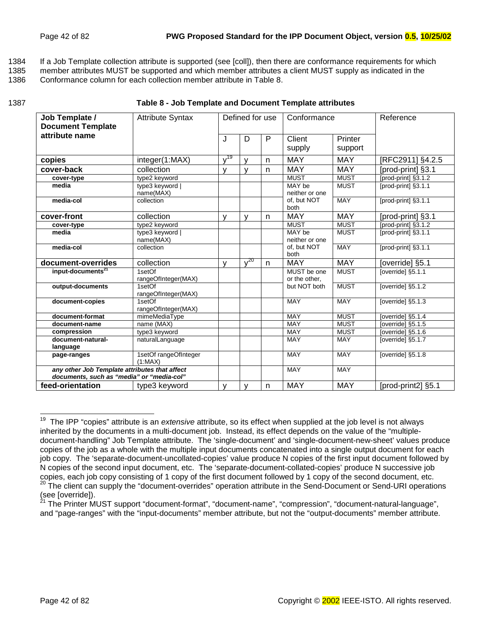<span id="page-41-0"></span>1384 If a Job Template collection attribute is supported (see [coll]), then there are conformance requirements for which

1385 member attributes MUST be supported and which member attributes a client MUST supply as indicated in the

1386 Conformance column for each collection member attribute in Table 8.

| ۰.<br>I<br>×<br>×<br>v<br>۰. |  |
|------------------------------|--|
|------------------------------|--|

#### 1387 **Table 8 - Job Template and Document Template attributes**

| Job Template /                                                                             | <b>Attribute Syntax</b>          |              |              | Defined for use | Conformance                  |             | Reference           |
|--------------------------------------------------------------------------------------------|----------------------------------|--------------|--------------|-----------------|------------------------------|-------------|---------------------|
| <b>Document Template</b>                                                                   |                                  |              |              |                 |                              |             |                     |
| attribute name                                                                             |                                  | J            | D            | P               | Client                       | Printer     |                     |
|                                                                                            |                                  |              |              |                 | supply                       | support     |                     |
| copies                                                                                     | integer(1:MAX)                   | $v^{19}$     | $\mathsf{V}$ | n               | <b>MAY</b>                   | <b>MAY</b>  | [RFC2911] §4.2.5    |
| cover-back                                                                                 | collection                       | $\mathsf{v}$ | $\mathbf{V}$ | n               | <b>MAY</b>                   | <b>MAY</b>  | [prod-print] §3.1   |
| cover-type                                                                                 | type2 keyword                    |              |              |                 | <b>MUST</b>                  | <b>MUST</b> | [prod-print] §3.1.2 |
| media                                                                                      | type3 keyword  <br>name(MAX)     |              |              |                 | MAY be<br>neither or one     | <b>MUST</b> | [prod-print] §3.1.1 |
| media-col                                                                                  | collection                       |              |              |                 | of, but NOT<br>both          | MAY         | [prod-print] §3.1.1 |
| cover-front                                                                                | collection                       | V            | $\mathsf{v}$ | $\mathsf{n}$    | <b>MAY</b>                   | <b>MAY</b>  | [prod-print] §3.1   |
| cover-type                                                                                 | type2 keyword                    |              |              |                 | <b>MUST</b>                  | <b>MUST</b> | [prod-print] §3.1.2 |
| media                                                                                      | type3 keyword  <br>name(MAX)     |              |              |                 | MAY be<br>neither or one     | <b>MUST</b> | [prod-print] §3.1.1 |
| media-col                                                                                  | collection                       |              |              |                 | of, but NOT<br>both          | <b>MAY</b>  | [prod-print] §3.1.1 |
| document-overrides                                                                         | collection                       | $\mathsf{V}$ | $\sqrt{20}$  | $\mathsf{n}$    | <b>MAY</b>                   | <b>MAY</b>  | [override] §5.1     |
| input-documents <sup>21</sup>                                                              | $1$ setOf<br>rangeOfInteger(MAX) |              |              |                 | MUST be one<br>or the other, | <b>MUST</b> | [override] §5.1.1   |
| output-documents                                                                           | 1setOf<br>rangeOfInteger(MAX)    |              |              |                 | but NOT both                 | <b>MUST</b> | [override] §5.1.2   |
| document-copies                                                                            | 1setOf<br>rangeOfInteger(MAX)    |              |              |                 | <b>MAY</b>                   | <b>MAY</b>  | [override] §5.1.3   |
| document-format                                                                            | mimeMediaTvpe                    |              |              |                 | <b>MAY</b>                   | <b>MUST</b> | [override] §5.1.4   |
| document-name                                                                              | name (MAX)                       |              |              |                 | <b>MAY</b>                   | <b>MUST</b> | [override] §5.1.5   |
| compression                                                                                | type3 keyword                    |              |              |                 | <b>MAY</b>                   | <b>MUST</b> | [override] §5.1.6   |
| document-natural-                                                                          | naturalLanguage                  |              |              |                 | <b>MAY</b>                   | <b>MAY</b>  | [override] §5.1.7   |
| language                                                                                   |                                  |              |              |                 | <b>MAY</b>                   | <b>MAY</b>  | [override] §5.1.8   |
| page-ranges                                                                                | 1setOf rangeOfInteger<br>(1:MAX) |              |              |                 |                              |             |                     |
| any other Job Template attributes that affect<br>documents, such as "media" or "media-col" |                                  |              |              |                 | <b>MAY</b>                   | <b>MAY</b>  |                     |
| feed-orientation                                                                           | type3 keyword                    | v            | v            | n               | <b>MAY</b>                   | <b>MAY</b>  | [prod-print2] §5.1  |

 $\overline{\phantom{a}}$ 19 The IPP "copies" attribute is an *extensive* attribute, so its effect when supplied at the job level is not always inherited by the documents in a multi-document job. Instead, its effect depends on the value of the "multipledocument-handling" Job Template attribute. The 'single-document' and 'single-document-new-sheet' values produce copies of the job as a whole with the multiple input documents concatenated into a single output document for each job copy. The 'separate-document-uncollated-copies' value produce N copies of the first input document followed by N copies of the second input document, etc. The 'separate-document-collated-copies' produce N successive job copies, each job copy consisting of 1 copy of the first document followed by 1 copy of the second document, etc. <sup>20</sup> The client can supply the "document-overrides" operation attribute in the Send-Document or Send-URI operations (see [override]).

<sup>&</sup>lt;sup>21</sup> The Printer MUST support "document-format", "document-name", "compression", "document-natural-language", and "page-ranges" with the "input-documents" member attribute, but not the "output-documents" member attribute.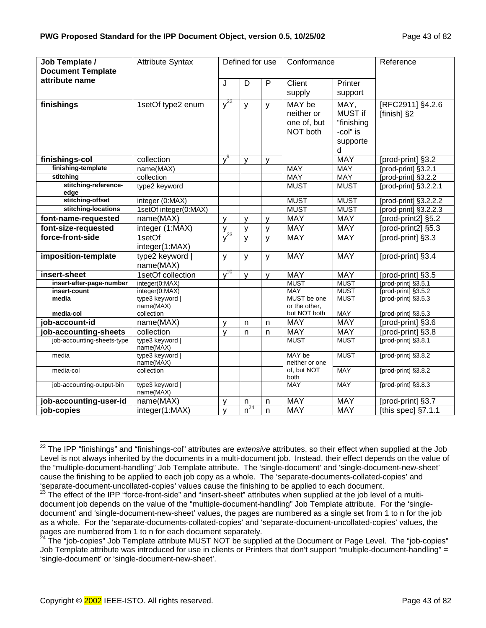| Job Template /               | <b>Attribute Syntax</b>      |                     | Defined for use                 |              | Conformance                                     |                                                            | Reference                       |
|------------------------------|------------------------------|---------------------|---------------------------------|--------------|-------------------------------------------------|------------------------------------------------------------|---------------------------------|
| <b>Document Template</b>     |                              |                     |                                 |              |                                                 |                                                            |                                 |
| attribute name               |                              | J                   | D                               | $\mathsf{P}$ | Client                                          | Printer                                                    |                                 |
|                              |                              |                     |                                 |              | supply                                          | support                                                    |                                 |
| finishings                   | 1setOf type2 enum            | $v^{22}$            | y                               | y            | MAY be<br>neither or<br>one of, but<br>NOT both | MAY,<br>MUST if<br>"finishing<br>-col" is<br>supporte<br>d | [RFC2911] §4.2.6<br>[finish] §2 |
| finishings-col               | collection                   | v <sup>9</sup>      | y                               | y            |                                                 | <b>MAY</b>                                                 | [prod-print] §3.2               |
| finishing-template           | name(MAX)                    |                     |                                 |              | <b>MAY</b>                                      | <b>MAY</b>                                                 | [prod-print] §3.2.1             |
| stitching                    | collection                   |                     |                                 |              | <b>MAY</b>                                      | <b>MAY</b>                                                 | [ $prod-$ print] $§3.2.2$       |
| stitching-reference-<br>edge | type2 keyword                |                     |                                 |              | <b>MUST</b>                                     | <b>MUST</b>                                                | [prod-print] §3.2.2.1           |
| stitching-offset             | integer (0:MAX)              |                     |                                 |              | <b>MUST</b>                                     | <b>MUST</b>                                                | [prod-print] §3.2.2.2           |
| stitching-locations          | 1setOf integer(0:MAX)        |                     |                                 |              | <b>MUST</b>                                     | <b>MUST</b>                                                | [prod-print] §3.2.2.3           |
| font-name-requested          | name(MAX)                    | $\mathsf{v}$        | $\mathsf{V}$                    | $\mathsf{V}$ | <b>MAY</b>                                      | <b>MAY</b>                                                 | [prod-print2] §5.2              |
| font-size-requested          | integer (1:MAX)              | $\mathsf{V}$        | $\mathsf{V}$                    | $\mathsf{V}$ | <b>MAY</b>                                      | <b>MAY</b>                                                 | [prod-print2] §5.3              |
| force-front-side             | 1setOf<br>integer(1:MAX)     | $\sqrt{23}$         | $\mathsf{y}$                    | y            | <b>MAY</b>                                      | <b>MAY</b>                                                 | [prod-print] §3.3               |
| imposition-template          | type2 keyword  <br>name(MAX) | y                   | y                               | y            | <b>MAY</b>                                      | <b>MAY</b>                                                 | [prod-print] §3.4               |
| insert-sheet                 | 1setOf collection            | $\overline{y}^{10}$ | $\mathsf{v}$                    | $\mathsf{V}$ | <b>MAY</b>                                      | <b>MAY</b>                                                 | [prod-print] §3.5               |
| insert-after-page-number     | integer(0:MAX)               |                     |                                 |              | <b>MUST</b>                                     | <b>MUST</b>                                                | [prod-print] §3.5.1             |
| insert-count                 | integer(0:MAX)               |                     |                                 |              | <b>MAY</b>                                      | <b>MUST</b>                                                | [prod-print] §3.5.2             |
| media                        | type3 keyword  <br>name(MAX) |                     |                                 |              | MUST be one<br>or the other,                    | <b>MUST</b>                                                | [prod-print] §3.5.3             |
| media-col                    | collection                   |                     |                                 |              | but NOT both                                    | <b>MAY</b>                                                 | [prod-print] §3.5.3             |
| job-account-id               | name(MAX)                    | $\mathsf{v}$        | n                               | n            | <b>MAY</b>                                      | <b>MAY</b>                                                 | [prod-print] §3.6               |
| job-accounting-sheets        | collection                   | y                   | $\mathsf{n}$                    | n            | <b>MAY</b>                                      | <b>MAY</b>                                                 | [prod-print] §3.8               |
| job-accounting-sheets-type   | type3 keyword  <br>name(MAX) |                     |                                 |              | <b>MUST</b>                                     | <b>MUST</b>                                                | [prod-print] §3.8.1             |
| media                        | type3 keyword  <br>name(MAX) |                     |                                 |              | MAY be<br>neither or one                        | <b>MUST</b>                                                | [prod-print] §3.8.2             |
| media-col                    | collection                   |                     |                                 |              | of, but NOT<br>both                             | <b>MAY</b>                                                 | [prod-print] §3.8.2             |
| job-accounting-output-bin    | type3 keyword  <br>name(MAX) |                     |                                 |              | <b>MAY</b>                                      | <b>MAY</b>                                                 | [prod-print] §3.8.3             |
| job-accounting-user-id       | name(MAX)                    | $\mathsf{v}$        | n                               | $\mathsf{n}$ | <b>MAY</b>                                      | <b>MAY</b>                                                 | [prod-print] §3.7               |
| job-copies                   | integer(1:MAX)               | $\mathsf{v}$        | $\overline{\underline{n}^{24}}$ | $\mathsf{n}$ | <b>MAY</b>                                      | <b>MAY</b>                                                 | [this spec] §7.1.1              |

 $\overline{\phantom{a}}$ 22 The IPP "finishings" and "finishings-col" attributes are *extensive* attributes, so their effect when supplied at the Job Level is not always inherited by the documents in a multi-document job. Instead, their effect depends on the value of the "multiple-document-handling" Job Template attribute. The 'single-document' and 'single-document-new-sheet' cause the finishing to be applied to each job copy as a whole. The 'separate-documents-collated-copies' and 'separate-document-uncollated-copies' values cause the finishing to be applied to each document.

<sup>23</sup> The effect of the IPP "force-front-side" and "insert-sheet" attributes when supplied at the job level of a multidocument job depends on the value of the "multiple-document-handling" Job Template attribute. For the 'singledocument' and 'single-document-new-sheet' values, the pages are numbered as a single set from 1 to n for the job as a whole. For the 'separate-documents-collated-copies' and 'separate-document-uncollated-copies' values, the pages are numbered from 1 to n for each document separately.

<sup>&</sup>lt;sup>24</sup> The "job-copies" Job Template attribute MUST NOT be supplied at the Document or Page Level. The "job-copies" Job Template attribute was introduced for use in clients or Printers that don't support "multiple-document-handling" = 'single-document' or 'single-document-new-sheet'.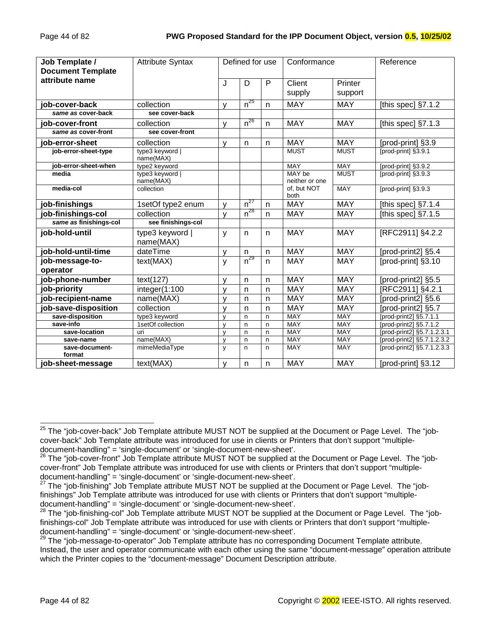| Job Template /              | <b>Attribute Syntax</b>      |              | Defined for use     |              | Conformance              |                    | Reference                  |
|-----------------------------|------------------------------|--------------|---------------------|--------------|--------------------------|--------------------|----------------------------|
| <b>Document Template</b>    |                              |              |                     |              |                          |                    |                            |
| attribute name              |                              | J            | D                   | P            | Client<br>supply         | Printer<br>support |                            |
| job-cover-back              | collection                   | $\mathsf{v}$ | $n^{25}$            | $\mathsf{n}$ | <b>MAY</b>               | <b>MAY</b>         | [this spec] $\S7.1.2$      |
| same as cover-back          | see cover-back               |              |                     |              |                          |                    |                            |
| job-cover-front             | collection                   | $\mathsf{v}$ | $n^{26}$            | n            | <b>MAY</b>               | <b>MAY</b>         | [this spec] $§7.1.3$       |
| same as cover-front         | see cover-front              |              |                     |              |                          |                    |                            |
| job-error-sheet             | collection                   | $\mathsf{V}$ | $\mathsf{n}$        | n            | <b>MAY</b>               | <b>MAY</b>         | [prod-print] §3.9          |
| job-error-sheet-type        | type3 keyword  <br>name(MAX) |              |                     |              | <b>MUST</b>              | <b>MUST</b>        | fprod-print1 §3.9.1        |
| job-error-sheet-when        | type2 keyword                |              |                     |              | <b>MAY</b>               | <b>MAY</b>         | [prod-print] §3.9.2        |
| media                       | type3 keyword  <br>name(MAX) |              |                     |              | MAY be<br>neither or one | <b>MUST</b>        | [prod-print] §3.9.3        |
| media-col                   | collection                   |              |                     |              | of, but NOT<br>both      | <b>MAY</b>         | [prod-print] §3.9.3        |
| job-finishings              | 1setOf type2 enum            | $\mathsf{v}$ | $\overline{n}^{27}$ | $\mathsf{n}$ | <b>MAY</b>               | <b>MAY</b>         | [this spec] §7.1.4         |
| job-finishings-col          | collection                   | $\mathsf{V}$ | $n^{28}$            | $\mathsf{n}$ | <b>MAY</b>               | <b>MAY</b>         | [this spec] $§7.1.5$       |
| same as finishings-col      | see finishings-col           |              |                     |              |                          |                    |                            |
| job-hold-until              | type3 keyword  <br>name(MAX) | y            | $\mathsf{n}$        | n            | <b>MAY</b>               | <b>MAY</b>         | [RFC2911] §4.2.2           |
| job-hold-until-time         | dateTime                     | $\mathsf{v}$ | $\mathsf{n}$        | n            | <b>MAY</b>               | <b>MAY</b>         | [prod-print2] §5.4         |
| job-message-to-<br>operator | text(MAX)                    | y            | $n^{29}$            | $\mathsf{n}$ | <b>MAY</b>               | <b>MAY</b>         | [prod-print] §3.10         |
| job-phone-number            | text(127)                    | $\mathsf{v}$ | n                   | n            | <b>MAY</b>               | <b>MAY</b>         | [prod-print2] §5.5         |
| job-priority                | integer(1:100                | $\mathsf{V}$ | $\mathsf{n}$        | n            | <b>MAY</b>               | <b>MAY</b>         | [RFC2911] §4.2.1           |
| job-recipient-name          | name(MAX)                    | $\mathsf{V}$ | $\mathsf{n}$        | n            | <b>MAY</b>               | <b>MAY</b>         | [prod-print2] §5.6         |
| job-save-disposition        | collection                   | $\mathsf{v}$ | $\mathsf{n}$        | $\mathsf{n}$ | <b>MAY</b>               | <b>MAY</b>         | [prod-print2] §5.7         |
| save-disposition            | type3 keyword                | $\mathsf{v}$ | n                   | n            | MAY                      | MAY                | [prod-print2] §5.7.1.1     |
| save-info                   | 1setOf collection            | $\mathsf{v}$ | $\mathsf{n}$        | n            | <b>MAY</b>               | <b>MAY</b>         | [prod-print2] §5.7.1.2     |
| save-location               | uri                          | $\mathsf{v}$ | n                   | n            | <b>MAY</b>               | <b>MAY</b>         | [prod-print2] §5.7.1.2.3.1 |
| save-name                   | name(MAX)                    | $\mathsf{v}$ | $\mathsf{n}$        | n            | <b>MAY</b>               | <b>MAY</b>         | [prod-print2] §5.7.1.2.3.2 |
| save-document-<br>format    | mimeMediaType                | y            | $\mathsf{n}$        | n            | <b>MAY</b>               | <b>MAY</b>         | [prod-print2] §5.7.1.2.3.3 |
| job-sheet-message           | text(MAX)                    | v            | n                   | n            | <b>MAY</b>               | <b>MAY</b>         | [prod-print] §3.12         |

 $\overline{\phantom{a}}$  $^{25}$  The "job-cover-back" Job Template attribute MUST NOT be supplied at the Document or Page Level. The "jobcover-back" Job Template attribute was introduced for use in clients or Printers that don't support "multipledocument-handling" = 'single-document' or 'single-document-new-sheet'.

<sup>&</sup>lt;sup>26</sup> The "iob-cover-front" Job Template attribute MUST NOT be supplied at the Document or Page Level. The "jobcover-front" Job Template attribute was introduced for use with clients or Printers that don't support "multipledocument-handling" = 'single-document' or 'single-document-new-sheet'.

<sup>&</sup>lt;sup>27</sup> The "job-finishing" Job Template attribute MUST NOT be supplied at the Document or Page Level. The "jobfinishings" Job Template attribute was introduced for use with clients or Printers that don't support "multipledocument-handling" = 'single-document' or 'single-document-new-sheet'.

<sup>&</sup>lt;sup>28</sup> The "job-finishing-col" Job Template attribute MUST NOT be supplied at the Document or Page Level. The "jobfinishings-col" Job Template attribute was introduced for use with clients or Printers that don't support "multipledocument-handling" = 'single-document' or 'single-document-new-sheet'.

<sup>&</sup>lt;sup>29</sup> The "job-message-to-operator" Job Template attribute has no corresponding Document Template attribute. Instead, the user and operator communicate with each other using the same "document-message" operation attribute which the Printer copies to the "document-message" Document Description attribute.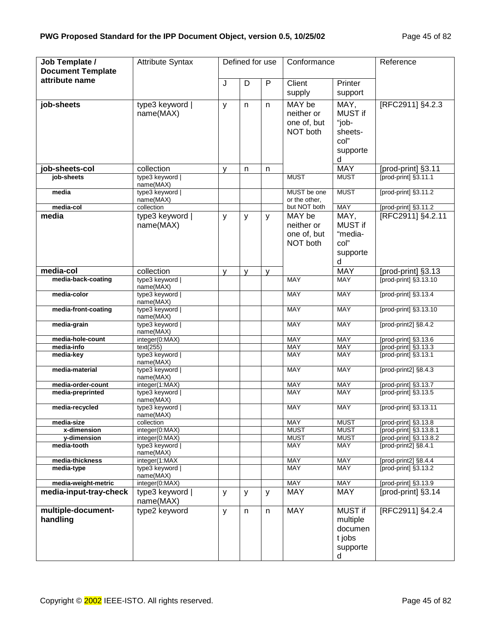| Job Template /<br><b>Document Template</b> | <b>Attribute Syntax</b>          |   | Defined for use |   | Conformance                                     |                                                              | Reference                                        |
|--------------------------------------------|----------------------------------|---|-----------------|---|-------------------------------------------------|--------------------------------------------------------------|--------------------------------------------------|
| attribute name                             |                                  | J | D               | P | $\overline{Client}$<br>supply                   | Printer<br>support                                           |                                                  |
| job-sheets                                 | type3 keyword  <br>name(MAX)     | y | n               | n | MAY be<br>neither or<br>one of, but<br>NOT both | MAY,<br>MUST if<br>"job-<br>sheets-<br>col"<br>supporte<br>d | [RFC2911] §4.2.3                                 |
| job-sheets-col                             | collection                       | y | $\mathsf{n}$    | n |                                                 | <b>MAY</b>                                                   | [prod-print] §3.11                               |
| job-sheets                                 | type3 keyword  <br>name(MAX)     |   |                 |   | <b>MUST</b>                                     | <b>MUST</b>                                                  | [prod-print] §3.11.1                             |
| media                                      | type3 keyword  <br>name(MAX)     |   |                 |   | MUST be one<br>or the other,                    | <b>MUST</b>                                                  | [prod-print] §3.11.2                             |
| media-col                                  | collection                       |   |                 |   | but NOT both                                    | <b>MAY</b>                                                   | [prod-print] §3.11.2                             |
| media                                      | type3 keyword<br>name(MAX)       | y | y               | y | MAY be<br>neither or<br>one of, but<br>NOT both | MAY,<br><b>MUST if</b><br>"media-<br>col"<br>supporte<br>d   | [RFC2911] §4.2.11                                |
| media-col                                  | collection                       | y | y               | y |                                                 | <b>MAY</b>                                                   | [prod-print] §3.13                               |
| media-back-coating                         | type3 keyword  <br>name(MAX)     |   |                 |   | <b>MAY</b>                                      | <b>MAY</b>                                                   | [prod-print] §3.13.10                            |
| media-color                                | type3 keyword  <br>name(MAX)     |   |                 |   | <b>MAY</b>                                      | <b>MAY</b>                                                   | [prod-print] §3.13.4                             |
| media-front-coating                        | type3 keyword  <br>name(MAX)     |   |                 |   | <b>MAY</b>                                      | <b>MAY</b>                                                   | [prod-print] §3.13.10                            |
| media-grain                                | type3 keyword  <br>name(MAX)     |   |                 |   | <b>MAY</b>                                      | <b>MAY</b>                                                   | [prod-print2] §8.4.2                             |
| media-hole-count                           | integer(0:MAX)                   |   |                 |   | <b>MAY</b>                                      | <b>MAY</b>                                                   | [prod-print] §3.13.6                             |
| media-info                                 | text(255)                        |   |                 |   | <b>MAY</b>                                      | MAY                                                          | [prod-print] §3.13.3                             |
| media-key                                  | type3 keyword  <br>name(MAX)     |   |                 |   | <b>MAY</b>                                      | <b>MAY</b>                                                   | [prod-print] §3.13.1                             |
| media-material                             | type3 keyword  <br>name(MAX)     |   |                 |   | <b>MAY</b>                                      | MAY                                                          | [prod-print2] §8.4.3                             |
| media-order-count                          | integer(1:MAX)                   |   |                 |   | <b>MAY</b>                                      | <b>MAY</b>                                                   | [prod-print] §3.13.7                             |
| media-preprinted                           | type3 keyword  <br>name(MAX)     |   |                 |   | <b>MAY</b>                                      | MAY                                                          | [prod-print] §3.13.5                             |
| media-recycled                             | type3 keyword  <br>name(MAX)     |   |                 |   | <b>MAY</b>                                      | MAY                                                          | [prod-print] §3.13.11                            |
| media-size                                 | collection                       |   |                 |   | <b>MAY</b>                                      | <b>MUST</b>                                                  | [prod-print] §3.13.8                             |
| x-dimension<br>y-dimension                 | integer(0:MAX)<br>integer(0:MAX) |   |                 |   | <b>MUST</b><br><b>MUST</b>                      | <b>MUST</b><br><b>MUST</b>                                   | [prod-print] §3.13.8.1<br>[prod-print] §3.13.8.2 |
| media-tooth                                | type3 keyword  <br>name(MAX)     |   |                 |   | MAY                                             | MAY                                                          | [prod-print2] §8.4.1                             |
| media-thickness                            | integer(1:MAX                    |   |                 |   | <b>MAY</b>                                      | MAY                                                          | [prod-print2] §8.4.4                             |
| media-type                                 | type3 keyword  <br>name(MAX)     |   |                 |   | <b>MAY</b>                                      | <b>MAY</b>                                                   | [prod-print] §3.13.2                             |
| media-weight-metric                        | integer(0:MAX)                   |   |                 |   | <b>MAY</b>                                      | <b>MAY</b>                                                   | [prod-print] §3.13.9                             |
| media-input-tray-check                     | type3 keyword<br>name(MAX)       | У | y               | y | MAY                                             | <b>MAY</b>                                                   | [prod-print] §3.14                               |
| multiple-document-<br>handling             | type2 keyword                    | y | n               | n | <b>MAY</b>                                      | MUST if<br>multiple<br>documen<br>t jobs<br>supporte<br>d    | [RFC2911] §4.2.4                                 |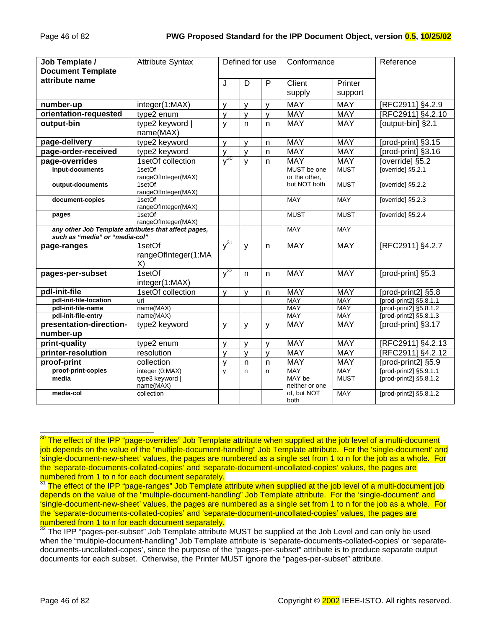| Job Template /                                       | <b>Attribute Syntax</b>       |                         | Defined for use |              | Conformance              |             | Reference              |
|------------------------------------------------------|-------------------------------|-------------------------|-----------------|--------------|--------------------------|-------------|------------------------|
| <b>Document Template</b>                             |                               |                         |                 |              |                          |             |                        |
| attribute name                                       |                               | $\overline{\mathsf{J}}$ | D               | P            | $\overline{Client}$      | Printer     |                        |
|                                                      |                               |                         |                 |              | supply                   | support     |                        |
| number-up                                            | integer(1:MAX)                | y                       | y               | V            | <b>MAY</b>               | <b>MAY</b>  | [RFC2911] §4.2.9       |
| orientation-requested                                | type2 enum                    | $\mathsf{V}$            | y               | $\mathsf{V}$ | <b>MAY</b>               | <b>MAY</b>  | [RFC2911] §4.2.10      |
| output-bin                                           | type2 keyword  <br>name(MAX)  | $\mathsf{y}$            | $\mathsf{n}$    | n            | <b>MAY</b>               | <b>MAY</b>  | [output-bin] §2.1      |
| page-delivery                                        | type2 keyword                 | $\mathsf{V}$            | $\mathsf{V}$    | n            | <b>MAY</b>               | <b>MAY</b>  | [prod-print] §3.15     |
| page-order-received                                  | type2 keyword                 | $\mathsf{V}$            | $\mathsf{V}$    | $\mathsf{n}$ | <b>MAY</b>               | <b>MAY</b>  | [prod-print] §3.16     |
| page-overrides                                       | 1setOf collection             | $\sqrt{30}$             | $\mathsf{V}$    | $\mathsf{n}$ | <b>MAY</b>               | <b>MAY</b>  | [override] §5.2        |
| input-documents                                      | 1setOf                        |                         |                 |              | MUST be one              | <b>MUST</b> | [override] $$5.2.1$    |
|                                                      | rangeOfInteger(MAX)           |                         |                 |              | or the other,            |             |                        |
| output-documents                                     | 1setOf<br>rangeOfInteger(MAX) |                         |                 |              | but NOT both             | <b>MUST</b> | [override] §5.2.2      |
| document-copies                                      | 1setOf                        |                         |                 |              | <b>MAY</b>               | <b>MAY</b>  | [override] §5.2.3      |
|                                                      | rangeOfInteger(MAX)<br>1setOf |                         |                 |              | <b>MUST</b>              | <b>MUST</b> | [override] §5.2.4      |
| pages                                                | rangeOfInteger(MAX)           |                         |                 |              |                          |             |                        |
| any other Job Template attributes that affect pages, |                               |                         |                 |              | <b>MAY</b>               | <b>MAY</b>  |                        |
| such as "media" or "media-col"                       |                               |                         |                 |              |                          |             |                        |
| page-ranges                                          | 1setOf                        | $v^{31}$                | $\mathsf{y}$    | $\mathsf{n}$ | <b>MAY</b>               | <b>MAY</b>  | [RFC2911] §4.2.7       |
|                                                      | rangeOfInteger(1:MA           |                         |                 |              |                          |             |                        |
|                                                      | X)                            |                         |                 |              |                          |             |                        |
| pages-per-subset                                     | 1setOf                        | $y^{32}$                | $\mathsf{n}$    | n            | <b>MAY</b>               | <b>MAY</b>  | [prod-print] §5.3      |
|                                                      | integer(1:MAX)                |                         |                 |              |                          |             |                        |
| pdl-init-file                                        | 1setOf collection             | y                       | V               | n            | <b>MAY</b>               | <b>MAY</b>  | [prod-print2] §5.8     |
| pdl-init-file-location                               | uri                           |                         |                 |              | <b>MAY</b>               | <b>MAY</b>  | [prod-print2] §5.8.1.1 |
| pdl-init-file-name                                   | name(MAX)                     |                         |                 |              | <b>MAY</b>               | <b>MAY</b>  | [prod-print2] §5.8.1.2 |
| pdl-init-file-entry                                  | name(MAX)                     |                         |                 |              | <b>MAY</b>               | <b>MAY</b>  | [prod-print2] §5.8.1.3 |
| presentation-direction-                              | type2 keyword                 | $\mathsf{y}$            | $\mathsf{y}$    | y            | <b>MAY</b>               | <b>MAY</b>  | [prod-print] §3.17     |
| number-up                                            |                               |                         |                 |              |                          |             |                        |
| print-quality                                        | type2 enum                    | $\mathsf{V}$            | V               | $\mathsf{V}$ | <b>MAY</b>               | <b>MAY</b>  | [RFC2911] §4.2.13      |
| printer-resolution                                   | resolution                    | $\mathsf{V}$            | $\mathsf{V}$    | $\mathsf{V}$ | <b>MAY</b>               | <b>MAY</b>  | [RFC2911] §4.2.12      |
| proof-print                                          | collection                    | $\mathsf{V}$            | $\mathsf{n}$    | n            | <b>MAY</b>               | <b>MAY</b>  | [prod-print2] §5.9     |
| proof-print-copies                                   | integer (0:MAX)               | $\mathsf{v}$            | n               | n            | <b>MAY</b>               | <b>MAY</b>  | [prod-print2] §5.9.1.1 |
| media                                                | type3 keyword  <br>name(MAX)  |                         |                 |              | MAY be<br>neither or one | <b>MUST</b> | [prod-print2] §5.8.1.2 |
| media-col                                            | collection                    |                         |                 |              | of, but NOT<br>both      | <b>MAY</b>  | [prod-print2] §5.8.1.2 |

 $30$  The effect of the IPP "page-overrides" Job Template attribute when supplied at the job level of a multi-document job depends on the value of the "multiple-document-handling" Job Template attribute. For the 'single-document' and 'single-document-new-sheet' values, the pages are numbered as a single set from 1 to n for the job as a whole. For the 'separate-documents-collated-copies' and 'separate-document-uncollated-copies' values, the pages are numbered from 1 to n for each document separately.

l

<sup>&</sup>lt;sup>31</sup> The effect of the IPP "page-ranges" Job Template attribute when supplied at the job level of a multi-document job depends on the value of the "multiple-document-handling" Job Template attribute. For the 'single-document' and 'single-document-new-sheet' values, the pages are numbered as a single set from 1 to n for the job as a whole. For the 'separate-documents-collated-copies' and 'separate-document-uncollated-copies' values, the pages are numbered from 1 to n for each document separately.

 $32$  The IPP "pages-per-subset" Job Template attribute MUST be supplied at the Job Level and can only be used when the "multiple-document-handling" Job Template attribute is 'separate-documents-collated-copies' or 'separatedocuments-uncollated-copes', since the purpose of the "pages-per-subset" attribute is to produce separate output documents for each subset. Otherwise, the Printer MUST ignore the "pages-per-subset" attribute.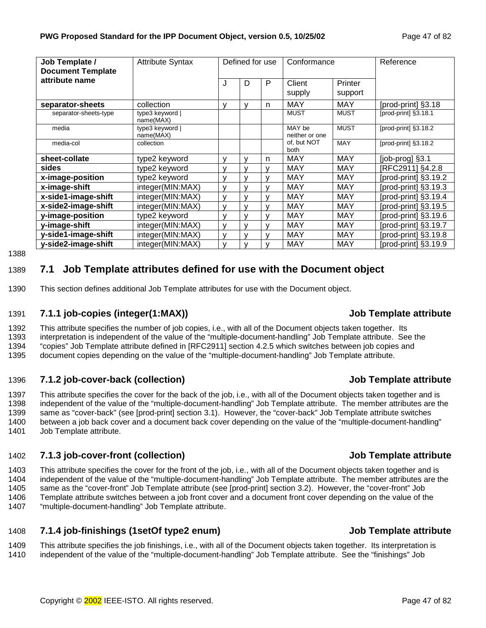<span id="page-46-0"></span>

| Job Template /<br><b>Document Template</b> | <b>Attribute Syntax</b>      |              | Defined for use |   | Conformance              |                    | Reference                  |
|--------------------------------------------|------------------------------|--------------|-----------------|---|--------------------------|--------------------|----------------------------|
| attribute name                             |                              | J            | D               | P | Client<br>supply         | Printer<br>support |                            |
| separator-sheets                           | collection                   | v            | v               | n | <b>MAY</b>               | <b>MAY</b>         | [prod-print] §3.18         |
| separator-sheets-type                      | type3 keyword  <br>name(MAX) |              |                 |   | <b>MUST</b>              | <b>MUST</b>        | [prod-print] §3.18.1       |
| media                                      | type3 keyword  <br>name(MAX) |              |                 |   | MAY be<br>neither or one | <b>MUST</b>        | [prod-print] §3.18.2       |
| media-col                                  | collection                   |              |                 |   | of, but NOT<br>both      | <b>MAY</b>         | [ $prod-$ print] $§3.18.2$ |
| sheet-collate                              | type2 keyword                | v            | v               | n | <b>MAY</b>               | <b>MAY</b>         | [job-prog] §3.1            |
| sides                                      | type2 keyword                |              | v               | v | MAY                      | MAY                | [RFC2911] §4.2.8           |
| x-image-position                           | type2 keyword                | $\mathbf{v}$ | v               |   | <b>MAY</b>               | <b>MAY</b>         | [prod-print] §3.19.2       |
| x-image-shift                              | integer(MIN:MAX)             |              | v               |   | <b>MAY</b>               | <b>MAY</b>         | [prod-print] §3.19.3       |
| x-side1-image-shift                        | integer(MIN:MAX)             | $\mathbf{v}$ | $\mathsf{V}$    | v | <b>MAY</b>               | <b>MAY</b>         | [prod-print] §3.19.4       |
| x-side2-image-shift                        | integer(MIN:MAX)             | v            | v               | v | <b>MAY</b>               | <b>MAY</b>         | [prod-print] §3.19.5       |
| y-image-position                           | type2 keyword                | v            | v               | v | MAY                      | MAY                | [prod-print] §3.19.6       |
| y-image-shift                              | integer(MIN:MAX)             | $\mathsf{v}$ | v               |   | <b>MAY</b>               | <b>MAY</b>         | [prod-print] §3.19.7       |
| y-side1-image-shift                        | integer(MIN:MAX)             |              | v               | v | <b>MAY</b>               | <b>MAY</b>         | [prod-print] §3.19.8       |
| y-side2-image-shift                        | integer(MIN:MAX)             | v            | v               |   | <b>MAY</b>               | <b>MAY</b>         | [prod-print] §3.19.9       |

1388

## 1389 **7.1 Job Template attributes defined for use with the Document object**

1390 This section defines additional Job Template attributes for use with the Document object.

#### 1391 **7.1.1 job-copies (integer(1:MAX)) Job Template attribute**

1392 This attribute specifies the number of job copies, i.e., with all of the Document objects taken together. Its 1393 interpretation is independent of the value of the "multiple-document-handling" Job Template attribute. See the 1394 "copies" Job Template attribute defined in [RFC2911] section 4.2.5 which switches between job copies and 1395 document copies depending on the value of the "multiple-document-handling" Job Template attribute.

#### 1396 **7.1.2 job-cover-back (collection) Job Template attribute**

1397 This attribute specifies the cover for the back of the job, i.e., with all of the Document objects taken together and is 1398 independent of the value of the "multiple-document-handling" Job Template attribute. The member attributes are the 1399 same as "cover-back" (see [prod-print] section 3.1). However, the "cover-back" Job Template attribute switches 1400 between a job back cover and a document back cover depending on the value of the "multiple-document-handling" 1401 Job Template attribute.

#### 1402 **7.1.3 job-cover-front (collection) Job Template attribute**

1403 This attribute specifies the cover for the front of the job, i.e., with all of the Document objects taken together and is 1404 independent of the value of the "multiple-document-handling" Job Template attribute. The member attributes are the 1405 same as the "cover-front" Job Template attribute (see [prod-print] section 3.2). However, the "cover-front" Job 1406 Template attribute switches between a job front cover and a document front cover depending on the value of the 1407 "multiple-document-handling" Job Template attribute.

#### 1408 **7.1.4 job-finishings (1setOf type2 enum) Job Template attribute**

1409 This attribute specifies the job finishings, i.e., with all of the Document objects taken together. Its interpretation is 1410 independent of the value of the "multiple-document-handling" Job Template attribute. See the "finishings" Job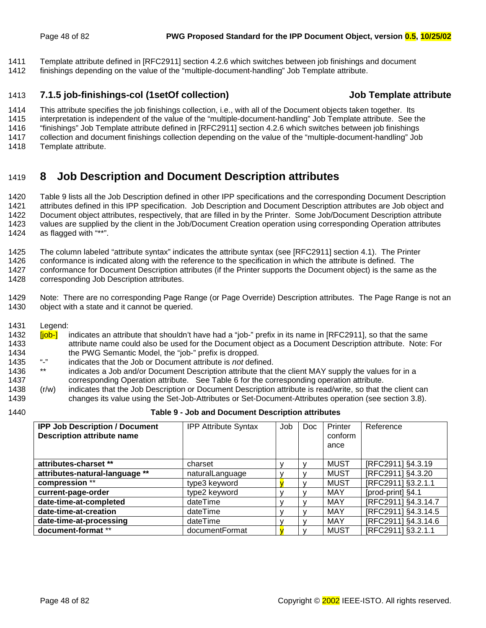<span id="page-47-0"></span>1411 Template attribute defined in [RFC2911] section 4.2.6 which switches between job finishings and document

1412 finishings depending on the value of the "multiple-document-handling" Job Template attribute.

### 1413 **7.1.5 job-finishings-col (1setOf collection) Job Template attribute**

1414 This attribute specifies the job finishings collection, i.e., with all of the Document objects taken together. Its 1415 interpretation is independent of the value of the "multiple-document-handling" Job Template attribute. See the 1416 "finishings" Job Template attribute defined in [RFC2911] section 4.2.6 which switches between job finishings 1417 collection and document finishings collection depending on the value of the "multiple-document-handling" Job

1418 Template attribute.

# 1419 **8 Job Description and Document Description attributes**

1420 Table 9 lists all the Job Description defined in other IPP specifications and the corresponding Document Description 1421 attributes defined in this IPP specification. Job Description and Document Description attributes are Job object and 1422 Document object attributes, respectively, that are filled in by the Printer. Some Job/Document Description attribute 1423 values are supplied by the client in the Job/Document Creation operation using corresponding Operation attributes 1424 as flagged with "\*\*".

1425 The column labeled "attribute syntax" indicates the attribute syntax (see [RFC2911] section 4.1). The Printer

1426 conformance is indicated along with the reference to the specification in which the attribute is defined. The

1427 conformance for Document Description attributes (if the Printer supports the Document object) is the same as the 1428 corresponding Job Description attributes.

1429 Note: There are no corresponding Page Range (or Page Override) Description attributes. The Page Range is not an 1430 object with a state and it cannot be queried.

1431 Legend:

- 1432 **[job-]** indicates an attribute that shouldn't have had a "job-" prefix in its name in [RFC2911], so that the same 1433 attribute name could also be used for the Document object as a Document Description attribute. Note: For 1434 the PWG Semantic Model, the "job-" prefix is dropped.<br>1435 "-" indicates that the Job or Document attribute is not definitie.
- 1435 "-" indicates that the Job or Document attribute is *not* defined.
- 1436 \*\* indicates a Job and/or Document Description attribute that the client MAY supply the values for in a 1437 corresponding Operation attribute. See T[able 6 f](#page-36-0)or the corresponding operation attribute.
- 1438 (r/w) indicates that the Job Description or Document Description attribute is read/write, so that the client can 1439 changes its value using the Set-Job-Attributes or Set-Document-Attributes operation (see section 3.[8\).](#page-24-0)
- 

#### 1440 **Table 9 - Job and Document Description attributes**

| <b>IPP Job Description / Document</b><br><b>Description attribute name</b> | <b>IPP Attribute Syntax</b> | Job | Doc. | Printer<br>conform<br>ance | Reference           |
|----------------------------------------------------------------------------|-----------------------------|-----|------|----------------------------|---------------------|
| attributes-charset **                                                      | charset                     |     |      | <b>MUST</b>                | [RFC2911] §4.3.19   |
| attributes-natural-language **                                             | naturalLanguage             |     |      | <b>MUST</b>                | [RFC2911] §4.3.20   |
| compression **                                                             | type3 keyword               |     |      | <b>MUST</b>                | [RFC2911] §3.2.1.1  |
| current-page-order                                                         | type2 keyword               |     |      | MAY                        | [prod-print] §4.1   |
| date-time-at-completed                                                     | dateTime                    |     |      | MAY                        | [RFC2911] §4.3.14.7 |
| date-time-at-creation                                                      | dateTime                    |     |      | MAY                        | [RFC2911] §4.3.14.5 |
| date-time-at-processing                                                    | dateTime                    |     |      | <b>MAY</b>                 | [RFC2911] §4.3.14.6 |
| document-format **                                                         | documentFormat              |     |      | <b>MUST</b>                | [RFC2911] §3.2.1.1  |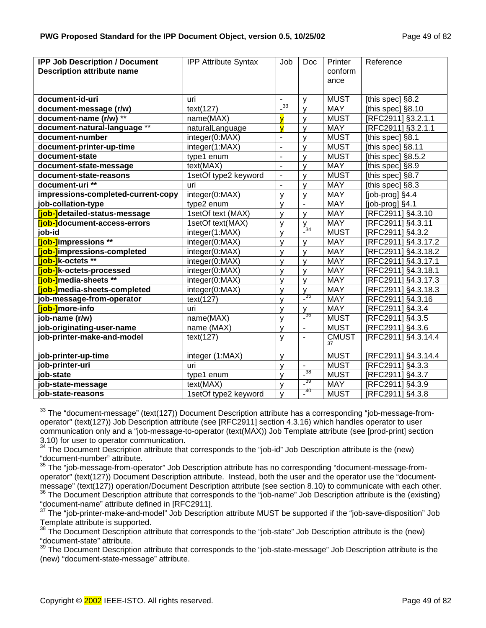| <b>IPP Job Description / Document</b> | <b>IPP Attribute Syntax</b> | Job                      | <b>Doc</b>               | Printer            | Reference                |
|---------------------------------------|-----------------------------|--------------------------|--------------------------|--------------------|--------------------------|
| <b>Description attribute name</b>     |                             |                          |                          | conform            |                          |
|                                       |                             |                          |                          | ance               |                          |
|                                       |                             |                          |                          |                    |                          |
| document-id-uri                       | uri                         | $\overline{\phantom{a}}$ | v                        | <b>MUST</b>        | [this spec] §8.2         |
| document-message (r/w)                | text(127)                   | $\frac{33}{2}$           | $\mathsf{v}$             | <b>MAY</b>         | [this spec] §8.10        |
| document-name $(r/w)$ **              | name(MAX)                   | $\overline{\mathsf{v}}$  | $\mathsf{v}$             | <b>MUST</b>        | [RFC2911] §3.2.1.1       |
| document-natural-language **          | naturalLanguage             | V                        | v                        | <b>MAY</b>         | [RFC2911] §3.2.1.1       |
| document-number                       | integer(0:MAX)              | $\blacksquare$           | $\mathsf{V}$             | <b>MUST</b>        | [this spec] §8.1         |
| document-printer-up-time              | integer(1:MAX)              | $\overline{a}$           | $\mathsf{v}$             | <b>MUST</b>        | [this spec] §8.11        |
| document-state                        | type1 enum                  | $\blacksquare$           | $\mathsf{V}$             | <b>MUST</b>        | [this spec] §8.5.2       |
| document-state-message                | text(MAX)                   | ÷,                       | $\mathsf{v}$             | <b>MAY</b>         | [this spec] $§8.9$       |
| document-state-reasons                | 1setOf type2 keyword        | $\blacksquare$           | v                        | <b>MUST</b>        | [this spec] §8.7         |
| document-uri **                       | uri                         | $\blacksquare$           | v                        | <b>MAY</b>         | [this spec] §8.3         |
| impressions-completed-current-copy    | integer(0:MAX)              | v                        | v                        | <b>MAY</b>         | $[job$ -prog $]$ $§$ 4.4 |
| job-collation-type                    | type2 enum                  | v                        | $\blacksquare$           | <b>MAY</b>         | [job-prog] §4.1          |
| <b>Tiob-</b> detailed-status-message  | 1setOf text (MAX)           | $\mathsf{V}$             | V                        | <b>MAY</b>         | [RFC2911] §4.3.10        |
| <b>[job-]</b> document-access-errors  | 1setOf text(MAX)            | $\mathsf{V}$             | y                        | <b>MAY</b>         | [RFC2911] §4.3.11        |
| job-id                                | integer(1:MAX)              | $\mathsf{V}$             | $\frac{34}{5}$           | <b>MUST</b>        | [RFC2911] §4.3.2         |
| [job-]impressions **                  | integer(0:MAX)              | y                        | V                        | <b>MAY</b>         | [RFC2911] §4.3.17.2      |
| [job-]impressions-completed           | integer(0:MAX)              | $\mathsf{V}$             | y                        | <b>MAY</b>         | [RFC2911] §4.3.18.2      |
| <b>Tiob-1</b> k-octets **             | integer(0:MAX)              | $\mathsf{v}$             | $\mathsf{V}$             | <b>MAY</b>         | [RFC2911] §4.3.17.1      |
| [job-]k-octets-processed              | integer(0:MAX)              | y                        | $\mathsf{V}$             | <b>MAY</b>         | [RFC2911] §4.3.18.1      |
| <b>[job-]</b> media-sheets **         | integer(0:MAX)              | v                        | $\mathsf{v}$             | <b>MAY</b>         | [RFC2911] §4.3.17.3      |
| [job-]media-sheets-completed          | integer(0:MAX)              | v                        | y                        | <b>MAY</b>         | [RFC2911] §4.3.18.3      |
| job-message-from-operator             | text(127)                   | v                        | $\frac{1}{2}$ 35         | <b>MAY</b>         | [RFC2911] §4.3.16        |
| [job-]more-info                       | uri                         | y                        | V                        | <b>MAY</b>         | [RFC2911] §4.3.4         |
| job-name (r/w)                        | name(MAX)                   | $\mathsf{V}$             | $\frac{1}{2}$ 36         | <b>MUST</b>        | [RFC2911] §4.3.5         |
| job-originating-user-name             | name (MAX)                  | V                        | $\blacksquare$           | <b>MUST</b>        | [RFC2911] §4.3.6         |
| job-printer-make-and-model            | text(127)                   | y                        | $\overline{\phantom{a}}$ | <b>CMUST</b><br>37 | [RFC2911] §4.3.14.4      |
|                                       |                             |                          |                          |                    |                          |
| job-printer-up-time                   | integer (1:MAX)             | $\mathsf{V}$             |                          | <b>MUST</b>        | [RFC2911] §4.3.14.4      |
| job-printer-uri                       | uri                         | v                        | $\overline{a}$           | <b>MUST</b>        | [RFC2911] §4.3.3         |
| job-state                             | type1 enum                  | $\mathsf{v}$             | $\frac{38}{1}$           | <b>MUST</b>        | [RFC2911] §4.3.7         |
| job-state-message                     | text(MAX)                   | $\mathsf{v}$             | $\frac{39}{1}$           | <b>MAY</b>         | [RFC2911] §4.3.9         |
| iob-state-reasons                     | 1setOf type2 keyword        | y                        | $-^{40}$                 | <b>MUST</b>        | [RFC2911] §4.3.8         |

 $33$  The "document-message" (text(127)) Document Description attribute has a corresponding "job-message-fromoperator" (text(127)) Job Description attribute (see [RFC2911] section 4.3.16) which handles operator to user communication only and a "job-message-to-operator (text(MAX)) Job Template attribute (see [prod-print] section 3.10) for user to operator communication.

35 The "job-message-from-operator" Job Description attribute has no corresponding "document-message-fromoperator" (text(127)) Document Description attribute. Instead, both the user and the operator use the "documentmessage" (text(127)) operation/Document Description attribute (see section 8.10) to communicate with each other.

 $36$  The Document Description attribute that corresponds to the "job-name" Job Description attribute is the (existing) "document-name" attribute defined in [RFC2911].

<sup>37</sup> The "job-printer-make-and-model" Job Description attribute MUST be supported if the "job-save-disposition" Job Template attribute is supported.

 $38$  The Document Description attribute that corresponds to the "job-state" Job Description attribute is the (new) "document-state" attribute.

 $39$  The Document Description attribute that corresponds to the "job-state-message" Job Description attribute is the (new) "document-state-message" attribute.

l

<sup>&</sup>lt;sup>34</sup> The Document Description attribute that corresponds to the "job-id" Job Description attribute is the (new) "document-number" attribute.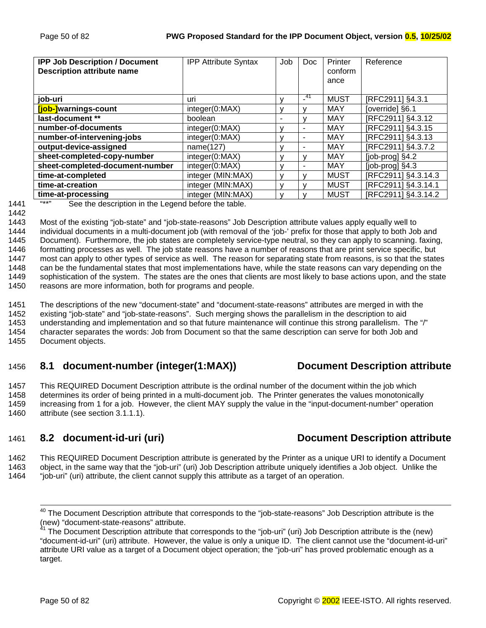<span id="page-49-0"></span>

| <b>IPP Job Description / Document</b><br><b>Description attribute name</b> | <b>IPP Attribute Syntax</b> | Job | Doc.      | Printer<br>conform<br>ance | Reference                |
|----------------------------------------------------------------------------|-----------------------------|-----|-----------|----------------------------|--------------------------|
| job-uri                                                                    | uri                         |     | -41<br>۰. | <b>MUST</b>                | [RFC2911] §4.3.1         |
| [job-]warnings-count                                                       | integer(0:MAX)              |     |           | <b>MAY</b>                 | [override] §6.1          |
| last-document **                                                           | boolean                     |     |           | MAY                        | [RFC2911] §4.3.12        |
| number-of-documents                                                        | integer(0:MAX)              | v   | -         | MAY                        | [RFC2911] §4.3.15        |
| number-of-intervening-jobs                                                 | integer(0:MAX)              |     | -         | MAY                        | [RFC2911] §4.3.13        |
| output-device-assigned                                                     | name(127)                   |     | ۰         | MAY                        | [RFC2911] §4.3.7.2       |
| sheet-completed-copy-number                                                | integer(0:MAX)              |     |           | MAY                        | $[job$ -prog $]$ $§$ 4.2 |
| sheet-completed-document-number                                            | integer(0:MAX)              |     |           | <b>MAY</b>                 | [job-prog] §4.3          |
| time-at-completed                                                          | integer (MIN:MAX)           |     |           | <b>MUST</b>                | [RFC2911] §4.3.14.3      |
| time-at-creation                                                           | integer (MIN:MAX)           | v   |           | <b>MUST</b>                | [RFC2911] §4.3.14.1      |
| time-at-processing                                                         | integer (MIN:MAX)           |     |           | <b>MUST</b>                | [RFC2911] §4.3.14.2      |

1442

1441 **"\*\*"** See the description in the Legend before the table.

1443 Most of the existing "job-state" and "job-state-reasons" Job Description attribute values apply equally well to 1444 individual documents in a multi-document job (with removal of the 'job-' prefix for those that apply to both Job and 1445 Document). Furthermore, the job states are completely service-type neutral, so they can apply to scanning. faxing, 1446 formatting processes as well. The job state reasons have a number of reasons that are print service specific, but 1447 most can apply to other types of service as well. The reason for separating state from reasons, is so that the states 1448 can be the fundamental states that most implementations have, while the state reasons can vary depending on the 1449 sophistication of the system. The states are the ones that clients are most likely to base actions upon, and the state 1450 reasons are more information, both for programs and people.

1451 The descriptions of the new "document-state" and "document-state-reasons" attributes are merged in with the 1452 existing "job-state" and "job-state-reasons". Such merging shows the parallelism in the description to aid 1453 understanding and implementation and so that future maintenance will continue this strong parallelism. The "/" 1454 character separates the words: Job from Document so that the same description can serve for both Job and

#### 1455 Document objects.

## 1456 **8.1 document-number (integer(1:MAX)) Document Description attribute**

1457 This REQUIRED Document Description attribute is the ordinal number of the document within the job which 1458 determines its order of being printed in a multi-document job. The Printer generates the values monotonically 1459 increasing from 1 for a job. However, the client MAY supply the value in the "input-document-number" operation 1460 attribute (see section [3.1.1.1\).](#page-13-0)

## 1461 **8.2 document-id-uri (uri) Document Description attribute**

1462 This REQUIRED Document Description attribute is generated by the Printer as a unique URI to identify a Document 1463 object, in the same way that the "job-uri" (uri) Job Description attribute uniquely identifies a Job object. Unlike the 1464 "job-uri" (uri) attribute, the client cannot supply this attribute as a target of an operation.

 $40$  The Document Description attribute that corresponds to the "job-state-reasons" Job Description attribute is the (new) "document-state-reasons" attribute.

 $41$  The Document Description attribute that corresponds to the "job-uri" (uri) Job Description attribute is the (new) "document-id-uri" (uri) attribute. However, the value is only a unique ID. The client cannot use the "document-id-uri" attribute URI value as a target of a Document object operation; the "job-uri" has proved problematic enough as a target.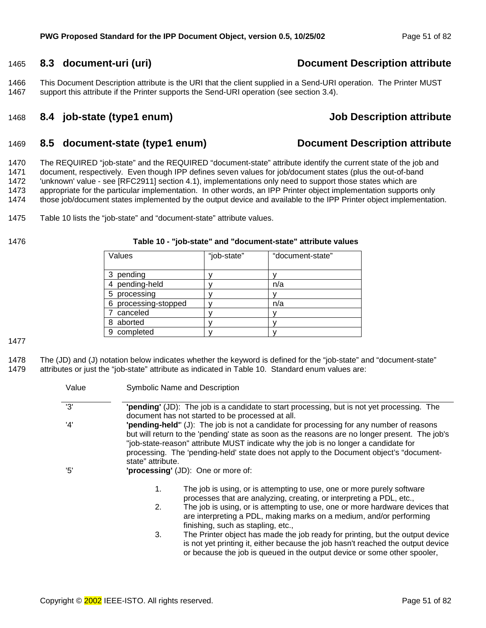## <span id="page-50-0"></span>1465 **8.3 document-uri (uri) Document Description attribute**

1466 This Document Description attribute is the URI that the client supplied in a Send-URI operation. The Printer MUST 1467 support this attribute if the Printer supports the Send-URI operation (see section [3.4\).](#page-19-0) 

#### 1468 **8.4 job-state (type1 enum) Job Description attribute**

#### 1469 **8.5 document-state (type1 enum) Document Description attribute**

1470 The REQUIRED "job-state" and the REQUIRED "document-state" attribute identify the current state of the job and 1471 document, respectively. Even though IPP defines seven values for job/document states (plus the out-of-band<br>1472 vinknown' value - see IRFC29111 section 4.1). implementations only need to support those states which are 'unknown' value - see [RFC2911] section 4.1), implementations only need to support those states which are 1473 appropriate for the particular implementation. In other words, an IPP Printer object implementation supports only 1474 those job/document states implemented by the output device and available to the IPP Printer object implementation.

1475 Table 10 lists the "job-state" and "document-state" attribute values.

#### 1476 **Table 10 - "job-state" and "document-state" attribute values**

| Values                  | "job-state" | "document-state" |
|-------------------------|-------------|------------------|
|                         |             |                  |
| pending<br>3            |             |                  |
| pending-held            |             | n/a              |
| processing<br>5         |             |                  |
| processing-stopped<br>6 |             | n/a              |
| canceled                |             |                  |
| aborted<br>8            |             |                  |
| completed<br>9          |             |                  |

1477

1478 The (JD) and (J) notation below indicates whether the keyword is defined for the "job-state" and "document-state" 1479 attributes or just the "job-state" attribute as indicated in Table 10. Standard enum values are:

|                   | <b>Symbolic Name and Description</b>                                                                                                                                                                                                                                                                                                                                        |
|-------------------|-----------------------------------------------------------------------------------------------------------------------------------------------------------------------------------------------------------------------------------------------------------------------------------------------------------------------------------------------------------------------------|
|                   | "pending" (JD): The job is a candidate to start processing, but is not yet processing. The<br>document has not started to be processed at all.                                                                                                                                                                                                                              |
| state" attribute. | "pending-held" (J): The job is not a candidate for processing for any number of reasons<br>but will return to the 'pending' state as soon as the reasons are no longer present. The job's<br>"job-state-reason" attribute MUST indicate why the job is no longer a candidate for<br>processing. The 'pending-held' state does not apply to the Document object's "document- |
|                   | 'processing' (JD): One or more of:                                                                                                                                                                                                                                                                                                                                          |
| 1.                | The job is using, or is attempting to use, one or more purely software<br>processes that are analyzing, creating, or interpreting a PDL, etc.,                                                                                                                                                                                                                              |
| 2.                | The job is using, or is attempting to use, one or more hardware devices that<br>are interpreting a PDL, making marks on a medium, and/or performing<br>finishing, such as stapling, etc.,                                                                                                                                                                                   |
| 3.                | The Printer object has made the job ready for printing, but the output device<br>is not yet printing it, either because the job hasn't reached the output device<br>or because the job is queued in the output device or some other spooler,                                                                                                                                |
|                   |                                                                                                                                                                                                                                                                                                                                                                             |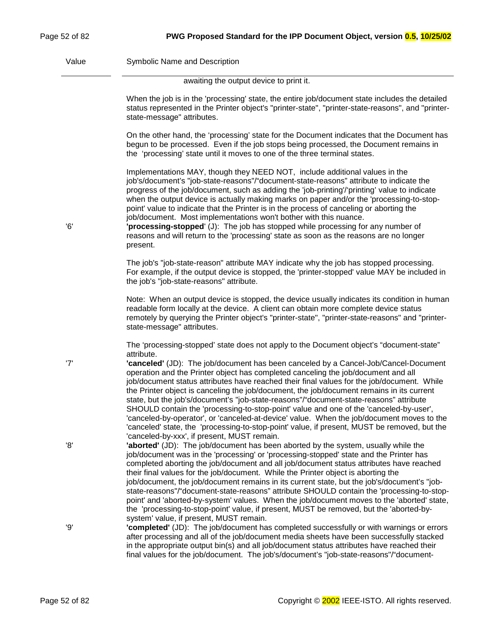<span id="page-51-0"></span>Value Symbolic Name and Description

awaiting the output device to print it.

|     | When the job is in the 'processing' state, the entire job/document state includes the detailed<br>status represented in the Printer object's "printer-state", "printer-state-reasons", and "printer-<br>state-message" attributes.                                                                                                                                                                                                                                                                                                                                                                                                                                                                                            |
|-----|-------------------------------------------------------------------------------------------------------------------------------------------------------------------------------------------------------------------------------------------------------------------------------------------------------------------------------------------------------------------------------------------------------------------------------------------------------------------------------------------------------------------------------------------------------------------------------------------------------------------------------------------------------------------------------------------------------------------------------|
|     | On the other hand, the 'processing' state for the Document indicates that the Document has<br>begun to be processed. Even if the job stops being processed, the Document remains in<br>the 'processing' state until it moves to one of the three terminal states.                                                                                                                                                                                                                                                                                                                                                                                                                                                             |
| '6' | Implementations MAY, though they NEED NOT, include additional values in the<br>job's/document's "job-state-reasons"/"document-state-reasons" attribute to indicate the<br>progress of the job/document, such as adding the 'job-printing'/'printing' value to indicate<br>when the output device is actually making marks on paper and/or the 'processing-to-stop-<br>point' value to indicate that the Printer is in the process of canceling or aborting the<br>job/document. Most implementations won't bother with this nuance.<br>"processing-stopped" (J): The job has stopped while processing for any number of<br>reasons and will return to the 'processing' state as soon as the reasons are no longer<br>present. |
|     | The job's "job-state-reason" attribute MAY indicate why the job has stopped processing.<br>For example, if the output device is stopped, the 'printer-stopped' value MAY be included in<br>the job's "job-state-reasons" attribute.                                                                                                                                                                                                                                                                                                                                                                                                                                                                                           |
|     | Note: When an output device is stopped, the device usually indicates its condition in human<br>readable form locally at the device. A client can obtain more complete device status<br>remotely by querying the Printer object's "printer-state", "printer-state-reasons" and "printer-<br>state-message" attributes.                                                                                                                                                                                                                                                                                                                                                                                                         |
| '7' | The 'processing-stopped' state does not apply to the Document object's "document-state"<br>attribute.<br>'canceled' (JD): The job/document has been canceled by a Cancel-Job/Cancel-Document                                                                                                                                                                                                                                                                                                                                                                                                                                                                                                                                  |
|     | operation and the Printer object has completed canceling the job/document and all<br>job/document status attributes have reached their final values for the job/document. While<br>the Printer object is canceling the job/document, the job/document remains in its current<br>state, but the job's/document's "job-state-reasons"/"document-state-reasons" attribute<br>SHOULD contain the 'processing-to-stop-point' value and one of the 'canceled-by-user',<br>'canceled-by-operator', or 'canceled-at-device' value. When the job/document moves to the<br>'canceled' state, the 'processing-to-stop-point' value, if present, MUST be removed, but the<br>'canceled-by-xxx', if present, MUST remain.                  |
| '8' | 'aborted' (JD): The job/document has been aborted by the system, usually while the<br>job/document was in the 'processing' or 'processing-stopped' state and the Printer has<br>completed aborting the job/document and all job/document status attributes have reached<br>their final values for the job/document. While the Printer object is aborting the<br>job/document, the job/document remains in its current state, but the job's/document's "job-<br>state-reasons"/"document-state-reasons" attribute SHOULD contain the 'processing-to-stop-                                                                                                                                                                      |
|     | point' and 'aborted-by-system' values. When the job/document moves to the 'aborted' state,<br>the 'processing-to-stop-point' value, if present, MUST be removed, but the 'aborted-by-                                                                                                                                                                                                                                                                                                                                                                                                                                                                                                                                         |
| '9' | system' value, if present, MUST remain.<br>"completed" (JD): The job/document has completed successfully or with warnings or errors<br>after processing and all of the job/document media sheets have been successfully stacked<br>in the appropriate output bin(s) and all job/document status attributes have reached their<br>final values for the job/document. The job's/document's "job-state-reasons"/"document-                                                                                                                                                                                                                                                                                                       |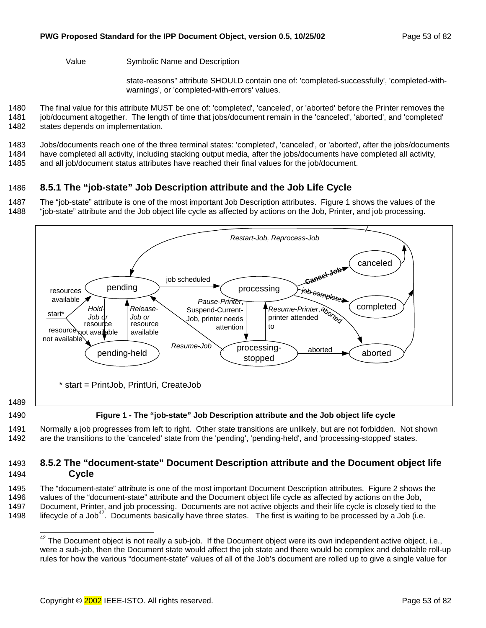Value Symbolic Name and Description

state-reasons" attribute SHOULD contain one of: 'completed-successfully', 'completed-withwarnings', or 'completed-with-errors' values.

1480 The final value for this attribute MUST be one of: 'completed', 'canceled', or 'aborted' before the Printer removes the 1481 job/document altogether. The length of time that jobs/document remain in the 'canceled', 'aborted', and 'completed' 1482 states depends on implementation.

1483 Jobs/documents reach one of the three terminal states: 'completed', 'canceled', or 'aborted', after the jobs/documents 1484 have completed all activity, including stacking output media, after the jobs/documents have completed all activity,

1485 and all job/document status attributes have reached their final values for the job/document.

# 1486 **8.5.1 The "job-state" Job Description attribute and the Job Life Cycle**

1487 The "job-state" attribute is one of the most important Job Description attributes. Figure 1 shows the values of the 1488 "job-state" attribute and the Job object life cycle as affected by actions on the Job, Printer, and job processing.



1489

1490 **Figure 1 - The "job-state" Job Description attribute and the Job object life cycle** 

1491 Normally a job progresses from left to right. Other state transitions are unlikely, but are not forbidden. Not shown 1492 are the transitions to the 'canceled' state from the 'pending', 'pending-held', and 'processing-stopped' states.

### 1493 **8.5.2 The "document-state" Document Description attribute and the Document object life**  1494 **Cycle**

1495 The "document-state" attribute is one of the most important Document Description attributes. Figure 2 shows the 1496 values of the "document-state" attribute and the Document object life cycle as affected by actions on the Job, 1497 Document, Printer, and job processing. Documents are not active objects and their life cycle is closely tied to the 1498 lifecycle of a Job<sup>42</sup>. Documents basically have three states. The first is waiting to be processed by a Job (i.e.

l  $42$  The Document object is not really a sub-job. If the Document object were its own independent active object, i.e., were a sub-job, then the Document state would affect the job state and there would be complex and debatable roll-up rules for how the various "document-state" values of all of the Job's document are rolled up to give a single value for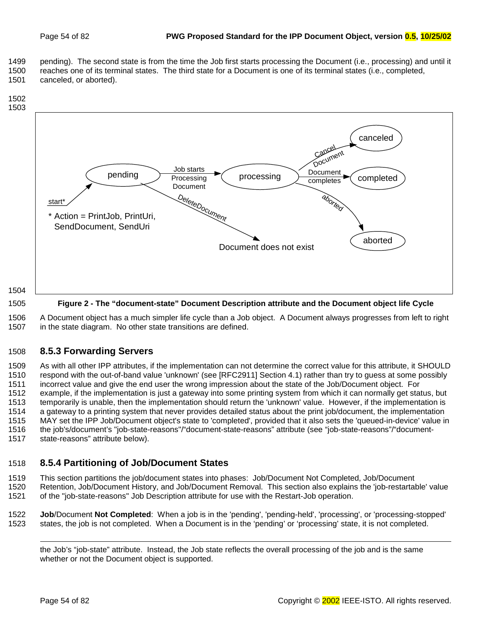<span id="page-53-0"></span>1499 pending). The second state is from the time the Job first starts processing the Document (i.e., processing) and until it 1500 reaches one of its terminal states. The third state for a Document is one of its terminal states (i.e., completed, 1501 canceled, or aborted).



1505 **Figure 2 - The "document-state" Document Description attribute and the Document object life Cycle** 

1506 A Document object has a much simpler life cycle than a Job object. A Document always progresses from left to right 1507 in the state diagram. No other state transitions are defined.

## 1508 **8.5.3 Forwarding Servers**

1509 As with all other IPP attributes, if the implementation can not determine the correct value for this attribute, it SHOULD 1510 respond with the out-of-band value 'unknown' (see [RFC2911] Section 4.1) rather than try to guess at some possibly 1511 incorrect value and give the end user the wrong impression about the state of the Job/Document object. For 1512 example, if the implementation is just a gateway into some printing system from which it can normally get status, but 1513 temporarily is unable, then the implementation should return the 'unknown' value. However, if the implementation is 1514 a gateway to a printing system that never provides detailed status about the print job/document, the implementation 1515 MAY set the IPP Job/Document object's state to 'completed', provided that it also sets the 'queued-in-device' value in 1516 the job's/document's "job-state-reasons"/"document-state-reasons" attribute (see "job-state-reasons"/"document-1517 state-reasons" attribute below).

## 1518 **8.5.4 Partitioning of Job/Document States**

1519 This section partitions the job/document states into phases: Job/Document Not Completed, Job/Document

1520 Retention, Job/Document History, and Job/Document Removal. This section also explains the 'job-restartable' value 1521 of the "job-state-reasons" Job Description attribute for use with the Restart-Job operation.

1522 **Job**/Document **Not Completed**: When a job is in the 'pending', 'pending-held', 'processing', or 'processing-stopped' 1523 states, the job is not completed. When a Document is in the 'pending' or 'processing' state, it is not completed.

l the Job's "job-state" attribute. Instead, the Job state reflects the overall processing of the job and is the same whether or not the Document object is supported.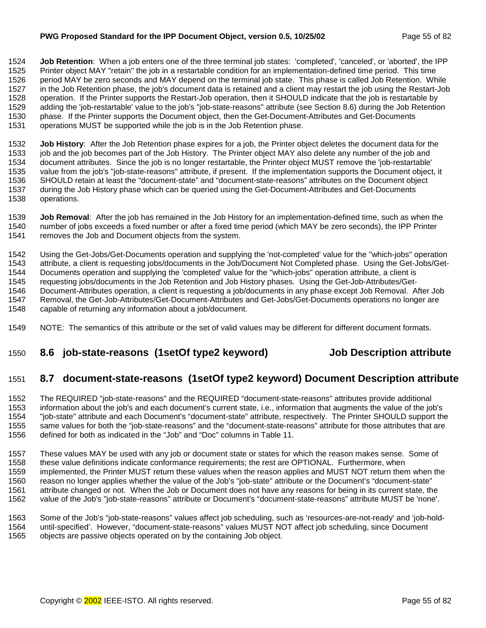#### <span id="page-54-0"></span>**PWG Proposed Standard for the IPP Document Object, version 0.5, 10/25/02** Page 55 of 82

1524 **Job Retention**: When a job enters one of the three terminal job states: 'completed', 'canceled', or 'aborted', the IPP 1525 Printer object MAY "retain" the job in a restartable condition for an implementation-defined time period. This time 1526 period MAY be zero seconds and MAY depend on the terminal job state. This phase is called Job Retention. While 1527 in the Job Retention phase, the job's document data is retained and a client may restart the job using the Restart-Job 1528 operation. If the Printer supports the Restart-Job operation, then it SHOULD indicate that the job is restartable by 1529 adding the 'job-restartable' value to the job's "job-state-reasons" attribute (see Section 8.6) during the Job Retention 1530 phase. If the Printer supports the Document object, then the Get-Document-Attributes and Get-Documents 1531 operations MUST be supported while the job is in the Job Retention phase.

1532 **Job History**: After the Job Retention phase expires for a job, the Printer object deletes the document data for the 1533 job and the job becomes part of the Job History. The Printer object MAY also delete any number of the job and 1534 document attributes. Since the job is no longer restartable, the Printer object MUST remove the 'job-restartable' 1535 value from the job's "job-state-reasons" attribute, if present. If the implementation supports the Document object, it 1536 SHOULD retain at least the "document-state" and "document-state-reasons" attributes on the Document object 1537 during the Job History phase which can be queried using the Get-Document-Attributes and Get-Documents 1538 operations.

1539 **Job Removal**: After the job has remained in the Job History for an implementation-defined time, such as when the 1540 number of jobs exceeds a fixed number or after a fixed time period (which MAY be zero seconds), the IPP Printer<br>1541 removes the Job and Document objects from the system. removes the Job and Document objects from the system.

1542 Using the Get-Jobs/Get-Documents operation and supplying the 'not-completed' value for the "which-jobs" operation 1543 attribute, a client is requesting jobs/documents in the Job/Document Not Completed phase. Using the Get-Jobs/Get-1544 Documents operation and supplying the 'completed' value for the "which-jobs" operation attribute, a client is 1545 requesting jobs/documents in the Job Retention and Job History phases. Using the Get-Job-Attributes/Get-1546 Document-Attributes operation, a client is requesting a job/documents in any phase except Job Removal. After Job 1547 Removal, the Get-Job-Attributes/Get-Document-Attributes and Get-Jobs/Get-Documents operations no longer are 1548 capable of returning any information about a job/document.

1549 NOTE: The semantics of this attribute or the set of valid values may be different for different document formats.

## 1550 **8.6 job-state-reasons (1setOf type2 keyword) Job Description attribute**

## 1551 **8.7 document-state-reasons (1setOf type2 keyword) Document Description attribute**

1552 The REQUIRED "job-state-reasons" and the REQUIRED "document-state-reasons" attributes provide additional 1553 information about the job's and each document's current state, i.e., information that augments the value of the job's 1554 "job-state" attribute and each Document's "document-state" attribute, respectively. The Printer SHOULD support the 1555 same values for both the "job-state-reasons" and the "document-state-reasons" attribute for those attributes that are 1556 defined for both as indicated in the "Job" and "Doc" columns in [Table 11.](#page-55-0)

1557 These values MAY be used with any job or document state or states for which the reason makes sense. Some of 1558 these value definitions indicate conformance requirements; the rest are OPTIONAL. Furthermore, when 1559 implemented, the Printer MUST return these values when the reason applies and MUST NOT return them when the 1560 reason no longer applies whether the value of the Job's "job-state" attribute or the Document's "document-state" 1561 attribute changed or not. When the Job or Document does not have any reasons for being in its current state, the 1562 value of the Job's "job-state-reasons" attribute or Document's "document-state-reasons" attribute MUST be 'none'.

1563 Some of the Job's "job-state-reasons" values affect job scheduling, such as 'resources-are-not-ready' and 'job-hold-1564 until-specified'. However, "document-state-reasons" values MUST NOT affect job scheduling, since Document 1565 objects are passive objects operated on by the containing Job object.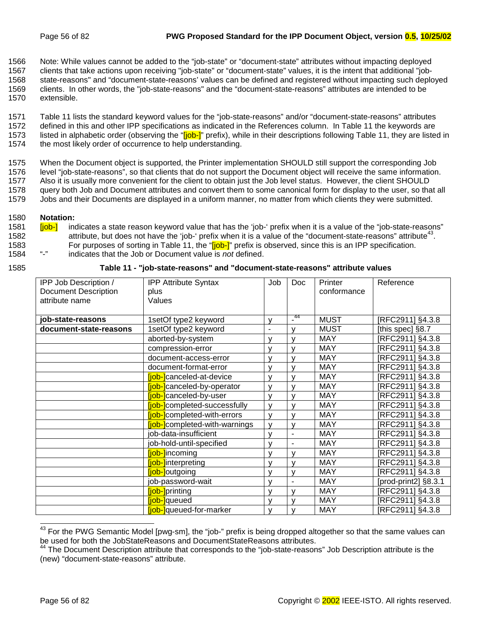<span id="page-55-0"></span>1566 Note: While values cannot be added to the "job-state" or "document-state" attributes without impacting deployed 1567 clients that take actions upon receiving "job-state" or "document-state" values, it is the intent that additional "job-1568 state-reasons" and "document-state-reasons' values can be defined and registered without impacting such deployed 1569 clients. In other words, the "job-state-reasons" and the "document-state-reasons" attributes are intended to be 1570 extensible.

1571 Table 11 lists the standard keyword values for the "job-state-reasons" and/or "document-state-reasons" attributes 1572 defined in this and other IPP specifications as indicated in the References column. In Table 11 the keywords are 1573 listed in alphabetic order (observing the "[job-]" prefix), while in their descriptions following Table 11, they are listed in 1574 the most likely order of occurrence to help understanding.

1575 When the Document object is supported, the Printer implementation SHOULD still support the corresponding Job 1576 level "job-state-reasons", so that clients that do not support the Document object will receive the same information. 1577 Also it is usually more convenient for the client to obtain just the Job level status. However, the client SHOULD 1578 query both Job and Document attributes and convert them to some canonical form for display to the user, so that all 1579 Jobs and their Documents are displayed in a uniform manner, no matter from which clients they were submitted.

#### 1580 **Notation:**

1581 **[job-]** indicates a state reason keyword value that has the 'job-' prefix when it is a value of the "job-state-reasons" 1582 attribute, but does not have the 'job-' prefix when it is a value of the "document-state-reasons" attribute<sup>43</sup>. 1583 For purposes of sorting in Table 11, the "[job-]" prefix is observed, since this is an IPP specification.<br>1584 "-" indicates that the Job or Document value is *not* defined 1584 "-" indicates that the Job or Document value is *not* defined.

| 1585 |  | Table 11 - "job-state-reasons" and "document-state-reasons" attribute values |  |
|------|--|------------------------------------------------------------------------------|--|
|      |  |                                                                              |  |

| IPP Job Description /       | <b>IPP Attribute Syntax</b>           | Job | Doc            | Printer     | Reference            |
|-----------------------------|---------------------------------------|-----|----------------|-------------|----------------------|
| <b>Document Description</b> | plus                                  |     |                | conformance |                      |
| attribute name              | Values                                |     |                |             |                      |
|                             |                                       |     |                |             |                      |
| job-state-reasons           | 1setOf type2 keyword                  | ٧   | $-^{44}$       | <b>MUST</b> | [RFC2911] §4.3.8     |
| document-state-reasons      | 1setOf type2 keyword                  | -   | v              | <b>MUST</b> | [this spec] §8.7     |
|                             | aborted-by-system                     | v   | v              | <b>MAY</b>  | [RFC2911] §4.3.8     |
|                             | compression-error                     | ۷   | ٧              | <b>MAY</b>  | [RFC2911] §4.3.8     |
|                             | document-access-error                 | v   | v              | <b>MAY</b>  | [RFC2911] §4.3.8     |
|                             | document-format-error                 | v   | v              | <b>MAY</b>  | [RFC2911] §4.3.8     |
|                             | <b>[job-]</b> canceled-at-device      | v   | v              | <b>MAY</b>  | [RFC2911] §4.3.8     |
|                             | <b>fjob-</b> canceled-by-operator     | v   | v              | <b>MAY</b>  | [RFC2911] §4.3.8     |
|                             | <b>fjob-</b> canceled-by-user         | v   | v              | <b>MAY</b>  | [RFC2911] §4.3.8     |
|                             | [job-]completed-successfully          | v   | v              | <b>MAY</b>  | [RFC2911] §4.3.8     |
|                             | <b>[job-]</b> completed-with-errors   | v   | v              | <b>MAY</b>  | [RFC2911] §4.3.8     |
|                             | <b>[job-]</b> completed-with-warnings | v   | v              | <b>MAY</b>  | [RFC2911] §4.3.8     |
|                             | job-data-insufficient                 | v   | $\blacksquare$ | <b>MAY</b>  | [RFC2911] §4.3.8     |
|                             | job-hold-until-specified              | v   | $\blacksquare$ | <b>MAY</b>  | [RFC2911] §4.3.8     |
|                             | <b>[job-]</b> incoming                | v   | v              | <b>MAY</b>  | [RFC2911] §4.3.8     |
|                             | <b>iob-linterpreting</b>              | v   | v              | <b>MAY</b>  | [RFC2911] §4.3.8     |
|                             | [job-]outgoing                        | v   | v              | <b>MAY</b>  | [RFC2911] §4.3.8     |
|                             | job-password-wait                     | ٧   | $\blacksquare$ | <b>MAY</b>  | [prod-print2] §8.3.1 |
|                             | <b>[job-]</b> printing                | v   | v              | <b>MAY</b>  | [RFC2911] §4.3.8     |
|                             | <b>fjob-</b> queued                   | v   | v              | <b>MAY</b>  | [RFC2911] §4.3.8     |
|                             | <b>fjob-</b> queued-for-marker        | v   | v              | <b>MAY</b>  | [RFC2911] §4.3.8     |

l  $^{43}$  For the PWG Semantic Model [pwg-sm], the "job-" prefix is being dropped altogether so that the same values can be used for both the JobStateReasons and DocumentStateReasons attributes.

<sup>&</sup>lt;sup>44</sup> The Document Description attribute that corresponds to the "job-state-reasons" Job Description attribute is the (new) "document-state-reasons" attribute.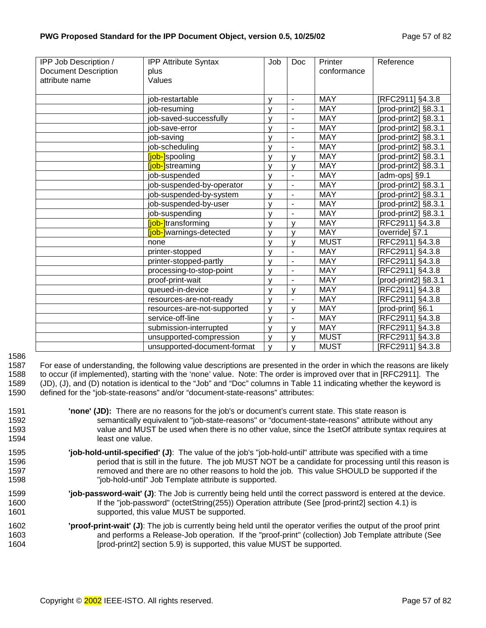| IPP Job Description /       | <b>IPP Attribute Syntax</b> | Job | <b>Doc</b>               | Printer     | Reference            |
|-----------------------------|-----------------------------|-----|--------------------------|-------------|----------------------|
| <b>Document Description</b> | plus                        |     |                          | conformance |                      |
| attribute name              | Values                      |     |                          |             |                      |
|                             |                             |     |                          |             |                      |
|                             | job-restartable             | ٧   | $\blacksquare$           | <b>MAY</b>  | [RFC2911] §4.3.8     |
|                             | job-resuming                | ٧   | $\blacksquare$           | <b>MAY</b>  | [prod-print2] §8.3.1 |
|                             | job-saved-successfully      | v   | $\blacksquare$           | <b>MAY</b>  | [prod-print2] §8.3.1 |
|                             | job-save-error              | ٧   | $\overline{a}$           | <b>MAY</b>  | [prod-print2] §8.3.1 |
|                             | job-saving                  | y   | $\overline{\phantom{a}}$ | <b>MAY</b>  | [prod-print2] §8.3.1 |
|                             | job-scheduling              | v   | $\overline{a}$           | <b>MAY</b>  | [prod-print2] §8.3.1 |
|                             | [job-]spooling              | V   | V                        | <b>MAY</b>  | [prod-print2] §8.3.1 |
|                             | [job-]streaming             | v   | V                        | <b>MAY</b>  | [prod-print2] §8.3.1 |
|                             | job-suspended               | v   | ÷,                       | <b>MAY</b>  | [adm-ops] §9.1       |
|                             | job-suspended-by-operator   | v   | $\blacksquare$           | <b>MAY</b>  | [prod-print2] §8.3.1 |
|                             | job-suspended-by-system     | ٧   | $\overline{a}$           | <b>MAY</b>  | [prod-print2] §8.3.1 |
|                             | job-suspended-by-user       | ٧   | $\blacksquare$           | <b>MAY</b>  | [prod-print2] §8.3.1 |
|                             | job-suspending              | ٧   | $\blacksquare$           | <b>MAY</b>  | [prod-print2] §8.3.1 |
|                             | [job-]transforming          | V   | v                        | <b>MAY</b>  | [RFC2911] §4.3.8     |
|                             | [job-]warnings-detected     | v   | $\mathsf{v}$             | <b>MAY</b>  | [override] §7.1      |
|                             | none                        | y   | V                        | <b>MUST</b> | [RFC2911] §4.3.8     |
|                             | printer-stopped             | v   | $\overline{\phantom{a}}$ | <b>MAY</b>  | [RFC2911] §4.3.8     |
|                             | printer-stopped-partly      | v   | $\overline{a}$           | <b>MAY</b>  | [RFC2911] §4.3.8     |
|                             | processing-to-stop-point    | V   | $\blacksquare$           | <b>MAY</b>  | [RFC2911] §4.3.8     |
|                             | proof-print-wait            | v   | ä,                       | <b>MAY</b>  | [prod-print2] §8.3.1 |
|                             | queued-in-device            | v   | v                        | <b>MAY</b>  | [RFC2911] §4.3.8     |
|                             | resources-are-not-ready     | v   | $\overline{\phantom{a}}$ | <b>MAY</b>  | [RFC2911] §4.3.8     |
|                             | resources-are-not-supported | ٧   | V                        | <b>MAY</b>  | [prod-print] §6.1    |
|                             | service-off-line            | ٧   | ÷,                       | <b>MAY</b>  | [RFC2911] §4.3.8     |
|                             | submission-interrupted      | v   | v                        | <b>MAY</b>  | [RFC2911] §4.3.8     |
|                             | unsupported-compression     | v   | $\mathsf{v}$             | <b>MUST</b> | RFC2911] §4.3.8      |
|                             | unsupported-document-format | v   | $\mathsf{v}$             | <b>MUST</b> | [RFC2911] §4.3.8     |

1586

1587 For ease of understanding, the following value descriptions are presented in the order in which the reasons are likely 1588 to occur (if implemented), starting with the 'none' value. Note: The order is improved over that in [RFC2911]. The 1589 (JD), (J), and (D) notation is identical to the "Job" and "Doc" columns in T[able 11 in](#page-55-0)dicating whether the keyword is 1590 defined for the "job-state-reasons" and/or "document-state-reasons" attributes:

- 1591 **'none' (JD):** There are no reasons for the job's or document's current state. This state reason is 1592 semantically equivalent to "job-state-reasons" or "document-state-reasons" attribute without any 1593 value and MUST be used when there is no other value, since the 1setOf attribute syntax requires at 1594 least one value.
- 1595 **'job-hold-until-specified' (J)**: The value of the job's "job-hold-until" attribute was specified with a time 1596 period that is still in the future. The job MUST NOT be a candidate for processing until this reason is 1597 **removed and there are no other reasons to hold the job.** This value SHOULD be supported if the 1598 "job-hold-until" Job Template attribute is supported.
- 1599 **'job-password-wait' (J)**: The Job is currently being held until the correct password is entered at the device. 1600 If the "job-password" (octetString(255)) Operation attribute (See [prod-print2] section 4.1) is 1601 supported, this value MUST be supported.
- 1602 **'proof-print-wait' (J)**: The job is currently being held until the operator verifies the output of the proof print 1603 and performs a Release-Job operation. If the "proof-print" (collection) Job Template attribute (See 1604 [prod-print2] section 5.9) is supported, this value MUST be supported.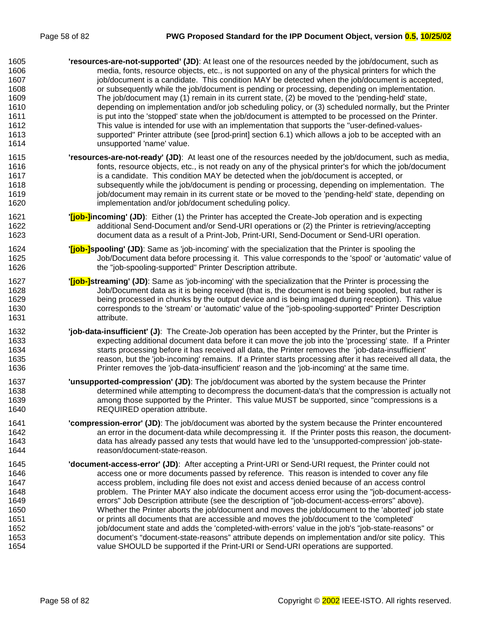| 1605 | 'resources-are-not-supported' (JD): At least one of the resources needed by the job/document, such as              |
|------|--------------------------------------------------------------------------------------------------------------------|
| 1606 | media, fonts, resource objects, etc., is not supported on any of the physical printers for which the               |
| 1607 | job/document is a candidate. This condition MAY be detected when the job/document is accepted,                     |
| 1608 | or subsequently while the job/document is pending or processing, depending on implementation.                      |
| 1609 | The job/document may (1) remain in its current state, (2) be moved to the 'pending-held' state,                    |
| 1610 | depending on implementation and/or job scheduling policy, or (3) scheduled normally, but the Printer               |
| 1611 | is put into the 'stopped' state when the job/document is attempted to be processed on the Printer.                 |
| 1612 | This value is intended for use with an implementation that supports the "user-defined-values-                      |
| 1613 | supported" Printer attribute (see [prod-print] section 6.1) which allows a job to be accepted with an              |
| 1614 | unsupported 'name' value.                                                                                          |
| 1615 | 'resources-are-not-ready' (JD): At least one of the resources needed by the job/document, such as media,           |
| 1616 | fonts, resource objects, etc., is not ready on any of the physical printer's for which the job/document            |
| 1617 | is a candidate. This condition MAY be detected when the job/document is accepted, or                               |
| 1618 | subsequently while the job/document is pending or processing, depending on implementation. The                     |
| 1619 | job/document may remain in its current state or be moved to the 'pending-held' state, depending on                 |
| 1620 | implementation and/or job/document scheduling policy.                                                              |
| 1621 | " <b>[job-]incoming' (JD)</b> : Either (1) the Printer has accepted the Create-Job operation and is expecting      |
| 1622 | additional Send-Document and/or Send-URI operations or (2) the Printer is retrieving/accepting                     |
| 1623 | document data as a result of a Print-Job, Print-URI, Send-Document or Send-URI operation.                          |
| 1624 | " <b>[job-]spooling' (JD)</b> : Same as 'job-incoming' with the specialization that the Printer is spooling the    |
| 1625 | Job/Document data before processing it. This value corresponds to the 'spool' or 'automatic' value of              |
| 1626 | the "job-spooling-supported" Printer Description attribute.                                                        |
| 1627 | " <b>[job-]streaming' (JD)</b> : Same as 'job-incoming' with the specialization that the Printer is processing the |
| 1628 | Job/Document data as it is being received (that is, the document is not being spooled, but rather is               |
| 1629 | being processed in chunks by the output device and is being imaged during reception). This value                   |
| 1630 | corresponds to the 'stream' or 'automatic' value of the "job-spooling-supported" Printer Description               |
| 1631 | attribute.                                                                                                         |
| 1632 | 'job-data-insufficient' (J): The Create-Job operation has been accepted by the Printer, but the Printer is         |
| 1633 | expecting additional document data before it can move the job into the 'processing' state. If a Printer            |
| 1634 | starts processing before it has received all data, the Printer removes the 'job-data-insufficient'                 |
| 1635 | reason, but the 'job-incoming' remains. If a Printer starts processing after it has received all data, the         |
| 1636 | Printer removes the 'job-data-insufficient' reason and the 'job-incoming' at the same time.                        |
| 1637 | 'unsupported-compression' (JD): The job/document was aborted by the system because the Printer                     |
| 1638 | determined while attempting to decompress the document-data's that the compression is actually not                 |
| 1639 | among those supported by the Printer. This value MUST be supported, since "compressions is a                       |
| 1640 | <b>REQUIRED operation attribute.</b>                                                                               |
| 1641 | 'compression-error' (JD): The job/document was aborted by the system because the Printer encountered               |
| 1642 | an error in the document-data while decompressing it. If the Printer posts this reason, the document-              |
| 1643 | data has already passed any tests that would have led to the 'unsupported-compression' job-state-                  |
| 1644 | reason/document-state-reason.                                                                                      |
| 1645 | 'document-access-error' (JD): After accepting a Print-URI or Send-URI request, the Printer could not               |
| 1646 | access one or more documents passed by reference. This reason is intended to cover any file                        |
| 1647 | access problem, including file does not exist and access denied because of an access control                       |
| 1648 | problem. The Printer MAY also indicate the document access error using the "job-document-access-                   |
| 1649 | errors" Job Description attribute (see the description of "job-document-access-errors" above).                     |
| 1650 | Whether the Printer aborts the job/document and moves the job/document to the 'aborted' job state                  |
| 1651 | or prints all documents that are accessible and moves the job/document to the 'completed'                          |
| 1652 | job/document state and adds the 'completed-with-errors' value in the job's "job-state-reasons" or                  |
| 1653 | document's "document-state-reasons" attribute depends on implementation and/or site policy. This                   |
| 1654 | value SHOULD be supported if the Print-URI or Send-URI operations are supported.                                   |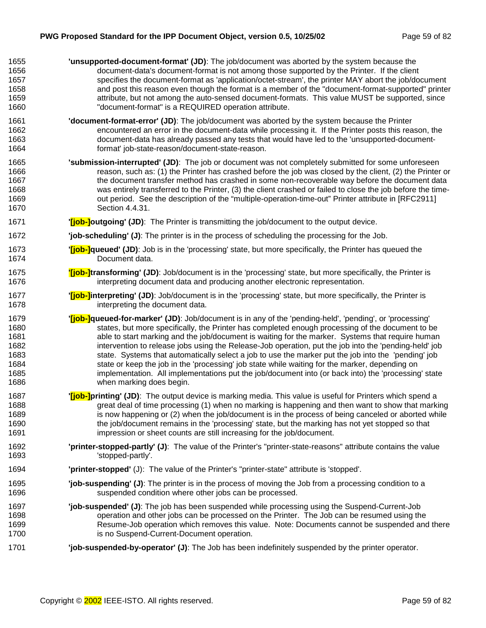| 1655 | 'unsupported-document-format' (JD): The job/document was aborted by the system because the                           |
|------|----------------------------------------------------------------------------------------------------------------------|
| 1656 | document-data's document-format is not among those supported by the Printer. If the client                           |
| 1657 | specifies the document-format as 'application/octet-stream', the printer MAY abort the job/document                  |
| 1658 | and post this reason even though the format is a member of the "document-format-supported" printer                   |
| 1659 | attribute, but not among the auto-sensed document-formats. This value MUST be supported, since                       |
| 1660 | "document-format" is a REQUIRED operation attribute.                                                                 |
| 1661 | <b>'document-format-error' (JD)</b> : The job/document was aborted by the system because the Printer                 |
| 1662 | encountered an error in the document-data while processing it. If the Printer posts this reason, the                 |
| 1663 | document-data has already passed any tests that would have led to the 'unsupported-document-                         |
| 1664 | format' job-state-reason/document-state-reason.                                                                      |
| 1665 | 'submission-interrupted' (JD): The job or document was not completely submitted for some unforeseen                  |
| 1666 | reason, such as: (1) the Printer has crashed before the job was closed by the client, (2) the Printer or             |
| 1667 | the document transfer method has crashed in some non-recoverable way before the document data                        |
| 1668 | was entirely transferred to the Printer, (3) the client crashed or failed to close the job before the time-          |
| 1669 | out period. See the description of the "multiple-operation-time-out" Printer attribute in [RFC2911]                  |
| 1670 | Section 4.4.31.                                                                                                      |
| 1671 | " <b>[job-]outgoing' (JD)</b> : The Printer is transmitting the job/document to the output device.                   |
| 1672 | "job-scheduling" (J): The printer is in the process of scheduling the processing for the Job.                        |
| 1673 | " <b>[job-]queued' (JD)</b> : Job is in the 'processing' state, but more specifically, the Printer has queued the    |
| 1674 | Document data.                                                                                                       |
| 1675 | "[job-]transforming' (JD): Job/document is in the 'processing' state, but more specifically, the Printer is          |
| 1676 | interpreting document data and producing another electronic representation.                                          |
| 1677 | " <b>[job-]interpreting' (JD)</b> : Job/document is in the 'processing' state, but more specifically, the Printer is |
| 1678 | interpreting the document data.                                                                                      |
| 1679 | " <b>[job-]queued-for-marker' (JD)</b> : Job/document is in any of the 'pending-held', 'pending', or 'processing'    |
| 1680 | states, but more specifically, the Printer has completed enough processing of the document to be                     |
| 1681 | able to start marking and the job/document is waiting for the marker. Systems that require human                     |
| 1682 | intervention to release jobs using the Release-Job operation, put the job into the 'pending-held' job                |
| 1683 | state. Systems that automatically select a job to use the marker put the job into the 'pending' job                  |
| 1684 | state or keep the job in the 'processing' job state while waiting for the marker, depending on                       |
| 1685 | implementation. All implementations put the job/document into (or back into) the 'processing' state                  |
| 1686 | when marking does begin.                                                                                             |
| 1687 | " <b>[job-]printing' (JD)</b> : The output device is marking media. This value is useful for Printers which spend a  |
| 1688 | great deal of time processing (1) when no marking is happening and then want to show that marking                    |
| 1689 | is now happening or (2) when the job/document is in the process of being canceled or aborted while                   |
| 1690 | the job/document remains in the 'processing' state, but the marking has not yet stopped so that                      |
| 1691 | impression or sheet counts are still increasing for the job/document.                                                |
| 1692 | 'printer-stopped-partly' (J): The value of the Printer's "printer-state-reasons" attribute contains the value        |
| 1693 | 'stopped-partly'.                                                                                                    |
| 1694 | 'printer-stopped' (J): The value of the Printer's "printer-state" attribute is 'stopped'.                            |
| 1695 | "job-suspending" (J): The printer is in the process of moving the Job from a processing condition to a               |
| 1696 | suspended condition where other jobs can be processed.                                                               |
| 1697 | "job-suspended" (J): The job has been suspended while processing using the Suspend-Current-Job                       |
| 1698 | operation and other jobs can be processed on the Printer. The Job can be resumed using the                           |
| 1699 | Resume-Job operation which removes this value. Note: Documents cannot be suspended and there                         |
| 1700 | is no Suspend-Current-Document operation.                                                                            |
| 1701 | 'job-suspended-by-operator' (J): The Job has been indefinitely suspended by the printer operator.                    |
|      |                                                                                                                      |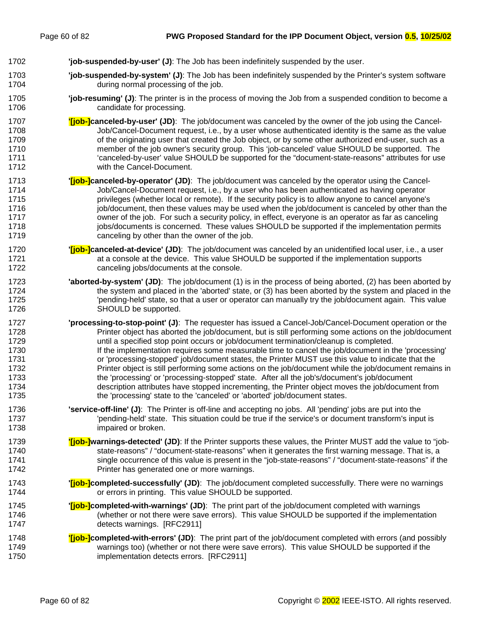- 1702 **'job-suspended-by-user' (J)**: The Job has been indefinitely suspended by the user.
- 1703 **'job-suspended-by-system' (J)**: The Job has been indefinitely suspended by the Printer's system software 1704 during normal processing of the job.

#### 1705 **'job-resuming' (J)**: The printer is in the process of moving the Job from a suspended condition to become a 1706 candidate for processing.

- 1707 **'[job-]canceled-by-user' (JD)**: The job/document was canceled by the owner of the job using the Cancel-1708 Job/Cancel-Document request, i.e., by a user whose authenticated identity is the same as the value 1709 of the originating user that created the Job object, or by some other authorized end-user, such as a 1710 member of the job owner's security group. This 'job-canceled' value SHOULD be supported. The 1711 'canceled-by-user' value SHOULD be supported for the "document-state-reasons" attributes for use 1712 with the Cancel-Document.
- 1713 **'[job-]canceled-by-operator' (JD)**: The job/document was canceled by the operator using the Cancel-1714 Job/Cancel-Document request, i.e., by a user who has been authenticated as having operator 1715 privileges (whether local or remote). If the security policy is to allow anyone to cancel anyone's 1716 intertional intertainty intertainty intertainty then the intertaint the job/document is canceled by other than the 1717 owner of the job. For such a security policy, in effect, everyone is an operator as far as canceling 1718 jobs/documents is concerned. These values SHOULD be supported if the implementation permits 1719 canceling by other than the owner of the job.
- 1720 **'[job-]canceled-at-device' (JD)**: The job/document was canceled by an unidentified local user, i.e., a user 1721 **1721** at a console at the device. This value SHOULD be supported if the implementation supports 1722 canceling jobs/documents at the console.
- 1723 **'aborted-by-system' (JD)**: The job/document (1) is in the process of being aborted, (2) has been aborted by 1724 the system and placed in the 'aborted' state, or (3) has been aborted by the system and placed in the 1725 'pending-held' state, so that a user or operator can manually try the job/document again. This value 1726 SHOULD be supported.
- 1727 **'processing-to-stop-point' (J)**: The requester has issued a Cancel-Job/Cancel-Document operation or the 1728 Printer object has aborted the job/document, but is still performing some actions on the job/document 1729 until a specified stop point occurs or job/document termination/cleanup is completed. 1730 If the implementation requires some measurable time to cancel the job/document in the 'processing' 1731 or 'processing-stopped' job/document states, the Printer MUST use this value to indicate that the 1732 **Printer object is still performing some actions on the job/document while the job/document remains in** 1733 the 'processing' or 'processing-stopped' state. After all the job's/document's job/document 1734 description attributes have stopped incrementing, the Printer object moves the job/document from 1735 the 'processing' state to the 'canceled' or 'aborted' job/document states.
- 1736 **'service-off-line' (J)**: The Printer is off-line and accepting no jobs. All 'pending' jobs are put into the 1737 'pending-held' state. This situation could be true if the service's or document transform's input is 1738 impaired or broken.
- 1739 **'[job-]warnings-detected' (JD)**: If the Printer supports these values, the Printer MUST add the value to "job-1740 state-reasons" / "document-state-reasons" when it generates the first warning message. That is, a 1741 single occurrence of this value is present in the "job-state-reasons" / "document-state-reasons" if the 1742 **Printer has generated one or more warnings.**
- 1743 **'[job-]completed-successfully' (JD)**: The job/document completed successfully. There were no warnings 1744 or errors in printing. This value SHOULD be supported.
- 1745 **'[job-]completed-with-warnings' (JD)**: The print part of the job/document completed with warnings 1746 (whether or not there were save errors). This value SHOULD be supported if the implementation 1747 detects warnings. [RFC2911]
- 1748 **'[job-]completed-with-errors' (JD)**: The print part of the job/document completed with errors (and possibly 1749 warnings too) (whether or not there were save errors). This value SHOULD be supported if the 1750 implementation detects errors. [RFC2911]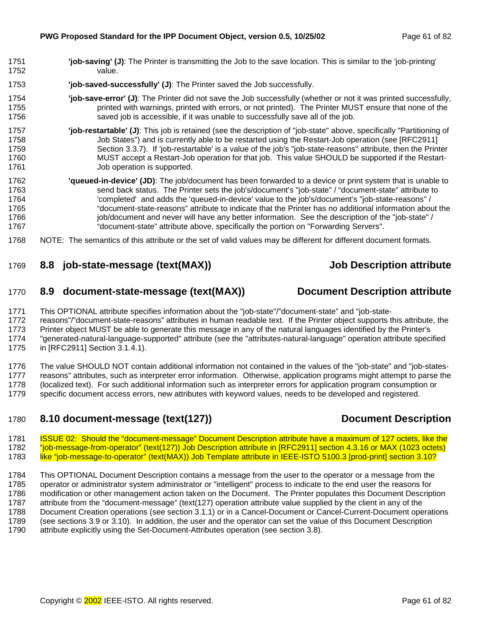- <span id="page-60-0"></span>1751 **'job-saving' (J)**: The Printer is transmitting the Job to the save location. This is similar to the 'job-printing' 1752 value.
- 1753 **'job-saved-successfully' (J)**: The Printer saved the Job successfully.
- 1754 **'job-save-error' (J)**: The Printer did not save the Job successfully (whether or not it was printed successfully, 1755 **printed with warnings, printed with errors, or not printed).** The Printer MUST ensure that none of the 1756 saved job is accessible, if it was unable to successfully save all of the job.
- 1757 **'job-restartable' (J)**: This job is retained (see the description of "job-state" above, specifically "Partitioning of 1758 Job States") and is currently able to be restarted using the Restart-Job operation (see [RFC2911] 1759 Section 3.3.7). If 'job-restartable' is a value of the job's "job-state-reasons" attribute, then the Printer 1760 MUST accept a Restart-Job operation for that job. This value SHOULD be supported if the Restart-1761 **Job operation is supported.**
- 1762 **'queued-in-device' (JD)**: The job/document has been forwarded to a device or print system that is unable to 1763 send back status. The Printer sets the job's/document's "job-state" / "document-state" attribute to 1764 'completed' and adds the 'queued-in-device' value to the job's/document's "job-state-reasons" / 1765 "document-state-reasons" attribute to indicate that the Printer has no additional information about the 1766 includion-job/document and never will have any better information. See the description of the "job-state" / 1767 "document-state" attribute above, specifically the portion on "Forwarding Servers".
- 1768 NOTE: The semantics of this attribute or the set of valid values may be different for different document formats.

## 1769 **8.8 job-state-message (text(MAX)) Job Description attribute**

1770 **8.9 document-state-message (text(MAX)) Document Description attribute** 

1771 This OPTIONAL attribute specifies information about the "job-state"/"document-state" and "job-state-

1772 reasons"/"document-state-reasons" attributes in human readable text. If the Printer object supports this attribute, the 1773 Printer object MUST be able to generate this message in any of the natural languages identified by the Printer's 1774 "generated-natural-language-supported" attribute (see the "attributes-natural-language" operation attribute specified 1775 in [RFC2911] Section 3.1.4.1).

1776 The value SHOULD NOT contain additional information not contained in the values of the "job-state" and "job-states-1777 reasons" attributes, such as interpreter error information. Otherwise, application programs might attempt to parse the 1778 (localized text). For such additional information such as interpreter errors for application program consumption or 1779 specific document access errors, new attributes with keyword values, needs to be developed and registered.

## 1780 **8.10 document-message (text(127)) Document Description**

1781 ISSUE 02: Should the "document-message" Document Description attribute have a maximum of 127 octets, like the 1782 "job-message-from-operator" (text(127)) Job Description attribute in [RFC2911] section 4.3.16 or MAX (1023 octets) 1783 like "job-message-to-operator" (text(MAX)) Job Template attribute in IEEE-ISTO 5100.3 [prod-print] section 3.10?

1784 This OPTIONAL Document Description contains a message from the user to the operator or a message from the 1785 operator or administrator system administrator or "intelligent" process to indicate to the end user the reasons for 1786 modification or other management action taken on the Document. The Printer populates this Document Description 1787 attribute from the "document-message" (text(127) operation attribute value supplied by the client in any of the 1788 Document Creation operations (see section 3[.1.1\) o](#page-13-0)r in a Cancel-Document or Cancel-Current-Document operations 1789 (see sections [3.9 o](#page-28-0)r [3.10\).](#page-30-0) In addition, the user and the operator can set the value of this Document Description 1790 attribute explicitly using the Set-Document-Attributes operation (see section [3.8\).](#page-24-0)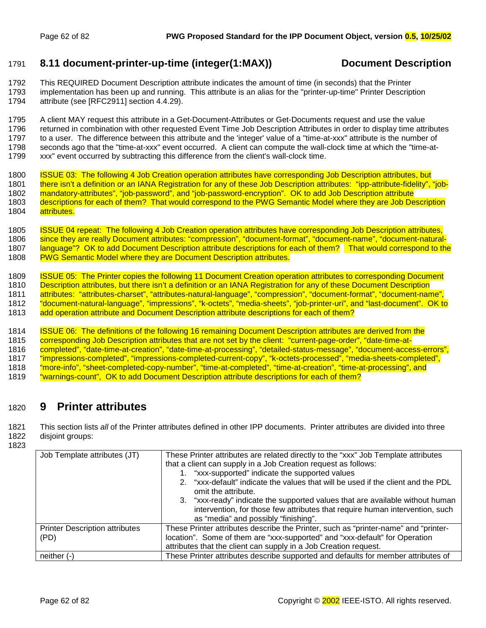### <span id="page-61-0"></span>1791 **8.11 document-printer-up-time (integer(1:MAX)) Document Description**

1792 This REQUIRED Document Description attribute indicates the amount of time (in seconds) that the Printer 1793 implementation has been up and running. This attribute is an alias for the "printer-up-time" Printer Description 1794 attribute (see [RFC2911] section 4.4.29).

1795 A client MAY request this attribute in a Get-Document-Attributes or Get-Documents request and use the value 1796 returned in combination with other requested Event Time Job Description Attributes in order to display time attributes 1797 to a user. The difference between this attribute and the 'integer' value of a "time-at-xxx" attribute is the number of 1798 seconds ago that the "time-at-xxx" [event o](#page-41-0)ccurred. A client can compute the wall-clock time at which the "time-at-1799 xxx" event occurred by subtracting this difference from the client's wall-clock time.

1800 ISSUE 03: The following 4 Job Creation operation attributes have corresponding Job Description attributes, but 1801 there isn't a definition or an IANA Registration for any of these Job Description attributes: "ipp-attribute-fidelity", "job-1802 mandatory-attributes", "job-password", and "job-password-encryption". OK to add Job Description attribute 1803 descriptions for each of them? That would correspond to the PWG Semantic Model where they are Job Description 1804 attributes.

1805 ISSUE 04 repeat: The following 4 Job Creation operation attributes have corresponding Job Description attributes, 1806 since they are really Document attributes: "compression", "document-format", "document-name", "document-natural-<br>1807 Language"? OK to add Document Description attribute descriptions for each of them? That would cor language"? OK to add Document Description attribute descriptions for each of them? That would correspond to the 1808 PWG Semantic Model where they are Document Description attributes.

1809 ISSUE 05: The Printer copies the following 11 Document Creation operation attributes to corresponding Document 1810 Description attributes, but there isn't a definition or an IANA Registration for any of these Document Description 1811 attributes: "attributes-charset", "attributes-natural-language", "compression", "document-format", "document-name", 1812 "document-natural-language", "impressions", "k-octets", "media-sheets", "job-printer-uri", and "last-document". OK to 1813 add operation attribute and Document Description attribute descriptions for each of them?

1814 ISSUE 06: The definitions of the following 16 remaining Document Description attributes are derived from the<br>1815 corresponding Job Description attributes that are not set by the client: "current-page-order", "date-ti corresponding Job Description attributes that are not set by the client: "current-page-order", "date-time-at-1816 completed", "date-time-at-creation", "date-time-at-processing", "detailed-status-message", "document-access-errors", 1817 "impressions-completed", "impressions-completed-current-copy", "k-octets-processed", "media-sheets-completed", 1818 "more-info", "sheet-completed-copy-number", "time-at-completed", "time-at-creation", "time-at-processing", and 1819 "warnings-count", OK to add Document Description attribute descriptions for each of them?

## 1820 **9 Printer attributes**

1821 This section lists *all* of the Printer attributes defined in other IPP documents. Printer attributes are divided into three 1822 disjoint groups:

1823

| Job Template attributes (JT)                  | These Printer attributes are related directly to the "xxx" Job Template attributes<br>that a client can supply in a Job Creation request as follows:<br>1. "xxx-supported" indicate the supported values<br>"xxx-default" indicate the values that will be used if the client and the PDL<br>$2^{+}$ |
|-----------------------------------------------|------------------------------------------------------------------------------------------------------------------------------------------------------------------------------------------------------------------------------------------------------------------------------------------------------|
|                                               | omit the attribute.<br>3. "xxx-ready" indicate the supported values that are available without human<br>intervention, for those few attributes that require human intervention, such<br>as "media" and possibly "finishing".                                                                         |
| <b>Printer Description attributes</b><br>(PD) | These Printer attributes describe the Printer, such as "printer-name" and "printer-<br>location". Some of them are "xxx-supported" and "xxx-default" for Operation<br>attributes that the client can supply in a Job Creation request.                                                               |
| neither (-)                                   | These Printer attributes describe supported and defaults for member attributes of                                                                                                                                                                                                                    |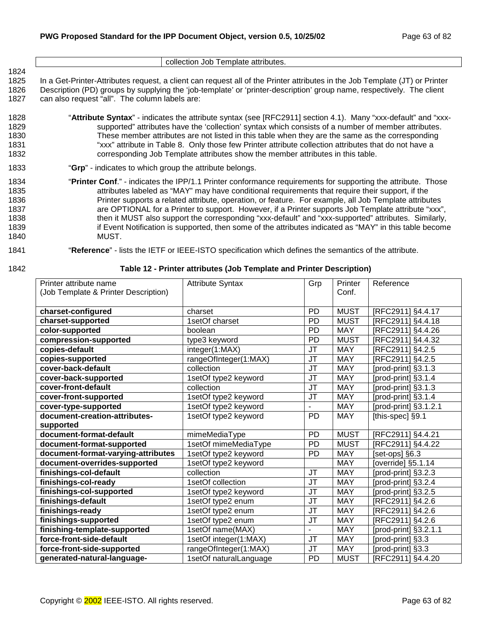|                                                      | collection Job Template attributes.                                                                                                                                                                                                                                                                                                                                                                                                                                                                                                                                                                                                                          |
|------------------------------------------------------|--------------------------------------------------------------------------------------------------------------------------------------------------------------------------------------------------------------------------------------------------------------------------------------------------------------------------------------------------------------------------------------------------------------------------------------------------------------------------------------------------------------------------------------------------------------------------------------------------------------------------------------------------------------|
| 1824<br>1825<br>1826<br>1827                         | In a Get-Printer-Attributes request, a client can request all of the Printer attributes in the Job Template (JT) or Printer<br>Description (PD) groups by supplying the 'job-template' or 'printer-description' group name, respectively. The client<br>can also request "all". The column labels are:                                                                                                                                                                                                                                                                                                                                                       |
| 1828<br>1829<br>1830<br>1831<br>1832                 | "Attribute Syntax" - indicates the attribute syntax (see [RFC2911] section 4.1). Many "xxx-default" and "xxx-<br>supported" attributes have the 'collection' syntax which consists of a number of member attributes.<br>These member attributes are not listed in this table when they are the same as the corresponding<br>"xxx" attribute in Table 8. Only those few Printer attribute collection attributes that do not have a<br>corresponding Job Template attributes show the member attributes in this table.                                                                                                                                         |
| 1833                                                 | "Grp" - indicates to which group the attribute belongs.                                                                                                                                                                                                                                                                                                                                                                                                                                                                                                                                                                                                      |
| 1834<br>1835<br>1836<br>1837<br>1838<br>1839<br>1840 | "Printer Conf." - indicates the IPP/1.1 Printer conformance requirements for supporting the attribute. Those<br>attributes labeled as "MAY" may have conditional requirements that require their support, if the<br>Printer supports a related attribute, operation, or feature. For example, all Job Template attributes<br>are OPTIONAL for a Printer to support. However, if a Printer supports Job Template attribute "xxx",<br>then it MUST also support the corresponding "xxx-default" and "xxx-supported" attributes. Similarly,<br>if Event Notification is supported, then some of the attributes indicated as "MAY" in this table become<br>MUST. |
| $\sim$ $\sim$ $\sim$ $\sim$                          |                                                                                                                                                                                                                                                                                                                                                                                                                                                                                                                                                                                                                                                              |

# 1841 "**Reference**" - lists the IETF or IEEE-ISTO specification which defines the semantics of the attribute.

#### 1842 **Table 12 - Printer attributes (Job Template and Printer Description)**

| Printer attribute name               | <b>Attribute Syntax</b> | Grp            | Printer     | Reference                       |
|--------------------------------------|-------------------------|----------------|-------------|---------------------------------|
| (Job Template & Printer Description) |                         |                | Conf.       |                                 |
|                                      |                         |                |             |                                 |
| charset-configured                   | charset                 | PD             | <b>MUST</b> | [RFC2911] §4.4.17               |
| charset-supported                    | 1setOf charset          | PD             | <b>MUST</b> | [RFC2911] §4.4.18               |
| color-supported                      | boolean                 | PD             | <b>MAY</b>  | [RFC2911] §4.4.26               |
| compression-supported                | type3 keyword           | PD             | <b>MUST</b> | [RFC2911] §4.4.32               |
| copies-default                       | integer(1:MAX)          | JT             | <b>MAY</b>  | [RFC2911] §4.2.5                |
| copies-supported                     | rangeOfInteger(1:MAX)   | <b>JT</b>      | <b>MAY</b>  | [RFC2911] §4.2.5                |
| cover-back-default                   | collection              | JT             | <b>MAY</b>  | [prod-print] §3.1.3             |
| cover-back-supported                 | 1setOf type2 keyword    | JT             | <b>MAY</b>  | [prod-print] §3.1.4             |
| cover-front-default                  | collection              | JT             | <b>MAY</b>  | [prod-print] §3.1.3             |
| cover-front-supported                | 1setOf type2 keyword    | <b>JT</b>      | <b>MAY</b>  | [prod-print] §3.1.4             |
| cover-type-supported                 | 1setOf type2 keyword    |                | <b>MAY</b>  | [prod-print] §3.1.2.1           |
| document-creation-attributes-        | 1setOf type2 keyword    | PD             | <b>MAY</b>  | [this-spec] §9.1                |
| supported                            |                         |                |             |                                 |
| document-format-default              | mimeMediaType           | PD             | <b>MUST</b> | [RFC2911] §4.4.21               |
| document-format-supported            | 1setOf mimeMediaType    | <b>PD</b>      | <b>MUST</b> | [RFC2911] §4.4.22               |
| document-format-varying-attributes   | 1setOf type2 keyword    | PD             | <b>MAY</b>  | [set-ops] §6.3                  |
| document-overrides-supported         | 1setOf type2 keyword    |                | <b>MAY</b>  | $\overline{[override]}$ §5.1.14 |
| finishings-col-default               | collection              | JT             | <b>MAY</b>  | [prod-print] §3.2.3             |
| finishings-col-ready                 | 1setOf collection       | JT             | <b>MAY</b>  | [prod-print] §3.2.4             |
| finishings-col-supported             | 1setOf type2 keyword    | JT             | <b>MAY</b>  | [prod-print] §3.2.5             |
| finishings-default                   | 1setOf type2 enum       | <b>JT</b>      | <b>MAY</b>  | [RFC2911] §4.2.6                |
| finishings-ready                     | 1setOf type2 enum       | JT             | <b>MAY</b>  | [RFC2911] §4.2.6                |
| finishings-supported                 | 1setOf type2 enum       | <b>JT</b>      | <b>MAY</b>  | [RFC2911] §4.2.6                |
| finishing-template-supported         | 1setOf name(MAX)        | $\overline{a}$ | <b>MAY</b>  | [prod-print] §3.2.1.1           |
| force-front-side-default             | 1setOf integer(1:MAX)   | <b>JT</b>      | <b>MAY</b>  | [prod-print] §3.3               |
| force-front-side-supported           | rangeOfInteger(1:MAX)   | JT             | <b>MAY</b>  | [prod-print] §3.3               |
| generated-natural-language-          | 1setOf naturalLanguage  | PD             | <b>MUST</b> | [RFC2911] §4.4.20               |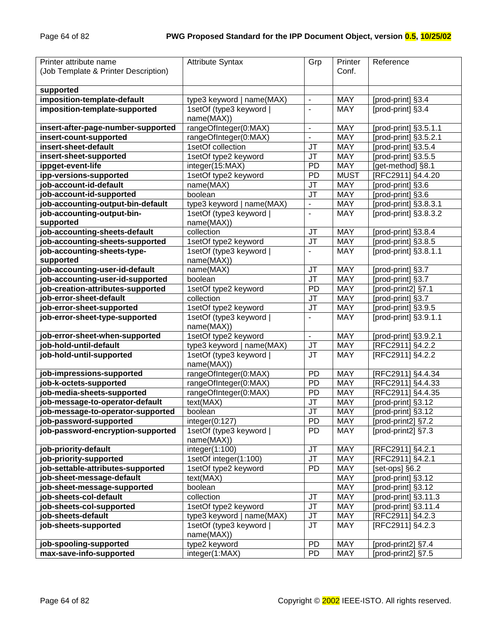| Printer attribute name<br>(Job Template & Printer Description) | <b>Attribute Syntax</b>               | Grp                               | Printer<br>Conf. | Reference                       |
|----------------------------------------------------------------|---------------------------------------|-----------------------------------|------------------|---------------------------------|
|                                                                |                                       |                                   |                  |                                 |
| supported                                                      |                                       |                                   |                  |                                 |
| imposition-template-default                                    | type3 keyword   name(MAX)             | $\overline{\phantom{a}}$          | <b>MAY</b>       | [prod-print] §3.4               |
| imposition-template-supported                                  | 1setOf (type3 keyword  <br>name(MAX)) | $\blacksquare$                    | <b>MAY</b>       | [prod-print] §3.4               |
| insert-after-page-number-supported                             | rangeOfInteger(0:MAX)                 | $\overline{\phantom{a}}$          | <b>MAY</b>       | [prod-print] §3.5.1.1           |
| insert-count-supported                                         | rangeOfInteger(0:MAX)                 | $\blacksquare$                    | <b>MAY</b>       | [prod-print] §3.5.2.1           |
| insert-sheet-default                                           | 1setOf collection                     | JT                                | <b>MAY</b>       | [prod-print] §3.5.4             |
| insert-sheet-supported                                         | 1setOf type2 keyword                  | JT                                | <b>MAY</b>       | [prod-print] §3.5.5             |
| ippget-event-life                                              | integer(15:MAX)                       | <b>PD</b>                         | <b>MAY</b>       | [get-method] §8.1               |
| ipp-versions-supported                                         | 1setOf type2 keyword                  | <b>PD</b>                         | <b>MUST</b>      | [RFC2911] §4.4.20               |
| job-account-id-default                                         | name(MAX)                             | JT                                | <b>MAY</b>       | [prod-print] §3.6               |
| job-account-id-supported                                       | boolean                               | JT                                | <b>MAY</b>       | [prod-print] §3.6               |
| job-accounting-output-bin-default                              | type3 keyword   name(MAX)             | $\overline{\phantom{a}}$          | <b>MAY</b>       | [prod-print] §3.8.3.1           |
| job-accounting-output-bin-                                     | 1setOf (type3 keyword                 | $\blacksquare$                    | <b>MAY</b>       | [prod-print] §3.8.3.2           |
| supported                                                      | name(MAX))                            |                                   |                  |                                 |
| job-accounting-sheets-default                                  | collection                            | <b>JT</b>                         | <b>MAY</b>       | [prod-print] §3.8.4             |
| job-accounting-sheets-supported                                | 1setOf type2 keyword                  | JT                                | <b>MAY</b>       | [prod-print] §3.8.5             |
| job-accounting-sheets-type-                                    | 1setOf (type3 keyword                 | $\overline{\phantom{a}}$          | <b>MAY</b>       | [prod-print] §3.8.1.1           |
| supported                                                      | name(MAX))                            |                                   |                  |                                 |
| job-accounting-user-id-default                                 | name(MAX)                             | JT                                | MAY              | [prod-print] §3.7               |
| job-accounting-user-id-supported                               | boolean                               | JT                                | MAY              | [prod-print] §3.7               |
| job-creation-attributes-supported                              | 1setOf type2 keyword                  | PD                                | <b>MAY</b>       | [prod-print2] §7.1              |
| job-error-sheet-default                                        | collection                            | JT                                | MAY              | [prod-print] §3.7               |
| job-error-sheet-supported                                      | 1setOf type2 keyword                  | JT                                | MAY              | [prod-print] §3.9.5             |
| job-error-sheet-type-supported                                 | 1setOf (type3 keyword  <br>name(MAX)) | $\overline{\phantom{a}}$          | <b>MAY</b>       | [prod-print] §3.9.1.1           |
| job-error-sheet-when-supported                                 | 1setOf type2 keyword                  | $\overline{\phantom{a}}$          | <b>MAY</b>       | [prod-print] §3.9.2.1           |
| job-hold-until-default                                         | type3 keyword   name(MAX)             | <b>JT</b>                         | <b>MAY</b>       | [RFC2911] §4.2.2                |
| job-hold-until-supported                                       | 1setOf (type3 keyword  <br>name(MAX)) | <b>JT</b>                         | <b>MAY</b>       | [RFC2911] §4.2.2                |
| job-impressions-supported                                      | rangeOfInteger(0:MAX)                 | PD                                | <b>MAY</b>       | [RFC2911] §4.4.34               |
| job-k-octets-supported                                         | rangeOfInteger(0:MAX)                 | PD                                | <b>MAY</b>       | [RFC2911] §4.4.33               |
| job-media-sheets-supported                                     | rangeOfInteger(0:MAX)                 | PD                                | <b>MAY</b>       | [RFC2911] §4.4.35               |
| job-message-to-operator-default                                | text(MAX)                             | JT                                | <b>MAY</b>       | [prod-print] §3.12              |
| job-message-to-operator-supported                              | boolean                               | $\overline{\mathsf{J}\mathsf{T}}$ | <b>MAY</b>       | [prod-print] §3.12              |
| job-password-supported                                         | integer(0:127)                        | PD                                | <b>MAY</b>       | [prod-print2] §7.2              |
| job-password-encryption-supported                              | 1setOf (type3 keyword  <br>name(MAX)) | PD                                | <b>MAY</b>       | [prod-print2] §7.3              |
| job-priority-default                                           | integer(1:100)                        | JT                                | MAY              | [RFC2911] §4.2.1                |
| job-priority-supported                                         | 1setOf integer(1:100)                 | <b>JT</b>                         | <b>MAY</b>       | [RFC2911] §4.2.1                |
| job-settable-attributes-supported                              | 1setOf type2 keyword                  | PD                                | <b>MAY</b>       | [set-ops] §6.2                  |
| job-sheet-message-default                                      | text(MAX)                             |                                   | <b>MAY</b>       | [prod-print] §3.12              |
| job-sheet-message-supported                                    | boolean                               |                                   | <b>MAY</b>       | [prod-print] §3.12              |
| job-sheets-col-default                                         | collection                            | <b>JT</b>                         | <b>MAY</b>       | [prod-print] §3.11.3            |
| job-sheets-col-supported                                       | 1setOf type2 keyword                  | JT                                | <b>MAY</b>       | [prod-print] §3.11.4            |
| job-sheets-default                                             | type3 keyword   name(MAX)             | JT                                | <b>MAY</b>       | [RFC2911] §4.2.3                |
| job-sheets-supported                                           | 1setOf (type3 keyword  <br>name(MAX)) | JT                                | <b>MAY</b>       | [RFC2911] §4.2.3                |
| job-spooling-supported                                         | type2 keyword                         | <b>PD</b>                         | <b>MAY</b>       | [prod-print2] $§7.\overline{4}$ |
| max-save-info-supported                                        | integer(1:MAX)                        | PD                                | MAY              | [prod-print2] §7.5              |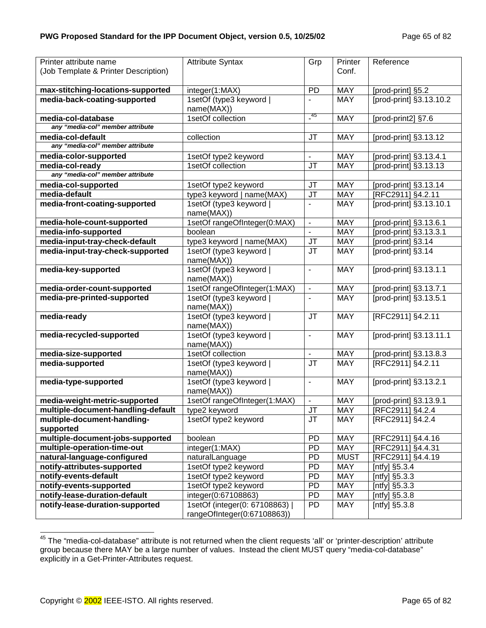| Printer attribute name<br>(Job Template & Printer Description) | <b>Attribute Syntax</b>                                     | Grp                      | Printer<br>Conf. | Reference               |
|----------------------------------------------------------------|-------------------------------------------------------------|--------------------------|------------------|-------------------------|
|                                                                |                                                             |                          |                  |                         |
| max-stitching-locations-supported                              | integer(1:MAX)                                              | PD                       | <b>MAY</b>       | [prod-print] §5.2       |
| media-back-coating-supported                                   | 1setOf (type3 keyword                                       |                          | <b>MAY</b>       | [prod-print] §3.13.10.2 |
|                                                                | name(MAX))                                                  | $-45$                    |                  |                         |
| media-col-database                                             | 1setOf collection                                           |                          | <b>MAY</b>       | [prod-print2] §7.6      |
| any "media-col" member attribute                               |                                                             |                          |                  |                         |
| media-col-default                                              | collection                                                  | JT                       | <b>MAY</b>       | [prod-print] §3.13.12   |
| any "media-col" member attribute                               |                                                             |                          |                  |                         |
| media-color-supported                                          | 1setOf type2 keyword                                        | $\overline{\phantom{a}}$ | <b>MAY</b>       | [prod-print] §3.13.4.1  |
| media-col-ready<br>any "media-col" member attribute            | 1setOf collection                                           | JT                       | <b>MAY</b>       | [prod-print] §3.13.13   |
|                                                                |                                                             |                          | <b>MAY</b>       |                         |
| media-col-supported<br>media-default                           | 1setOf type2 keyword                                        | JT<br><b>JT</b>          | <b>MAY</b>       | [prod-print] §3.13.14   |
|                                                                | type3 keyword   name(MAX)                                   |                          | <b>MAY</b>       | [RFC2911] §4.2.11       |
| media-front-coating-supported                                  | 1setOf (type3 keyword  <br>name(MAX))                       |                          |                  | [prod-print] §3.13.10.1 |
| media-hole-count-supported                                     | 1setOf rangeOfInteger(0:MAX)                                | $\blacksquare$           | <b>MAY</b>       | [prod-print] §3.13.6.1  |
| media-info-supported                                           | boolean                                                     |                          | <b>MAY</b>       | [prod-print] §3.13.3.1  |
| media-input-tray-check-default                                 | type3 keyword   name(MAX)                                   | <b>JT</b>                | <b>MAY</b>       | [prod-print] §3.14      |
| media-input-tray-check-supported                               | 1setOf (type3 keyword  <br>name(MAX))                       | <b>JT</b>                | <b>MAY</b>       | [prod-print] §3.14      |
| media-key-supported                                            | 1setOf (type3 keyword  <br>name(MAX))                       | $\blacksquare$           | <b>MAY</b>       | [prod-print] §3.13.1.1  |
| media-order-count-supported                                    | 1setOf rangeOfInteger(1:MAX)                                | $\blacksquare$           | <b>MAY</b>       | [prod-print] §3.13.7.1  |
| media-pre-printed-supported                                    | 1setOf (type3 keyword                                       |                          | <b>MAY</b>       | [prod-print] §3.13.5.1  |
|                                                                | name(MAX))                                                  |                          |                  |                         |
| media-ready                                                    | 1setOf (type3 keyword<br>name(MAX))                         | <b>JT</b>                | <b>MAY</b>       | [RFC2911] §4.2.11       |
| media-recycled-supported                                       | 1setOf (type3 keyword  <br>name(MAX))                       | $\mathbf{u}$             | <b>MAY</b>       | [prod-print] §3.13.11.1 |
| media-size-supported                                           | 1setOf collection                                           | $\blacksquare$           | <b>MAY</b>       | [prod-print] §3.13.8.3  |
| media-supported                                                | 1setOf (type3 keyword  <br>name(MAX))                       | <b>JT</b>                | <b>MAY</b>       | [RFC2911] §4.2.11       |
| media-type-supported                                           | 1setOf (type3 keyword  <br>name(MAX))                       | $\overline{\phantom{a}}$ | <b>MAY</b>       | [prod-print] §3.13.2.1  |
| media-weight-metric-supported                                  | 1setOf rangeOfInteger(1:MAX)                                | $\blacksquare$           | <b>MAY</b>       | [prod-print] §3.13.9.1  |
| multiple-document-handling-default                             | type2 keyword                                               | <b>JT</b>                | <b>MAY</b>       | [RFC2911] §4.2.4        |
| multiple-document-handling-                                    | 1setOf type2 keyword                                        | <b>JT</b>                | <b>MAY</b>       | [RFC2911] §4.2.4        |
| supported                                                      |                                                             |                          |                  |                         |
| multiple-document-jobs-supported                               | boolean                                                     | <b>PD</b>                | <b>MAY</b>       | [RFC2911] §4.4.16       |
| multiple-operation-time-out                                    | integer(1:MAX)                                              | <b>PD</b>                | <b>MAY</b>       | [RFC2911] §4.4.31       |
| natural-language-configured                                    | naturalLanguage                                             | PD                       | <b>MUST</b>      | [RFC2911] §4.4.19       |
| notify-attributes-supported                                    | 1setOf type2 keyword                                        | PD                       | <b>MAY</b>       | [ntfy] §5.3.4           |
| notify-events-default                                          | 1setOf type2 keyword                                        | <b>PD</b>                | <b>MAY</b>       | [ntfy] $§5.3.3$         |
| notify-events-supported                                        | 1setOf type2 keyword                                        | <b>PD</b>                | <b>MAY</b>       | [ntfy] §5.3.3           |
| notify-lease-duration-default                                  | integer(0:67108863)                                         | <b>PD</b>                | <b>MAY</b>       | [ntfy] §5.3.8           |
| notify-lease-duration-supported                                | 1setOf (integer(0: 67108863)<br>rangeOfInteger(0:67108863)) | PD                       | <b>MAY</b>       | [ntfy] §5.3.8           |

<sup>&</sup>lt;sup>45</sup> The "media-col-database" attribute is not returned when the client requests 'all' or 'printer-description' attribute group because there MAY be a large number of values. Instead the client MUST query "media-col-database" explicitly in a Get-Printer-Attributes request.

l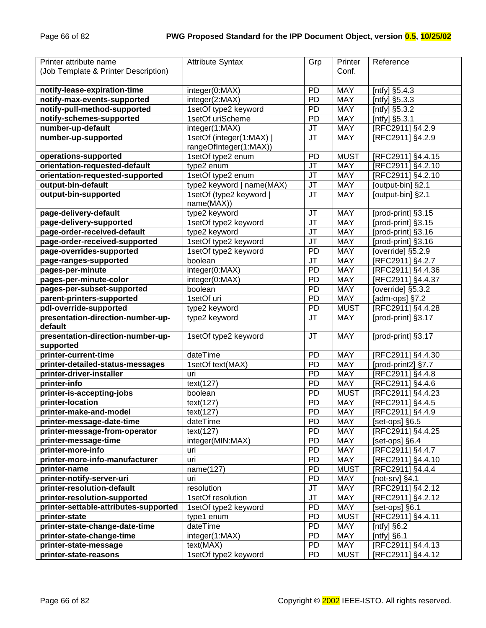| Printer attribute name                | <b>Attribute Syntax</b>                     | Grp       | Printer     | Reference            |
|---------------------------------------|---------------------------------------------|-----------|-------------|----------------------|
| (Job Template & Printer Description)  |                                             |           | Conf.       |                      |
|                                       |                                             |           |             |                      |
| notify-lease-expiration-time          | integer(0:MAX)                              | <b>PD</b> | <b>MAY</b>  | [ntfy] $§5.4.3$      |
| notify-max-events-supported           | integer(2:MAX)                              | <b>PD</b> | <b>MAY</b>  | [ntfy] $\S5.3.3$     |
| notify-pull-method-supported          | 1setOf type2 keyword                        | <b>PD</b> | <b>MAY</b>  | [ntfy] §5.3.2        |
| notify-schemes-supported              | 1setOf uriScheme                            | <b>PD</b> | MAY         |                      |
| number-up-default                     |                                             |           | <b>MAY</b>  | [ntfy] §5.3.1        |
| number-up-supported                   | integer(1:MAX)                              | <b>JT</b> |             | [RFC2911] §4.2.9     |
|                                       | 1setOf (integer(1:MAX)                      | <b>JT</b> | <b>MAY</b>  | [RFC2911] §4.2.9     |
| operations-supported                  | rangeOfInteger(1:MAX))<br>1setOf type2 enum | PD        | <b>MUST</b> | [RFC2911] §4.4.15    |
| orientation-requested-default         | type2 enum                                  | <b>JT</b> | <b>MAY</b>  | [RFC2911] §4.2.10    |
| orientation-requested-supported       | 1setOf type2 enum                           | <b>JT</b> | <b>MAY</b>  | [RFC2911] §4.2.10    |
| output-bin-default                    | type2 keyword   name(MAX)                   | <b>JT</b> | <b>MAY</b>  | [output-bin] §2.1    |
| output-bin-supported                  |                                             | <b>JT</b> | <b>MAY</b>  | [output-bin] §2.1    |
|                                       | 1setOf (type2 keyword  <br>name(MAX))       |           |             |                      |
| page-delivery-default                 | type2 keyword                               | JT        | <b>MAY</b>  | [prod-print] §3.15   |
| page-delivery-supported               | 1setOf type2 keyword                        | JT        | <b>MAY</b>  | [prod-print] §3.15   |
| page-order-received-default           | type2 keyword                               | JT        | <b>MAY</b>  | [prod-print] §3.16   |
| page-order-received-supported         | 1setOf type2 keyword                        | JT        | <b>MAY</b>  | [prod-print] §3.16   |
| page-overrides-supported              | 1setOf type2 keyword                        | <b>PD</b> | <b>MAY</b>  | [override] §5.2.9    |
| page-ranges-supported                 | boolean                                     | JT        | <b>MAY</b>  | [RFC2911] §4.2.7     |
| pages-per-minute                      | integer(0:MAX)                              | PD        | <b>MAY</b>  | [RFC2911] §4.4.36    |
| pages-per-minute-color                | integer(0:MAX)                              | PD        | <b>MAY</b>  | [RFC2911] §4.4.37    |
| pages-per-subset-supported            | boolean                                     | PD        | <b>MAY</b>  | [override] §5.3.2    |
| parent-printers-supported             | 1setOf uri                                  | PD        | <b>MAY</b>  | [ $adm$ -ops] $§7.2$ |
| pdl-override-supported                | type2 keyword                               | PD        | <b>MUST</b> | [RFC2911] §4.4.28    |
| presentation-direction-number-up-     | type2 keyword                               | <b>JT</b> | <b>MAY</b>  | [prod-print] §3.17   |
| default                               |                                             |           |             |                      |
| presentation-direction-number-up-     | 1setOf type2 keyword                        | <b>JT</b> | <b>MAY</b>  | [prod-print] §3.17   |
| supported                             |                                             |           |             |                      |
| printer-current-time                  | dateTime                                    | <b>PD</b> | <b>MAY</b>  | [RFC2911] §4.4.30    |
| printer-detailed-status-messages      | 1setOf text(MAX)                            | PD        | <b>MAY</b>  | [prod-print2] §7.7   |
| printer-driver-installer              | uri                                         | PD        | <b>MAY</b>  | [RFC2911] §4.4.8     |
| printer-info                          | text(127)                                   | PD        | <b>MAY</b>  | [RFC2911] §4.4.6     |
| printer-is-accepting-jobs             | boolean                                     | PD        | <b>MUST</b> | [RFC2911] §4.4.23    |
| printer-location                      | text(127)                                   | PD        | <b>MAY</b>  | [RFC2911] §4.4.5     |
| printer-make-and-model                | text(127)                                   | PD        | <b>MAY</b>  | [RFC2911] §4.4.9     |
| printer-message-date-time             | dateTime                                    | <b>PD</b> | <b>MAY</b>  | [set-ops] §6.5       |
| printer-message-from-operator         | text(127)                                   | <b>PD</b> | MAY         | [RFC2911] §4.4.25    |
| printer-message-time                  | integer(MIN:MAX)                            | PD        | MAY         | [set-ops] §6.4       |
| printer-more-info                     | uri                                         | PD        | MAY         | [RFC2911] §4.4.7     |
| printer-more-info-manufacturer        | uri                                         | <b>PD</b> | <b>MAY</b>  | [RFC2911] §4.4.10    |
| printer-name                          | name(127)                                   | PD        | <b>MUST</b> | [RFC2911] §4.4.4     |
| printer-notify-server-uri             | uri                                         | PD        | MAY         | [not-srv] $§4.1$     |
| printer-resolution-default            | resolution                                  | JT        | <b>MAY</b>  | [RFC2911] §4.2.12    |
| printer-resolution-supported          | 1setOf resolution                           | <b>JT</b> | MAY         | [RFC2911] §4.2.12    |
| printer-settable-attributes-supported | 1setOf type2 keyword                        | <b>PD</b> | <b>MAY</b>  | [set-ops] §6.1       |
| printer-state                         | type1 enum                                  | <b>PD</b> | <b>MUST</b> | [RFC2911] §4.4.11    |
| printer-state-change-date-time        | dateTime                                    | <b>PD</b> | MAY         | [ntfy] $§6.2$        |
| printer-state-change-time             | integer(1:MAX)                              | <b>PD</b> | <b>MAY</b>  | [ntfy] $§6.1$        |
| printer-state-message                 | text(MAX)                                   | <b>PD</b> | MAY         | [RFC2911] §4.4.13    |
|                                       | 1setOf type2 keyword                        |           | <b>MUST</b> | [RFC2911] §4.4.12    |
| printer-state-reasons                 |                                             | PD        |             |                      |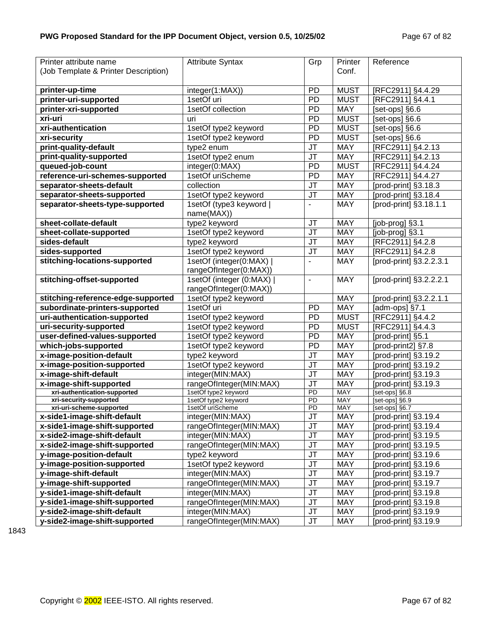| Printer attribute name                             | <b>Attribute Syntax</b>                  | Grp                   | Printer                  | Reference                        |
|----------------------------------------------------|------------------------------------------|-----------------------|--------------------------|----------------------------------|
| (Job Template & Printer Description)               |                                          |                       | Conf.                    |                                  |
|                                                    |                                          |                       |                          |                                  |
| printer-up-time                                    | integer(1:MAX))                          | <b>PD</b>             | <b>MUST</b>              | [RFC2911] §4.4.29                |
| printer-uri-supported                              | 1setOf uri                               | PD                    | <b>MUST</b>              | [RFC2911] §4.4.1                 |
| printer-xri-supported                              | 1setOf collection                        | PD                    | MAY                      | [set-ops] §6.6                   |
| xri-uri                                            | uri                                      | PD                    | <b>MUST</b>              | [set-ops] §6.6                   |
| xri-authentication                                 | 1setOf type2 keyword                     | PD                    | <b>MUST</b>              | [set-ops] §6.6                   |
| xri-security                                       | 1setOf type2 keyword                     | PD                    | <b>MUST</b>              | [set-ops] §6.6                   |
| print-quality-default                              | type2 enum                               | JT                    | MAY                      | [RFC2911] §4.2.13                |
| print-quality-supported                            | 1setOf type2 enum                        | JT                    | MAY                      | [RFC2911] §4.2.13                |
| queued-job-count                                   | integer(0:MAX)                           | PD                    | <b>MUST</b>              | [RFC2911] §4.4.24                |
| reference-uri-schemes-supported                    | 1setOf uriScheme                         | PD                    | <b>MAY</b>               | [RFC2911] §4.4.27                |
| separator-sheets-default                           | collection                               | JT                    | <b>MAY</b>               | [prod-print] §3.18.3             |
| separator-sheets-supported                         | 1setOf type2 keyword                     | JT                    | MAY                      | [prod-print] §3.18.4             |
| separator-sheets-type-supported                    | 1setOf (type3 keyword                    | $\blacksquare$        | <b>MAY</b>               | [prod-print] §3.18.1.1           |
|                                                    | name(MAX))                               |                       |                          |                                  |
| sheet-collate-default                              | type2 keyword                            | <b>JT</b>             | <b>MAY</b>               | [job-prog] §3.1                  |
| sheet-collate-supported                            | 1setOf type2 keyword                     | JT                    | <b>MAY</b>               | [job-prog] §3.1                  |
| sides-default                                      | type2 keyword                            | <b>JT</b>             | <b>MAY</b>               | [RFC2911] §4.2.8                 |
| sides-supported                                    | 1setOf type2 keyword                     | JT                    | <b>MAY</b>               | [RFC2911] §4.2.8                 |
| stitching-locations-supported                      | 1setOf (integer(0:MAX)                   |                       | <b>MAY</b>               | [prod-print] §3.2.2.3.1          |
|                                                    | rangeOfInteger(0:MAX))                   |                       |                          |                                  |
| stitching-offset-supported                         | 1setOf (integer (0:MAX)                  | $\blacksquare$        | <b>MAY</b>               | [prod-print] §3.2.2.2.1          |
|                                                    | rangeOfInteger(0:MAX))                   |                       |                          |                                  |
| stitching-reference-edge-supported                 | 1setOf type2 keyword                     |                       | <b>MAY</b>               | [prod-print] §3.2.2.1.1          |
| subordinate-printers-supported                     | 1setOf uri                               | <b>PD</b>             | <b>MAY</b>               | [adm-ops] §7.1                   |
| uri-authentication-supported                       | 1setOf type2 keyword                     | PD                    | <b>MUST</b>              | [RFC2911] §4.4.2                 |
| uri-security-supported                             | 1setOf type2 keyword                     | PD                    | <b>MUST</b>              | [RFC2911] §4.4.3                 |
| user-defined-values-supported                      | 1setOf type2 keyword                     | PD                    | <b>MAY</b>               | [prod-print] §5.1                |
| which-jobs-supported                               | 1setOf type2 keyword                     | PD                    | <b>MAY</b>               | [prod-print2] §7.8               |
| x-image-position-default                           | type2 keyword                            | JT                    | <b>MAY</b>               | [prod-print] §3.19.2             |
| x-image-position-supported                         | 1setOf type2 keyword                     | JT                    | <b>MAY</b>               | [prod-print] §3.19.2             |
| x-image-shift-default                              | integer(MIN:MAX)                         | JT                    | <b>MAY</b>               | [prod-print] §3.19.3             |
| x-image-shift-supported                            | rangeOfInteger(MIN:MAX)                  | JT                    | <b>MAY</b>               | [prod-print] §3.19.3             |
| xri-authentication-supported                       | 1setOf type2 keyword                     | $\overline{PD}$       | <b>MAY</b>               | [set-ops] §6.8                   |
| xri-security-supported<br>xri-uri-scheme-supported | 1setOf type2 keyword<br>1setOf uriScheme | PD<br>$\overline{PD}$ | <b>MAY</b><br><b>MAY</b> | [set-ops] §6.9<br>[set-ops] §6.7 |
| x-side1-image-shift-default                        | integer(MIN:MAX)                         | JT                    | <b>MAY</b>               | [prod-print] §3.19.4             |
| x-side1-image-shift-supported                      | rangeOfInteger(MIN:MAX)                  | JT                    | <b>MAY</b>               | [ $prod-$ print] $§$ 3.19.4      |
| x-side2-image-shift-default                        | integer(MIN:MAX)                         | <b>JT</b>             | <b>MAY</b>               | [prod-print] §3.19.5             |
| x-side2-image-shift-supported                      | rangeOfInteger(MIN:MAX)                  | JT                    | <b>MAY</b>               | [prod-print] §3.19.5             |
| y-image-position-default                           | type2 keyword                            | <b>JT</b>             | <b>MAY</b>               | [prod-print] §3.19.6             |
| y-image-position-supported                         | 1setOf type2 keyword                     | <b>JT</b>             | <b>MAY</b>               | [prod-print] §3.19.6             |
| y-image-shift-default                              | integer(MIN:MAX)                         | <b>JT</b>             | <b>MAY</b>               | [prod-print] §3.19.7             |
| y-image-shift-supported                            | rangeOfInteger(MIN:MAX)                  | <b>JT</b>             | <b>MAY</b>               | [prod-print] §3.19.7             |
| y-side1-image-shift-default                        | integer(MIN:MAX)                         | <b>JT</b>             | <b>MAY</b>               | [prod-print] §3.19.8             |
| y-side1-image-shift-supported                      | rangeOfInteger(MIN:MAX)                  | <b>JT</b>             | <b>MAY</b>               | [prod-print] §3.19.8             |
| y-side2-image-shift-default                        | integer(MIN:MAX)                         | <b>JT</b>             | <b>MAY</b>               | [prod-print] §3.19.9             |
| y-side2-image-shift-supported                      | rangeOfInteger(MIN:MAX)                  | JT                    | <b>MAY</b>               | [prod-print] §3.19.9             |
|                                                    |                                          |                       |                          |                                  |

1843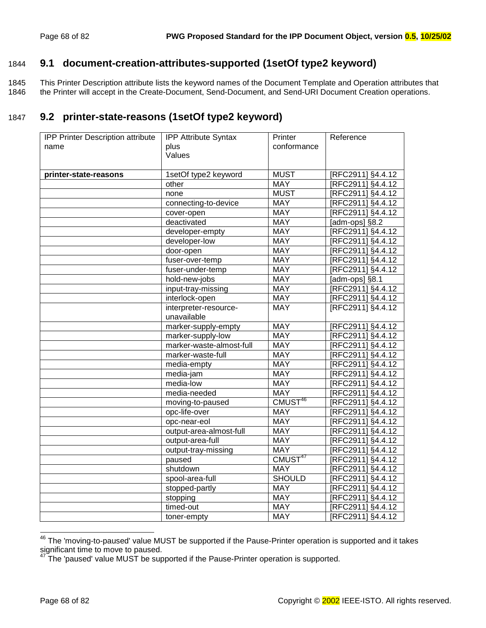## 1844 **9.1 document-creation-attributes-supported (1setOf type2 keyword)**

1845 This Printer Description attribute lists the keyword names of the Document Template and Operation attributes that 1846 the Printer will accept in the Create-Document, Send-Document, and Send-URI Document Creation operations.

# 1847 **9.2 printer-state-reasons (1setOf type2 keyword)**

| <b>IPP Printer Description attribute</b> | <b>IPP Attribute Syntax</b> | Printer             | Reference         |
|------------------------------------------|-----------------------------|---------------------|-------------------|
| name                                     | plus                        | conformance         |                   |
|                                          | Values                      |                     |                   |
|                                          |                             |                     |                   |
| printer-state-reasons                    | 1setOf type2 keyword        | <b>MUST</b>         | [RFC2911] §4.4.12 |
|                                          | other                       | <b>MAY</b>          | [RFC2911] §4.4.12 |
|                                          | none                        | <b>MUST</b>         | [RFC2911] §4.4.12 |
|                                          | connecting-to-device        | <b>MAY</b>          | [RFC2911] §4.4.12 |
|                                          | cover-open                  | <b>MAY</b>          | [RFC2911] §4.4.12 |
|                                          | deactivated                 | <b>MAY</b>          | [adm-ops] §8.2    |
|                                          | developer-empty             | MAY                 | [RFC2911] §4.4.12 |
|                                          | developer-low               | <b>MAY</b>          | [RFC2911] §4.4.12 |
|                                          | door-open                   | <b>MAY</b>          | [RFC2911] §4.4.12 |
|                                          | fuser-over-temp             | <b>MAY</b>          | [RFC2911] §4.4.12 |
|                                          | fuser-under-temp            | <b>MAY</b>          | [RFC2911] §4.4.12 |
|                                          | hold-new-jobs               | <b>MAY</b>          | [adm-ops] §8.1    |
|                                          | input-tray-missing          | <b>MAY</b>          | [RFC2911] §4.4.12 |
|                                          | interlock-open              | <b>MAY</b>          | [RFC2911] §4.4.12 |
|                                          | interpreter-resource-       | <b>MAY</b>          | [RFC2911] §4.4.12 |
|                                          | unavailable                 |                     |                   |
|                                          | marker-supply-empty         | <b>MAY</b>          | [RFC2911] §4.4.12 |
|                                          | marker-supply-low           | <b>MAY</b>          | [RFC2911] §4.4.12 |
|                                          | marker-waste-almost-full    | <b>MAY</b>          | [RFC2911] §4.4.12 |
|                                          | marker-waste-full           | <b>MAY</b>          | [RFC2911] §4.4.12 |
|                                          | media-empty                 | <b>MAY</b>          | [RFC2911] §4.4.12 |
|                                          | media-jam                   | <b>MAY</b>          | [RFC2911] §4.4.12 |
|                                          | media-low                   | <b>MAY</b>          | [RFC2911] §4.4.12 |
|                                          | media-needed                | MAY                 | [RFC2911] §4.4.12 |
|                                          | moving-to-paused            | CMUST <sup>46</sup> | [RFC2911] §4.4.12 |
|                                          | opc-life-over               | <b>MAY</b>          | [RFC2911] §4.4.12 |
|                                          | opc-near-eol                | <b>MAY</b>          | [RFC2911] §4.4.12 |
|                                          | output-area-almost-full     | <b>MAY</b>          | [RFC2911] §4.4.12 |
|                                          | output-area-full            | <b>MAY</b>          | [RFC2911] §4.4.12 |
|                                          | output-tray-missing         | <b>MAY</b>          | [RFC2911] §4.4.12 |
|                                          | paused                      | CMUST <sup>47</sup> | [RFC2911] §4.4.12 |
|                                          | shutdown                    | <b>MAY</b>          | [RFC2911] §4.4.12 |
|                                          | spool-area-full             | <b>SHOULD</b>       | [RFC2911] §4.4.12 |
|                                          | stopped-partly              | <b>MAY</b>          | [RFC2911] §4.4.12 |
|                                          | stopping                    | <b>MAY</b>          | [RFC2911] §4.4.12 |
|                                          | timed-out                   | <b>MAY</b>          | [RFC2911] §4.4.12 |
|                                          | toner-empty                 | <b>MAY</b>          | [RFC2911] §4.4.12 |

 $^{46}$  The 'moving-to-paused' value MUST be supported if the Pause-Printer operation is supported and it takes significant time to move to paused.

l

 $47$  The 'paused' value MUST be supported if the Pause-Printer operation is supported.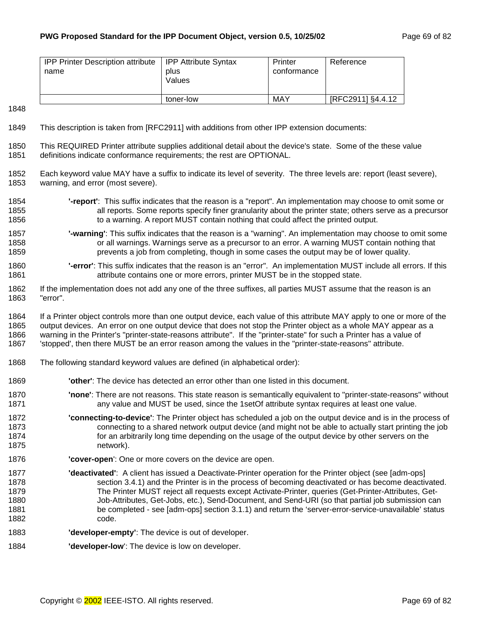| <b>IPP Printer Description attribute</b><br>name | <b>IPP Attribute Syntax</b><br>plus<br>Values | Printer<br>conformance | Reference         |
|--------------------------------------------------|-----------------------------------------------|------------------------|-------------------|
|                                                  | toner-low                                     | MAY                    | [RFC2911] §4.4.12 |

#### 1848

- 1849 This description is taken from [RFC2911] with additions from other IPP extension documents:
- 1850 This REQUIRED Printer attribute supplies additional detail about the device's state. Some of the these value 1851 definitions indicate conformance requirements; the rest are OPTIONAL.
- 1852 Each keyword value MAY have a suffix to indicate its level of severity. The three levels are: report (least severe), 1853 warning, and error (most severe).
- 1854 **'-report'**: This suffix indicates that the reason is a "report". An implementation may choose to omit some or 1855 all reports. Some reports specify finer granularity about the printer state; others serve as a precursor 1856 to a warning. A report MUST contain nothing that could affect the printed output.
- 1857 **'-warning'**: This suffix indicates that the reason is a "warning". An implementation may choose to omit some 1858 or all warnings. Warnings serve as a precursor to an error. A warning MUST contain nothing that 1859 prevents a job from completing, though in some cases the output may be of lower quality.
- 1860 **'-error'**: This suffix indicates that the reason is an "error". An implementation MUST include all errors. If this 1861 **attribute contains one or more errors, printer MUST be in the stopped state.**
- 1862 If the implementation does not add any one of the three suffixes, all parties MUST assume that the reason is an 1863 "error".
- 1864 If a Printer object controls more than one output device, each value of this attribute MAY apply to one or more of the 1865 output devices. An error on one output device that does not stop the Printer object as a whole MAY appear as a 1866 warning in the Printer's "printer-state-reasons attribute". If the "printer-state" for such a Printer has a value of 1867 'stopped', then there MUST be an error reason among the values in the "printer-state-reasons" attribute.
- 1868 The following standard keyword values are defined (in alphabetical order):
- 1869 **'other'**: The device has detected an error other than one listed in this document.
- 1870 **'none'**: There are not reasons. This state reason is semantically equivalent to "printer-state-reasons" without 1871 any value and MUST be used, since the 1setOf attribute syntax requires at least one value.
- 1872 **'connecting-to-device'**: The Printer object has scheduled a job on the output device and is in the process of 1873 connecting to a shared network output device (and might not be able to actually start printing the job 1874 for an arbitrarily long time depending on the usage of the output device by other servers on the 1875 network).
- 1876 **'cover-open**': One or more covers on the device are open.
- 1877 **'deactivated'**: A client has issued a Deactivate-Printer operation for the Printer object (see [adm-ops] 1878 section 3.4.1) and the Printer is in the process of becoming deactivated or has become deactivated. 1879 The Printer MUST reject all requests except Activate-Printer, queries (Get-Printer-Attributes, Get-1880 Job-Attributes, Get-Jobs, etc.), Send-Document, and Send-URI (so that partial job submission can 1881 be completed - see [adm-ops] section 3.1.1) and return the 'server-error-service-unavailable' status 1882 code.
- 1883 **'developer-empty'**: The device is out of developer.
- 1884 **'developer-low**': The device is low on developer.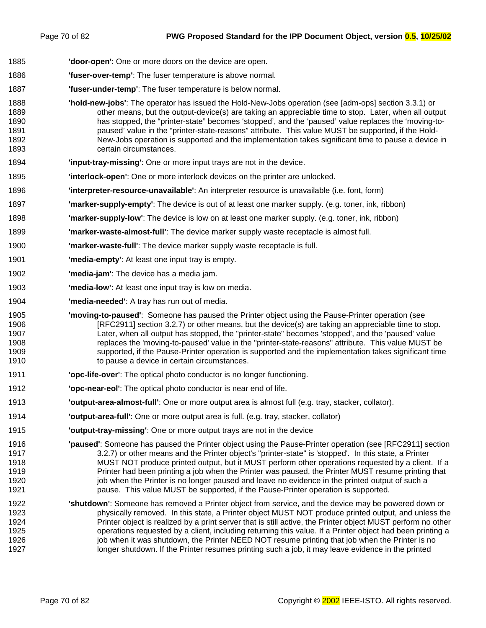- 1885 **'door-open'**: One or more doors on the device are open.
- 1886 **'fuser-over-temp'**: The fuser temperature is above normal.
- 1887 **'fuser-under-temp'**: The fuser temperature is below normal.
- 1888 **'hold-new-jobs'**: The operator has issued the Hold-New-Jobs operation (see [adm-ops] section 3.3.1) or 1889 other means, but the output-device(s) are taking an appreciable time to stop. Later, when all output 1890 has stopped, the "printer-state" becomes 'stopped', and the 'paused' value replaces the 'moving-to-1891 paused' value in the "printer-state-reasons" attribute. This value MUST be supported, if the Hold-1892 New-Jobs operation is supported and the implementation takes significant time to pause a device in 1893 certain circumstances.
- 1894 **'input-tray-missing'**: One or more input trays are not in the device.
- 1895 **'interlock-open'**: One or more interlock devices on the printer are unlocked.
- 1896 **'interpreter-resource-unavailable'**: An interpreter resource is unavailable (i.e. font, form)
- 1897 **'marker-supply-empty'**: The device is out of at least one marker supply. (e.g. toner, ink, ribbon)
- 1898 **'marker-supply-low'**: The device is low on at least one marker supply. (e.g. toner, ink, ribbon)
- 1899 **'marker-waste-almost-full'**: The device marker supply waste receptacle is almost full.
- 1900 **'marker-waste-full'**: The device marker supply waste receptacle is full.
- 1901 **'media-empty'**: At least one input tray is empty.
- 1902 **'media-jam'**: The device has a media jam.
- 1903 **'media-low'**: At least one input tray is low on media.
- 1904 **'media-needed'**: A tray has run out of media.
- 1905 **'moving-to-paused'**: Someone has paused the Printer object using the Pause-Printer operation (see 1906 [RFC2911] section 3.2.7) or other means, but the device(s) are taking an appreciable time to stop. 1907 Later, when all output has stopped, the "printer-state" becomes 'stopped', and the 'paused' value 1908 replaces the 'moving-to-paused' value in the "printer-state-reasons" attribute. This value MUST be 1909 supported, if the Pause-Printer operation is supported and the implementation takes significant time 1910 to pause a device in certain circumstances.
- 1911 **'opc-life-over'**: The optical photo conductor is no longer functioning.
- 1912 **'opc-near-eol'**: The optical photo conductor is near end of life.
- 1913 **'output-area-almost-full'**: One or more output area is almost full (e.g. tray, stacker, collator).
- 1914 **'output-area-full'**: One or more output area is full. (e.g. tray, stacker, collator)
- 1915 **'output-tray-missing'**: One or more output trays are not in the device
- 1916 **'paused'**: Someone has paused the Printer object using the Pause-Printer operation (see [RFC2911] section 1917 3.2.7) or other means and the Printer object's "printer-state" is 'stopped'. In this state, a Printer 1918 MUST NOT produce printed output, but it MUST perform other operations requested by a client. If a 1919 Printer had been printing a job when the Printer was paused, the Printer MUST resume printing that 1920 job when the Printer is no longer paused and leave no evidence in the printed output of such a 1921 pause. This value MUST be supported, if the Pause-Printer operation is supported.
- 1922 **'shutdown'**: Someone has removed a Printer object from service, and the device may be powered down or 1923 physically removed. In this state, a Printer object MUST NOT produce printed output, and unless the 1924 Printer object is realized by a print server that is still active, the Printer object MUST perform no other 1925 operations requested by a client, including returning this value. If a Printer object had been printing a 1926 **job when it was shutdown, the Printer NEED NOT resume printing that job when the Printer is no** 1927 longer shutdown. If the Printer resumes printing such a job, it may leave evidence in the printed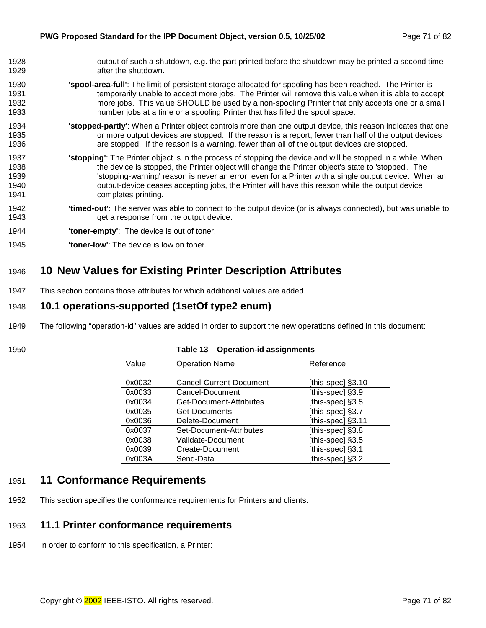- <span id="page-70-0"></span>1928 output of such a shutdown, e.g. the part printed before the shutdown may be printed a second time 1929 **after the shutdown.**
- 1930 **'spool-area-full'**: The limit of persistent storage allocated for spooling has been reached. The Printer is 1931 temporarily unable to accept more jobs. The Printer will remove this value when it is able to accept 1932 more jobs. This value SHOULD be used by a non-spooling Printer that only accepts one or a small 1933 number jobs at a time or a spooling Printer that has filled the spool space.
- 1934 **'stopped-partly'**: When a Printer object controls more than one output device, this reason indicates that one 1935 or more output devices are stopped. If the reason is a report, fewer than half of the output devices 1936 are stopped. If the reason is a warning, fewer than all of the output devices are stopped.
- 1937 **'stopping'**: The Printer object is in the process of stopping the device and will be stopped in a while. When 1938 the device is stopped, the Printer object will change the Printer object's state to 'stopped'. The 1939 'stopping-warning' reason is never an error, even for a Printer with a single output device. When an 1940 output-device ceases accepting jobs, the Printer will have this reason while the output device 1941 completes printing.
- 1942 **'timed-out'**: The server was able to connect to the output device (or is always connected), but was unable to 1943 get a response from the output device.
- 1944 **'toner-empty'**: The device is out of toner.
- 1945 **'toner-low'**: The device is low on toner.

# 1946 **10 New Values for Existing Printer Description Attributes**

1947 This section contains those attributes for which additional values are added.

#### 1948 **10.1 operations-supported (1setOf type2 enum)**

- 1949 The following "operation-id" values are added in order to support the new operations defined in this document:
- 

| 1950 | Table 13 - Operation-id assignments |
|------|-------------------------------------|
|------|-------------------------------------|

| Value  | <b>Operation Name</b>   | Reference         |
|--------|-------------------------|-------------------|
|        |                         |                   |
| 0x0032 | Cancel-Current-Document | [this-spec] §3.10 |
| 0x0033 | Cancel-Document         | [this-spec] §3.9  |
| 0x0034 | Get-Document-Attributes | [this-spec] §3.5  |
| 0x0035 | Get-Documents           | [this-spec] §3.7  |
| 0x0036 | Delete-Document         | [this-spec] §3.11 |
| 0x0037 | Set-Document-Attributes | [this-spec] §3.8  |
| 0x0038 | Validate-Document       | [this-spec] §3.5  |
| 0x0039 | Create-Document         | [this-spec] §3.1  |
| 0x003A | Send-Data               | [this-spec] §3.2  |

### 1951 **11 Conformance Requirements**

1952 This section specifies the conformance requirements for Printers and clients.

## 1953 **11.1 Printer conformance requirements**

1954 In order to conform to this specification, a Printer: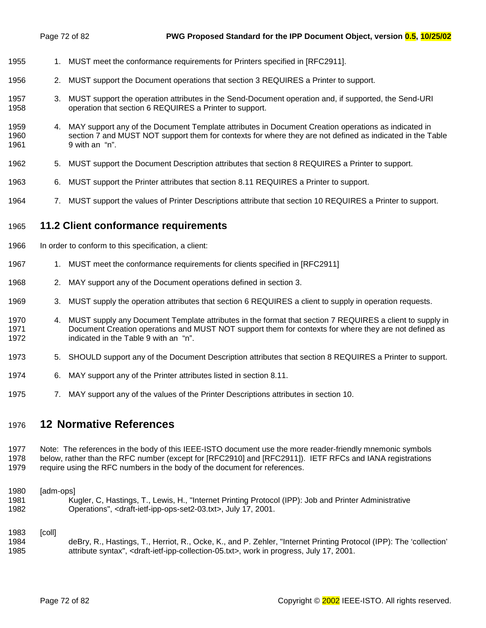- 1955 1. MUST meet the conformance requirements for Printers specified in [RFC2911].
- 1956 2. MUST support the Document operations that section [3 R](#page-11-0)EQUIRES a Printer to support.
- 1957 3. MUST support the operation attributes in the Send-Document operation and, if supported, the Send-URI 1958 operation that section [6 R](#page-36-0)EQUIRES a Printer to support.
- 1959 4. MAY support any of the Document Template attributes in Document Creation operations as indicated in 1960 section 7 [a](#page-39-0)nd MUST NOT support them for contexts for where they are not defined as indicated in the T[able](#page-47-0)  1961 [9](#page-47-0) with an "n".
- 1962 5. MUST support the Document Description attributes that section [8](#page-47-0) REQUIRES a Printer to support.
- 1963 6. MUST support the Printer attributes that section [8.11 R](#page-61-0)EQUIRES a Printer to support.
- 1964 7. MUST support the values of Printer Descriptions attribute that section 1[0 R](#page-70-0)EQUIRES a Printer to support.

### 1965 **11.2 Client conformance requirements**

- 1966 In order to conform to this specification, a client:
- 1967 1. MUST meet the conformance requirements for clients specified in [RFC2911]
- 1968 2. MAY support any of the Document operations defined in section [3.](#page-11-0)
- 1969 3. MUST supply the operation attributes that section 6 [R](#page-36-0)EQUIRES a client to supply in operation requests.
- 1970 4. MUST supply any Document Template attributes in the format that section 7 [R](#page-39-0)EQUIRES a client to supply in 1971 Document Creation operations and MUST NOT support them for contexts for where they are not defined as 1972 indicated in the T[able 9 w](#page-47-0)ith an "n".
- 1973 5. SHOULD support any of the Document Description attributes that section [8](#page-47-0) REQUIRES a Printer to support.
- 1974 6. MAY support any of the Printer attributes listed in section [8.11.](#page-61-0)
- 1975 7. MAY support any of the values of the Printer Descriptions attributes in section 10.

# 1976 **12 Normative References**

1977 Note: The references in the body of this IEEE-ISTO document use the more reader-friendly mnemonic symbols 1978 below, rather than the RFC number (except for [RFC2910] and [RFC2911]). IETF RFCs and IANA registrations 1979 require using the RFC numbers in the body of the document for references.

#### 1980 [adm-ops]

1981 Kugler, C, Hastings, T., Lewis, H., "Internet Printing Protocol (IPP): Job and Printer Administrative 1982 Operations", <draft-ietf-ipp-ops-set2-03.txt>, July 17, 2001.

#### 1983 [coll]

1984 deBry, R., Hastings, T., Herriot, R., Ocke, K., and P. Zehler, "Internet Printing Protocol (IPP): The 'collection' 1985 attribute syntax", <draft-ietf-ipp-collection-05.txt>, work in progress, July 17, 2001.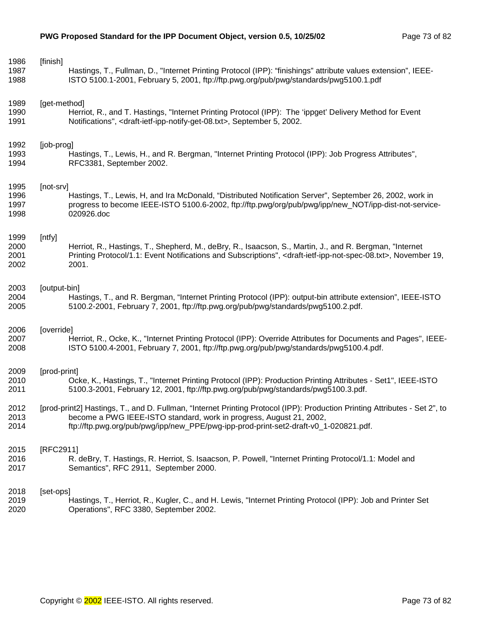| 1986<br>1987<br>1988         | [finish]<br>Hastings, T., Fullman, D., "Internet Printing Protocol (IPP): "finishings" attribute values extension", IEEE-<br>ISTO 5100.1-2001, February 5, 2001, ftp://ftp.pwg.org/pub/pwg/standards/pwg5100.1.pdf                                                                        |  |
|------------------------------|-------------------------------------------------------------------------------------------------------------------------------------------------------------------------------------------------------------------------------------------------------------------------------------------|--|
| 1989<br>1990<br>1991         | [get-method]<br>Herriot, R., and T. Hastings, "Internet Printing Protocol (IPP): The 'ippget' Delivery Method for Event<br>Notifications", <draft-ietf-ipp-notify-get-08.txt>, September 5, 2002.</draft-ietf-ipp-notify-get-08.txt>                                                      |  |
| 1992<br>1993<br>1994         | [job-prog]<br>Hastings, T., Lewis, H., and R. Bergman, "Internet Printing Protocol (IPP): Job Progress Attributes",<br>RFC3381, September 2002.                                                                                                                                           |  |
| 1995<br>1996<br>1997<br>1998 | [not-srv]<br>Hastings, T., Lewis, H, and Ira McDonald, "Distributed Notification Server", September 26, 2002, work in<br>progress to become IEEE-ISTO 5100.6-2002, ftp://ftp.pwg/org/pub/pwg/ipp/new_NOT/ipp-dist-not-service-<br>020926.doc                                              |  |
| 1999<br>2000<br>2001<br>2002 | [ntfy]<br>Herriot, R., Hastings, T., Shepherd, M., deBry, R., Isaacson, S., Martin, J., and R. Bergman, "Internet<br>Printing Protocol/1.1: Event Notifications and Subscriptions", <draft-ietf-ipp-not-spec-08.txt>, November 19,<br/>2001.</draft-ietf-ipp-not-spec-08.txt>             |  |
| 2003<br>2004<br>2005         | [output-bin]<br>Hastings, T., and R. Bergman, "Internet Printing Protocol (IPP): output-bin attribute extension", IEEE-ISTO<br>5100.2-2001, February 7, 2001, ftp://ftp.pwg.org/pub/pwg/standards/pwg5100.2.pdf.                                                                          |  |
| 2006<br>2007<br>2008         | [override]<br>Herriot, R., Ocke, K., "Internet Printing Protocol (IPP): Override Attributes for Documents and Pages", IEEE-<br>ISTO 5100.4-2001, February 7, 2001, ftp://ftp.pwg.org/pub/pwg/standards/pwg5100.4.pdf.                                                                     |  |
| 2009<br>2010<br>2011         | [prod-print]<br>Ocke, K., Hastings, T., "Internet Printing Protocol (IPP): Production Printing Attributes - Set1", IEEE-ISTO<br>5100.3-2001, February 12, 2001, ftp://ftp.pwg.org/pub/pwg/standards/pwg5100.3.pdf.                                                                        |  |
| 2012<br>2013<br>2014         | [prod-print2] Hastings, T., and D. Fullman, "Internet Printing Protocol (IPP): Production Printing Attributes - Set 2", to<br>become a PWG IEEE-ISTO standard, work in progress, August 21, 2002,<br>ftp://ftp.pwg.org/pub/pwg/ipp/new_PPE/pwg-ipp-prod-print-set2-draft-v0_1-020821.pdf. |  |
| 2015<br>2016<br>2017         | [RFC2911]<br>R. deBry, T. Hastings, R. Herriot, S. Isaacson, P. Powell, "Internet Printing Protocol/1.1: Model and<br>Semantics", RFC 2911, September 2000.                                                                                                                               |  |
| 2018<br>2019<br>2020         | [set-ops]<br>Hastings, T., Herriot, R., Kugler, C., and H. Lewis, "Internet Printing Protocol (IPP): Job and Printer Set<br>Operations", RFC 3380, September 2002.                                                                                                                        |  |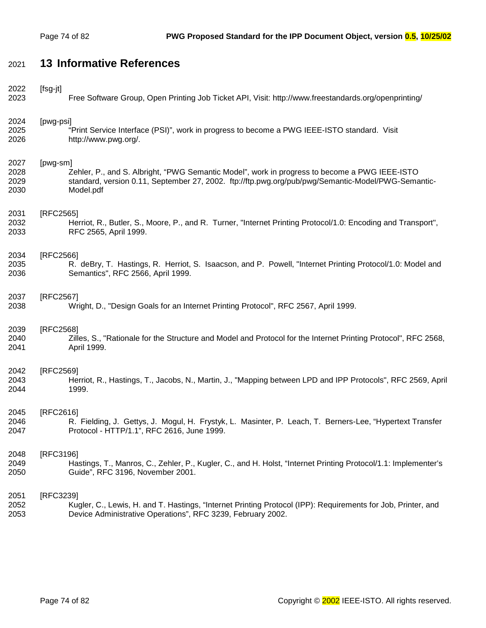# 2021 **13 Informative References**

| 2022 | [fsg-jt]                                                                                                       |
|------|----------------------------------------------------------------------------------------------------------------|
| 2023 | Free Software Group, Open Printing Job Ticket API, Visit: http://www.freestandards.org/openprinting/           |
| 2024 | [pwg-psi]                                                                                                      |
| 2025 | "Print Service Interface (PSI)", work in progress to become a PWG IEEE-ISTO standard. Visit                    |
| 2026 | http://www.pwg.org/.                                                                                           |
| 2027 | [pwg-sm]                                                                                                       |
| 2028 | Zehler, P., and S. Albright, "PWG Semantic Model", work in progress to become a PWG IEEE-ISTO                  |
| 2029 | standard, version 0.11, September 27, 2002. ftp://ftp.pwg.org/pub/pwg/Semantic-Model/PWG-Semantic-             |
| 2030 | Model.pdf                                                                                                      |
| 2031 | [RFC2565]                                                                                                      |
| 2032 | Herriot, R., Butler, S., Moore, P., and R. Turner, "Internet Printing Protocol/1.0: Encoding and Transport",   |
| 2033 | RFC 2565, April 1999.                                                                                          |
| 2034 | [RFC2566]                                                                                                      |
| 2035 | R. deBry, T. Hastings, R. Herriot, S. Isaacson, and P. Powell, "Internet Printing Protocol/1.0: Model and      |
| 2036 | Semantics", RFC 2566, April 1999.                                                                              |
| 2037 | [RFC2567]                                                                                                      |
| 2038 | Wright, D., "Design Goals for an Internet Printing Protocol", RFC 2567, April 1999.                            |
| 2039 | [RFC2568]                                                                                                      |
| 2040 | Zilles, S., "Rationale for the Structure and Model and Protocol for the Internet Printing Protocol", RFC 2568, |
| 2041 | April 1999.                                                                                                    |
| 2042 | [RFC2569]                                                                                                      |
| 2043 | Herriot, R., Hastings, T., Jacobs, N., Martin, J., "Mapping between LPD and IPP Protocols", RFC 2569, April    |
| 2044 | 1999.                                                                                                          |
| 2045 | [RFC2616]                                                                                                      |
| 2046 | R. Fielding, J. Gettys, J. Mogul, H. Frystyk, L. Masinter, P. Leach, T. Berners-Lee, "Hypertext Transfer       |
| 2047 | Protocol - HTTP/1.1", RFC 2616, June 1999.                                                                     |
| 2048 | [RFC3196]                                                                                                      |
| 2049 | Hastings, T., Manros, C., Zehler, P., Kugler, C., and H. Holst, "Internet Printing Protocol/1.1: Implementer's |
| 2050 | Guide", RFC 3196, November 2001.                                                                               |
| 2051 | [RFC3239]                                                                                                      |
| 2052 | Kugler, C., Lewis, H. and T. Hastings, "Internet Printing Protocol (IPP): Requirements for Job, Printer, and   |
| 2053 | Device Administrative Operations", RFC 3239, February 2002.                                                    |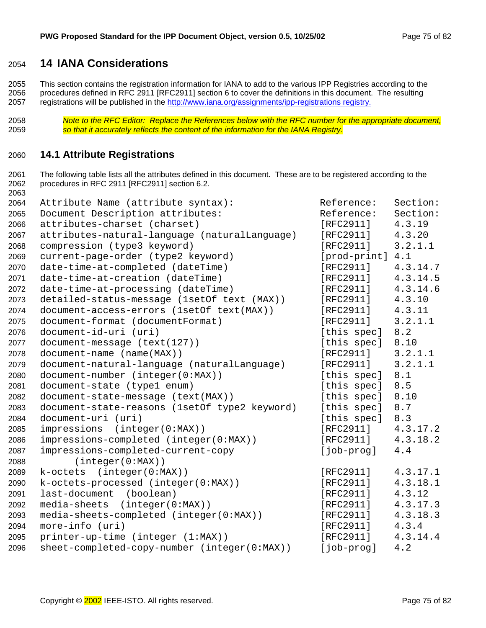#### <span id="page-74-0"></span>**14 IANA Considerations**

2055 This section contains the registration information for IANA to add to the various IPP Registries according to the 2056 procedures defined in RFC 2911 [RFC2911] section 6 to cover the definitions in this document. The resulting 2057 registrations will be published in the http://www.iana.org/assignments/ipp-registrations registry.

*Note to the RFC Editor: Replace the References below with the RFC number for the appropriate document, so that it accurately reflects the content of the information for the IANA Registry.* 

#### **14.1 Attribute Registrations**

2061 The following table lists all the attributes defined in this document. These are to be registered according to the 2062 procedures in RFC 2911 [RFC2911] section 6.2. 

| 2064 | Attribute Name (attribute syntax):            | Reference:   | Section: |
|------|-----------------------------------------------|--------------|----------|
| 2065 | Document Description attributes:              | Reference:   | Section: |
| 2066 | attributes-charset (charset)                  | [RFC2911]    | 4.3.19   |
| 2067 | attributes-natural-language (naturalLanguage) | [RFC2911]    | 4.3.20   |
| 2068 | compression (type3 keyword)                   | [RFC2911]    | 3.2.1.1  |
| 2069 | current-page-order (type2 keyword)            | [prod-print] | 4.1      |
| 2070 | date-time-at-completed (dateTime)             | [RFC2911]    | 4.3.14.7 |
| 2071 | date-time-at-creation (dateTime)              | [RFC2911]    | 4.3.14.5 |
| 2072 | date-time-at-processing (dateTime)            | [RFC2911]    | 4.3.14.6 |
| 2073 | detailed-status-message (1setOf text (MAX))   | [RTC2911]    | 4.3.10   |
| 2074 | document-access-errors (lsetOf text(MAX))     | [RFC2911]    | 4.3.11   |
| 2075 | document-format (documentFormat)              | [RFC2911]    | 3.2.1.1  |
| 2076 | document-id-uri (uri)                         | [this spec]  | 8.2      |
| 2077 | document-message (text(127))                  | [this spec]  | 8.10     |
| 2078 | document-name (name(MAX))                     | [RFC2911]    | 3.2.1.1  |
| 2079 | document-natural-language (naturalLanguage)   | [RFC2911]    | 3.2.1.1  |
| 2080 | document-number (integer(0:MAX))              | [this spec]  | 8.1      |
| 2081 | document-state (type1 enum)                   | [this spec]  | 8.5      |
| 2082 | document-state-message (text(MAX))            | [this spec]  | 8.10     |
| 2083 | document-state-reasons (1setOf type2 keyword) | [this spec]  | 8.7      |
| 2084 | document-uri (uri)                            | [this spec]  | 8.3      |
| 2085 | impressions (integer(0:MAX))                  | [RFC2911]    | 4.3.17.2 |
| 2086 | impressions-completed (integer(0:MAX))        | [RFC2911]    | 4.3.18.2 |
| 2087 | impressions-completed-current-copy            | [job-prog]   | 4.4      |
| 2088 | (integer(0:MAX))                              |              |          |
| 2089 | k-octets (integer(0:MAX))                     | [RFC2911]    | 4.3.17.1 |
| 2090 | k-octets-processed (integer(0:MAX))           | [RFC2911]    | 4.3.18.1 |
| 2091 | last-document (boolean)                       | [RFC2911]    | 4.3.12   |
| 2092 | media-sheets<br>(integer(0:MAX))              | [RTC2911]    | 4.3.17.3 |
| 2093 | media-sheets-completed (integer(0:MAX))       | [RFC2911]    | 4.3.18.3 |
| 2094 | more-info (uri)                               | [RFC2911]    | 4.3.4    |
| 2095 | printer-up-time (integer (1:MAX))             | [RFC2911]    | 4.3.14.4 |
| 2096 | sheet-completed-copy-number (integer(0:MAX))  | [job-prog]   | 4.2      |
|      |                                               |              |          |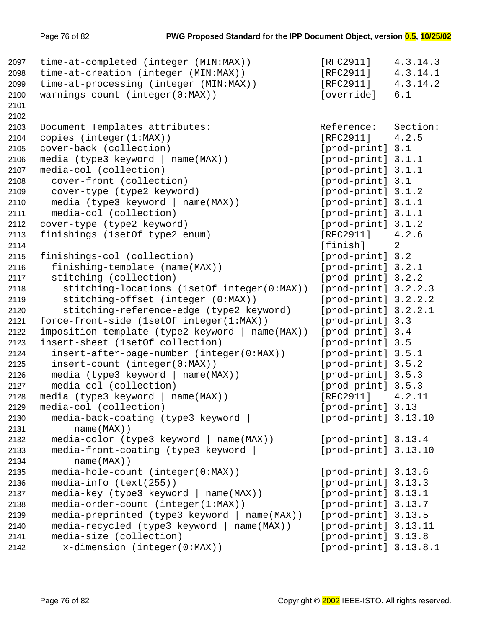```
2097 time-at-completed (integer (MIN:MAX)) [RFC2911] 4.3.14.3
2098 time-at-creation (integer (MIN:MAX)) [RFC2911] 4.3.14.1
2099 time-at-processing (integer (MIN:MAX)) [RFC2911] 4.3.14.2
2100 warnings-count (integer(0:MAX)) [override] 6.1
2101 
2102 
2103 Document Templates attributes: The Reference: Section:
2104 copies (integer(1:MAX)) [RFC2911] 4.2.5
2105 cover-back (collection) [prod-print] 3.1
2106 media (type3 keyword | name(MAX)) [prod-print] 3.1.1
2107 media-col (collection) [prod-print] 3.1.1
2108 cover-front (collection) [prod-print] 3.1
2109 cover-type (type2 keyword) [prod-print] 3.1.2
2110 media (type3 keyword | name(MAX)) [prod-print] 3.1.1
2111 media-col (collection) [prod-print] 3.1.1
2112 cover-type (type2 keyword) [prod-print] 3.1.2
2113 finishings (1setOf type2 enum) [RFC2911] 4.2.6
2114 [finish] 2
2115 finishings-col (collection) [prod-print] 3.2
2116 finishing-template (name(MAX)) [prod-print] 3.2.1
2117 stitching (collection) [prod-print] 3.2.2
2118 stitching-locations (1setOf integer(0:MAX)) [prod-print] 3.2.2.3
2119 stitching-offset (integer (0:MAX)) [prod-print] 3.2.2.2
2120 stitching-reference-edge (type2 keyword) [prod-print] 3.2.2.1
2121 force-front-side (1setOf integer(1:MAX)) [prod-print] 3.3
2122 imposition-template (type2 keyword | name(MAX)) [prod-print] 3.4
2123 insert-sheet (1setOf collection) [prod-print] 3.5
2124 insert-after-page-number (integer(0:MAX)) [prod-print] 3.5.1
2125 insert-count (integer(0:MAX)) [prod-print] 3.5.2
2126 media (type3 keyword | name(MAX)) [prod-print] 3.5.3
2127 media-col (collection) [prod-print] 3.5.3
2128 media (type3 keyword | name(MAX)) [RFC2911] 4.2.11
2129 media-col (collection) [prod-print] 3.13
2130 media-back-coating (type3 keyword | [prod-print] 3.13.10
2131 name(MAX))
2132 media-color (type3 keyword | name(MAX)) [prod-print] 3.13.4
2133 media-front-coating (type3 keyword | [prod-print] 3.13.10
2134 name(MAX))
2135 media-hole-count (integer(0:MAX)) [prod-print] 3.13.6
2136 media-info (text(255)) [prod-print] 3.13.3
2137 media-key (type3 keyword | name(MAX)) [prod-print] 3.13.1
2138 media-order-count (integer(1:MAX)) [prod-print] 3.13.7
2139 media-preprinted (type3 keyword | name(MAX)) [prod-print] 3.13.5
2140 media-recycled (type3 keyword | name(MAX)) [prod-print] 3.13.11
2141 media-size (collection) [prod-print] 3.13.8
2142 x-dimension (integer(0:MAX)) [prod-print] 3.13.8.1
```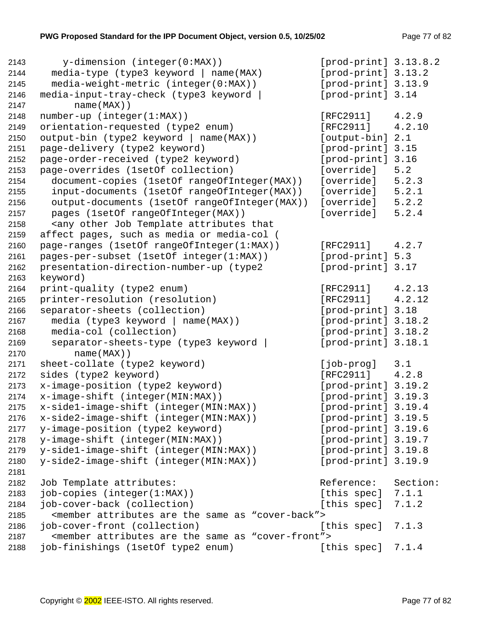```
2143 y-dimension (integer(0:MAX)) [prod-print] 3.13.8.2
2144 media-type (type3 keyword | name(MAX) [prod-print] 3.13.2
2145 media-weight-metric (integer(0:MAX)) [prod-print] 3.13.9
2146 media-input-tray-check (type3 keyword | [prod-print] 3.14
2147 name(MAX))
2148 number-up (integer(1:MAX)) [RFC2911] 4.2.9
2149 orientation-requested (type2 enum) [RFC2911] 4.2.10
2150 output-bin (type2 keyword | name(MAX)) [output-bin] 2.1
2151 page-delivery (type2 keyword) [prod-print] 3.15
2152 page-order-received (type2 keyword) [prod-print] 3.16
2153 page-overrides (1setOf collection) [override] 5.2
2154 document-copies (1setOf rangeOfInteger(MAX)) [override] 5.2.3
2155 input-documents (1setOf rangeOfInteger(MAX)) [override] 5.2.1
2156 output-documents (1setOf rangeOfInteger(MAX)) [override] 5.2.2
2157 pages (1setOf rangeOfInteger(MAX)) [override] 5.2.4
2158 <any other Job Template attributes that
2159 affect pages, such as media or media-col (
2160 page-ranges (1setOf rangeOfInteger(1:MAX)) [RFC2911] 4.2.7
2161 pages-per-subset (1setOf integer(1:MAX)) [prod-print] 5.3
2162 presentation-direction-number-up (type2 [prod-print] 3.17
2163 keyword)
2164 print-quality (type2 enum) [RFC2911] 4.2.13
2165 printer-resolution (resolution) [RFC2911] 4.2.12
2166 separator-sheets (collection) [prod-print] 3.18
2167 media (type3 keyword | name(MAX)) [prod-print] 3.18.2
2168 media-col (collection) [prod-print] 3.18.2
2169 separator-sheets-type (type3 keyword | [prod-print] 3.18.1
2170 name(MAX))
2171 sheet-collate (type2 keyword) [job-prog] 3.1
2172 sides (type2 keyword) [RFC2911] 4.2.8
2173 x-image-position (type2 keyword) [prod-print] 3.19.2
2174 x-image-shift (integer(MIN:MAX)) [prod-print] 3.19.3
2175 x-side1-image-shift (integer(MIN:MAX)) [prod-print] 3.19.4
2176 x-side2-image-shift (integer(MIN:MAX)) [prod-print] 3.19.5
2177 y-image-position (type2 keyword) [prod-print] 3.19.6
2178 y-image-shift (integer(MIN:MAX)) [prod-print] 3.19.7
2179 y-side1-image-shift (integer(MIN:MAX)) [prod-print] 3.19.8
2180 y-side2-image-shift (integer(MIN:MAX)) [prod-print] 3.19.9
2181 
2182 Job Template attributes: \qquad \qquad Reference: Section:
2183 job-copies (integer(1:MAX)) [this spec] 7.1.1
2184 job-cover-back (collection) [this spec] 7.1.2
2185 <member attributes are the same as "cover-back">
2186 job-cover-front (collection) [this spec] 7.1.3
2187 <member attributes are the same as "cover-front">
2188 job-finishings (1setOf type2 enum) [this spec] 7.1.4
```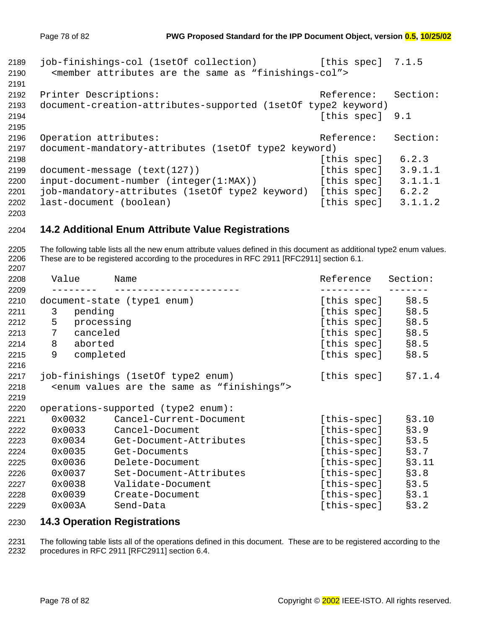```
2189 job-finishings-col (1setOf collection) [this spec] 7.1.5
2190 <member attributes are the same as "finishings-col">
2191 
2192 Printer Descriptions: The Reference: Section:
2193 document-creation-attributes-supported (1setOf type2 keyword)
2194 Example 2194 Example 2194 Example 2194 Example 2194 Example 2194 Example 2194
2195 
2196 Operation attributes: \begin{array}{ccc} \hline \text{Reference:} & \text{Section:} \end{array}2197 document-mandatory-attributes (1setOf type2 keyword)
2198 [this spec] 6.2.3
2199 document-message (text(127)) [this spec] 3.9.1.1
2200 input-document-number (integer(1:MAX)) [this spec] 3.1.1.1
2201 job-mandatory-attributes (1setOf type2 keyword) [this spec] 6.2.2
2202 last-document (boolean) [this spec] 3.1.1.2
```
#### **14.2 Additional Enum Attribute Value Registrations**

2205 The following table lists all the new enum attribute values defined in this document as additional type2 enum values. 2206 These are to be registered according to the procedures in RFC 2911 [RFC2911] section 6.1.

| 2208         | Value          | Name                                                                | Reference   | Section: |
|--------------|----------------|---------------------------------------------------------------------|-------------|----------|
| 2209<br>2210 |                | document-state (type1 enum)                                         | [this spec] | \$8.5    |
| 2211         | pending<br>3   |                                                                     | [this spec] | \$8.5    |
| 2212         | 5              | processing                                                          | [this spec] | § 8.5    |
| 2213         | canceled<br>7  |                                                                     | [this spec] | \$8.5    |
| 2214         | 8<br>aborted   |                                                                     | [this spec] | § 8.5    |
| 2215         | 9<br>completed |                                                                     | [this spec] | § 8.5    |
| 2216         |                |                                                                     |             |          |
| 2217         |                | job-finishings (1setOf type2 enum)                                  | [this spec] | \$7.1.4  |
| 2218         |                | <enum "finishings"="" are="" as="" same="" the="" values=""></enum> |             |          |
| 2219         |                |                                                                     |             |          |
| 2220         |                | operations-supported (type2 enum):                                  |             |          |
| 2221         | 0x0032         | Cancel-Current-Document                                             | [this-spec] | \$3.10   |
| 2222         | 0x0033         | Cancel-Document                                                     | [this-spec] | \$3.9    |
| 2223         | 0x0034         | Get-Document-Attributes                                             | [this-spec] | \$3.5    |
| 2224         | 0x0035         | Get-Documents                                                       | [this-spec] | §3.7     |
| 2225         | 0x0036         | Delete-Document                                                     | [this-spec] | §3.11    |
| 2226         | 0x0037         | Set-Document-Attributes                                             | [this-spec] | §3.8     |
| 2227         | 0x0038         | Validate-Document                                                   | [this-spec] | \$3.5    |
| 2228         | 0x0039         | Create-Document                                                     | [this-spec] | §3.1     |
| 2229         | 0x003A         | Send-Data                                                           | [this-spec] | §3.2     |
|              |                |                                                                     |             |          |

#### **14.3 Operation Registrations**

2231 The following table lists all of the operations defined in this document. These are to be registered according to the 2232 procedures in RFC 2911 [RFC2911] section 6.4.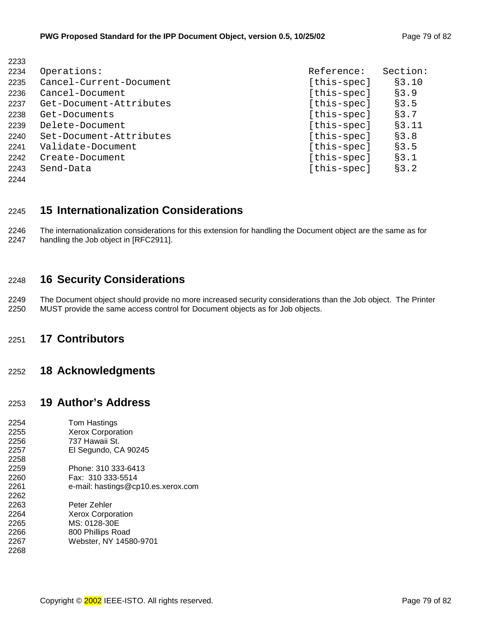| 2234 | Operations:             | Reference:  | Section: |
|------|-------------------------|-------------|----------|
| 2235 | Cancel-Current-Document | [this-spec] | \$3.10   |
| 2236 | Cancel-Document         | [this-spec] | §3.9     |
| 2237 | Get-Document-Attributes | [this-spec] | \$3.5    |
| 2238 | Get-Documents           | [this-spec] | §3.7     |
| 2239 | Delete-Document         | [this-spec] | §3.11    |
| 2240 | Set-Document-Attributes | [this-spec] | §3.8     |
| 2241 | Validate-Document       | [this-spec] | \$3.5    |
| 2242 | Create-Document         | [this-spec] | §3.1     |
| 2243 | Send-Data               | [this-spec] | §3.2     |
| 2244 |                         |             |          |

## 2245 **15 Internationalization Considerations**

2246 The internationalization considerations for this extension for handling the Document object are the same as for 2247 handling the Job object in [RFC2911].

## 2248 **16 Security Considerations**

2249 The Document object should provide no more increased security considerations than the Job object. The Printer 2250 MUST provide the same access control for Document objects as for Job objects.

## 2251 **17 Contributors**

2233

#### 2252 **18 Acknowledgments**

#### 2253 **19 Author's Address**

| 2254 | Tom Hastings                       |
|------|------------------------------------|
| 2255 | <b>Xerox Corporation</b>           |
| 2256 | 737 Hawaii St.                     |
| 2257 | El Segundo, CA 90245               |
| 2258 |                                    |
| 2259 | Phone: 310 333-6413                |
| 2260 | Fax: 310 333-5514                  |
| 2261 | e-mail: hastings@cp10.es.xerox.com |
| 2262 |                                    |
| 2263 | Peter Zehler                       |
| 2264 | <b>Xerox Corporation</b>           |
| 2265 | MS: 0128-30E                       |
| 2266 | 800 Phillips Road                  |
| 2267 | Webster, NY 14580-9701             |
| 2268 |                                    |
|      |                                    |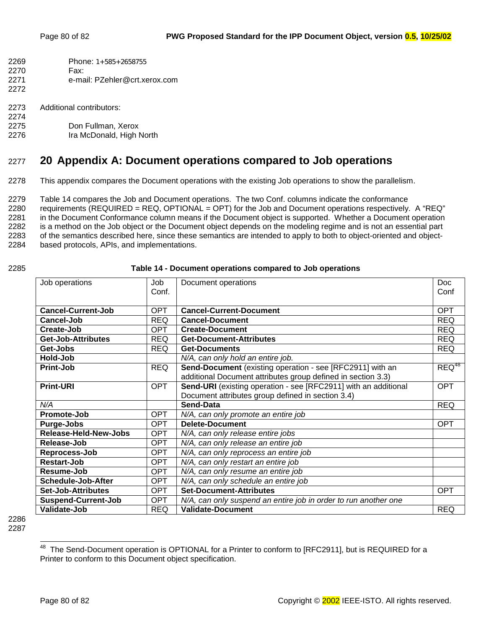| 2269 | Phone: $1+585+2658755$ |
|------|------------------------|
| 2270 | Fax:                   |

- 2271 e-mail: PZehler@crt.xerox.com
- 2273 Additional contributors:
- 2274 2275 Don Fullman, Xerox
- 2276 Ira McDonald, High North

# 2277 **20 Appendix A: Document operations compared to Job operations**

2278 This appendix compares the Document operations with the existing Job operations to show the parallelism.

2279 Table 14 compares the Job and Document operations. The two Conf. columns indicate the conformance 2280 requirements (REQUIRED = REQ, OPTIONAL = OPT) for the Job and Document operations respectively. A "REQ" 2281 in the Document Conformance column means if the Document object is supported. Whether a Document operation 2282 is a method on the Job object or the Document object depends on the modeling regime and is not an essential part 2283 of the semantics described here, since these semantics are intended to apply to both to object-oriented and object-2284 based protocols, APIs, and implementations.

2272

#### 2285 **Table 14 - Document operations compared to Job operations**

| Job operations             | Job        | Document operations                                             | <b>Doc</b> |
|----------------------------|------------|-----------------------------------------------------------------|------------|
|                            | Conf.      |                                                                 | Conf       |
|                            |            |                                                                 |            |
| <b>Cancel-Current-Job</b>  | OPT.       | <b>Cancel-Current-Document</b>                                  | <b>OPT</b> |
|                            |            |                                                                 |            |
| Cancel-Job                 | <b>REQ</b> | <b>Cancel-Document</b>                                          | <b>REQ</b> |
| Create-Job                 | <b>OPT</b> | <b>Create-Document</b>                                          | <b>REQ</b> |
| Get-Job-Attributes         | <b>REQ</b> | <b>Get-Document-Attributes</b>                                  | <b>REQ</b> |
| Get-Jobs                   | <b>REQ</b> | <b>Get-Documents</b>                                            | <b>REQ</b> |
| Hold-Job                   |            | N/A, can only hold an entire job.                               |            |
| <b>Print-Job</b>           | <b>REQ</b> | Send-Document (existing operation - see [RFC2911] with an       | $REQ^{48}$ |
|                            |            | additional Document attributes group defined in section 3.3)    |            |
| <b>Print-URI</b>           | <b>OPT</b> | Send-URI (existing operation - see [RFC2911] with an additional | <b>OPT</b> |
|                            |            | Document attributes group defined in section 3.4)               |            |
| N/A                        |            | <b>Send-Data</b>                                                | <b>REQ</b> |
| Promote-Job                | <b>OPT</b> | N/A, can only promote an entire job                             |            |
| Purge-Jobs                 | <b>OPT</b> | <b>Delete-Document</b>                                          | <b>OPT</b> |
| Release-Held-New-Jobs      | <b>OPT</b> | N/A, can only release entire jobs                               |            |
| Release-Job                | OPT.       | N/A, can only release an entire job                             |            |
| Reprocess-Job              | OPT.       | N/A, can only reprocess an entire job                           |            |
| <b>Restart-Job</b>         | <b>OPT</b> | N/A, can only restart an entire job                             |            |
| Resume-Job                 | <b>OPT</b> | N/A, can only resume an entire job                              |            |
| Schedule-Job-After         | <b>OPT</b> | N/A, can only schedule an entire job                            |            |
| <b>Set-Job-Attributes</b>  | <b>OPT</b> | <b>Set-Document-Attributes</b>                                  | <b>OPT</b> |
| <b>Suspend-Current-Job</b> | <b>OPT</b> | N/A, can only suspend an entire job in order to run another one |            |
| <b>Validate-Job</b>        | <b>REQ</b> | <b>Validate-Document</b>                                        | <b>REQ</b> |

2286 2287

l <sup>48</sup> The Send-Document operation is OPTIONAL for a Printer to conform to [RFC2911], but is REQUIRED for a Printer to conform to this Document object specification.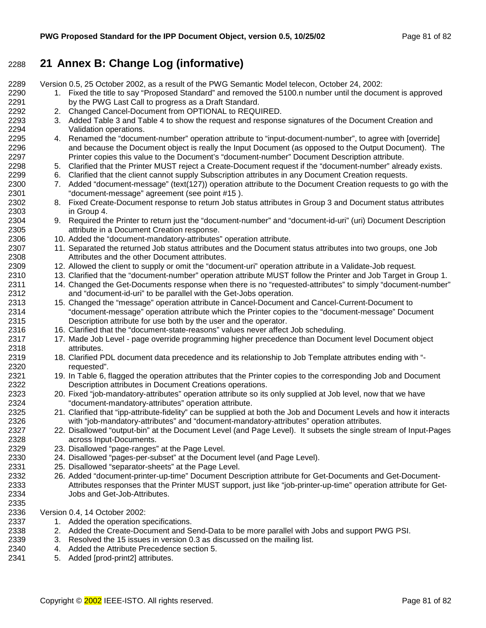## 2288 **21 Annex B: Change Log (informative)**

2289 Version 0.5, 25 October 2002, as a result of the PWG Semantic Model telecon, October 24, 2002:

- 2290 1. Fixed the title to say "Proposed Standard" and removed the 5100.n number until the document is approved 2291 by the PWG Last Call to progress as a Draft Standard.
- 2292 2. Changed Cancel-Document from OPTIONAL to REQUIRED.
- 2293 3. Added [Table 3](#page-12-0) and T[able 4 t](#page-12-0)o show the request and response signatures of the Document Creation and 2294 Validation operations.
- 2295 4. Renamed the "document-number" operation attribute to "input-document-number", to agree with [override] 2296 and because the Document object is really the Input Document (as opposed to the Output Document). The 2297 Printer copies this value to the Document's "document-number" Document Description attribute.
- 2298 5. Clarified that the Printer MUST reject a Create-Document request if the "document-number" already exists.
- 2299 6. Clarified that the client cannot supply Subscription attributes in any Document Creation requests.
- 2300 7. Added "document-message" (text(127)) operation attribute to the Document Creation requests to go with the 2301 "document-message" agreement (see point #15 ).
- 2302 8. Fixed Create-Document response to return Job status attributes in Group 3 and Document status attributes 2303 in Group 4.
- 2304 9. Required the Printer to return just the "document-number" and "document-id-uri" (uri) Document Description 2305 attribute in a Document Creation response.
- 2306 10. Added the "document-mandatory-attributes" operation attribute.
- 2307 11. Separated the returned Job status attributes and the Document status attributes into two groups, one Job 2308 Attributes and the other Document attributes.
- 2309 12. Allowed the client to supply or omit the "document-uri" operation attribute in a Validate-Job request.
- 2310 13. Clarified that the "document-number" operation attribute MUST follow the Printer and Job Target in Group 1.
- 2311 14. Changed the Get-Documents response when there is no "requested-attributes" to simply "document-number" 2312 and "document-id-uri" to be parallel with the Get-Jobs operation.
- 2313 15. Changed the "message" operation attribute in Cancel-Document and Cancel-Current-Document to 2314 "document-message" operation attribute which the Printer copies to the "document-message" Document 2315 Description attribute for use both by the user and the operator.
- 2316 16. Clarified that the "document-state-reasons" values never affect Job scheduling.
- 2317 17. Made Job Level page override programming higher precedence than Document level Document object 2318 attributes.
- 2319 18. Clarified PDL document data precedence and its relationship to Job Template attributes ending with "- 2320 requested".
- 2321 19. In [Table 6, f](#page-36-0)lagged the operation attributes that the Printer copies to the corresponding Job and Document 2322 Description attributes in Document Creations operations.
- 2323 20. Fixed "job-mandatory-attributes" operation attribute so its only supplied at Job level, now that we have 2324 "document-mandatory-attributes" operation attribute.
- 2325 21. Clarified that "ipp-attribute-fidelity" can be supplied at both the Job and Document Levels and how it interacts 2326 with "job-mandatory-attributes" and "document-mandatory-attributes" operation attributes.
- 2327 22. Disallowed "output-bin" at the Document Level (and Page Level). It subsets the single stream of Input-Pages 2328 across Input-Documents.
- 2329 23. Disallowed "page-ranges" at the Page Level.
- 2330 24. Disallowed "pages-per-subset" at the Document level (and Page Level).
- 2331 25. Disallowed "separator-sheets" at the Page Level.
- 2332 26. Added "document-printer-up-time" Document Description attribute for Get-Documents and Get-Document-2333 Attributes responses that the Printer MUST support, just like "job-printer-up-time" operation attribute for Get-2334 Jobs and Get-Job-Attributes.
- 2336 Version 0.4, 14 October 2002:

2335

- 2337 1. Added the operation specifications.
- 2338 2338 2. Added the Create-Document and Send-Data to be more parallel with Jobs and support PWG PSI.
- 2339 3. Resolved the 15 issues in version 0.3 as discussed on the mailing list.
- 2340 4. Added the Attribute Precedence section 5.
- 2341 5. Added [prod-print2] attributes.